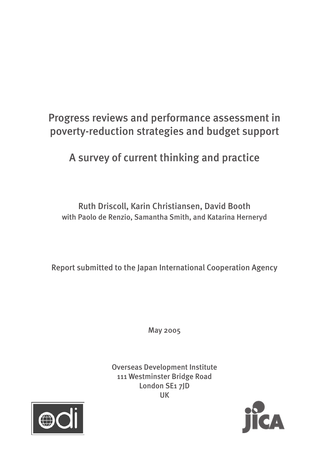# Progress reviews and performance assessment in poverty-reduction strategies and budget support

A survey of current thinking and practice

Ruth Driscoll, Karin Christiansen, David Booth with Paolo de Renzio, Samantha Smith, and Katarina Herneryd

Report submitted to the Japan International Cooperation Agency

May 2005

Overseas Development Institute 111 Westminster Bridge Road London SE1 7JD UK



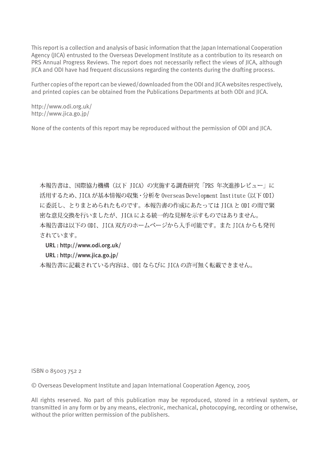This report is a collection and analysis of basic information that the Japan International Cooperation Agency (JICA) entrusted to the Overseas Development Institute as a contribution to its research on PRS Annual Progress Reviews. The report does not necessarily reflect the views of JICA, although JICA and ODI have had frequent discussions regarding the contents during the drafting process.

Further copies of the report can be viewed/downloaded from the ODI and JICA websites respectively, and printed copies can be obtained from the Publications Departments at both ODI and JICA.

http://www.odi.org.uk/ http://www.jica.go.jp/

None of the contents of this report may be reproduced without the permission of ODI and JICA.

本報告書は、国際協力機構 (以下 JICA) の実施する調査研究 「PRS 年次進捗レビュー」に 活用するため、JICA が基本情報の収集・分析を Overseas Development Institute (以下 ODI) に委託し、とりまとめられたものです。本報告書の作成にあたっては JICA と ODI の間で緊 密な意見交換を行いましたが、JICAによる統一的な見解を示すものではありません。 本報告書は以下の ODI、JICA 双方のホームページから入手可能です。またJICA からも発刊 されています。

#### URL : http://www.odi.org.uk/

#### URL : http://www.jica.go.jp/

本報告書に記載されている内容は、ODI ならびに JICA の許可無く転載できません。

ISBN 0 85003 752 2

© Overseas Development Institute and Japan International Cooperation Agency, 2005

All rights reserved. No part of this publication may be reproduced, stored in a retrieval system, or transmitted in any form or by any means, electronic, mechanical, photocopying, recording or otherwise, without the prior written permission of the publishers.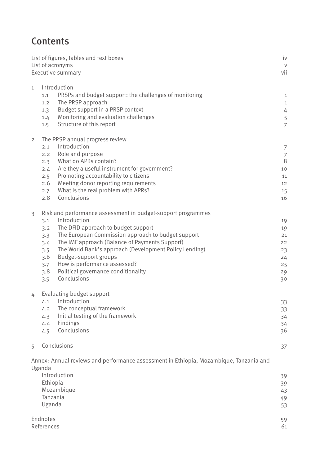# **Contents**

| List of figures, tables and text boxes<br>List of acronyms<br>Executive summary |                                 |                                                                                        |                |
|---------------------------------------------------------------------------------|---------------------------------|----------------------------------------------------------------------------------------|----------------|
|                                                                                 |                                 |                                                                                        | vii            |
| $\mathbf{1}$                                                                    | Introduction                    |                                                                                        |                |
|                                                                                 | 1.1                             | PRSPs and budget support: the challenges of monitoring                                 | $1\,$          |
|                                                                                 | 1,2                             | The PRSP approach                                                                      | 1              |
|                                                                                 | 1.3                             | Budget support in a PRSP context                                                       | 4              |
|                                                                                 | 1.4                             | Monitoring and evaluation challenges                                                   | 5              |
|                                                                                 | 1.5                             | Structure of this report                                                               | $\overline{7}$ |
| $\overline{2}$                                                                  | The PRSP annual progress review |                                                                                        |                |
|                                                                                 | 2.1                             | Introduction                                                                           | 7              |
|                                                                                 | 2.2                             | Role and purpose                                                                       | $\overline{7}$ |
|                                                                                 | 2.3                             | What do APRs contain?                                                                  | 8              |
|                                                                                 | 2.4                             | Are they a useful instrument for government?                                           | 10             |
|                                                                                 | 2.5                             | Promoting accountability to citizens                                                   | 11             |
|                                                                                 | 2.6                             | Meeting donor reporting requirements                                                   | 12             |
|                                                                                 | 2.7                             | What is the real problem with APRs?                                                    | 15             |
|                                                                                 | 2.8                             | Conclusions                                                                            | 16             |
| $\overline{3}$                                                                  |                                 | Risk and performance assessment in budget-support programmes                           |                |
|                                                                                 | 3.1                             | Introduction                                                                           | 19             |
|                                                                                 | 3.2                             | The DFID approach to budget support                                                    | 19             |
|                                                                                 | 3.3                             | The European Commission approach to budget support                                     | 21             |
|                                                                                 | 3.4                             | The IMF approach (Balance of Payments Support)                                         | 22             |
|                                                                                 | 3.5                             | The World Bank's approach (Development Policy Lending)                                 | 23             |
|                                                                                 | 3.6                             | Budget-support groups                                                                  | 24             |
|                                                                                 | 3.7                             | How is performance assessed?                                                           | 25             |
|                                                                                 | 3.8                             | Political governance conditionality                                                    | 29             |
|                                                                                 | 3.9                             | Conclusions                                                                            | 30             |
| 4                                                                               | Evaluating budget support       |                                                                                        |                |
|                                                                                 |                                 | 4.1 Introduction                                                                       | 33             |
|                                                                                 | 4.2                             | The conceptual framework                                                               | 33             |
|                                                                                 | 4.3                             | Initial testing of the framework                                                       | 34             |
|                                                                                 | 4.4                             | Findings                                                                               | 34             |
|                                                                                 | 4.5                             | Conclusions                                                                            | 36             |
| 5                                                                               |                                 | Conclusions                                                                            | 37             |
|                                                                                 |                                 |                                                                                        |                |
|                                                                                 | Uganda                          | Annex: Annual reviews and performance assessment in Ethiopia, Mozambique, Tanzania and |                |
|                                                                                 |                                 | Introduction                                                                           | 39             |
|                                                                                 | Ethiopia                        |                                                                                        | 39             |
|                                                                                 |                                 | Mozambique                                                                             | 43             |
|                                                                                 | Tanzania                        |                                                                                        | 49             |
|                                                                                 | Uganda                          |                                                                                        | 53             |
|                                                                                 | Endnotes                        |                                                                                        | 59             |

- References 61
-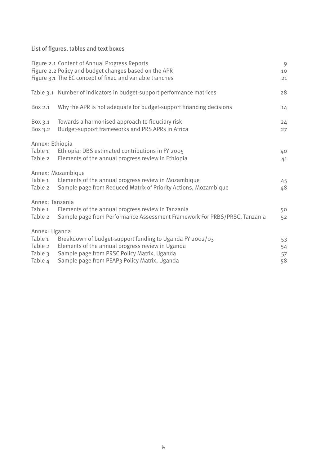List of figures, tables and text boxes

|                                                                                                                                                                          | Figure 2.1 Content of Annual Progress Reports<br>Figure 2.2 Policy and budget changes based on the APR<br>Figure 3.1 The EC concept of fixed and variable tranches | 9<br>10<br>21 |  |
|--------------------------------------------------------------------------------------------------------------------------------------------------------------------------|--------------------------------------------------------------------------------------------------------------------------------------------------------------------|---------------|--|
|                                                                                                                                                                          | Table 3.1 Number of indicators in budget-support performance matrices                                                                                              | 28            |  |
| Box 2.1                                                                                                                                                                  | Why the APR is not adequate for budget-support financing decisions                                                                                                 | 14            |  |
| Box 3.1<br>Box 3.2                                                                                                                                                       | Towards a harmonised approach to fiduciary risk<br>Budget-support frameworks and PRS APRs in Africa                                                                | 24<br>27      |  |
| Annex: Ethiopia<br>Table 1<br>Ethiopia: DBS estimated contributions in FY 2005<br>Elements of the annual progress review in Ethiopia<br>Table 2                          |                                                                                                                                                                    |               |  |
| Annex: Mozambique<br>Elements of the annual progress review in Mozambique<br>Table 1<br>Sample page from Reduced Matrix of Priority Actions, Mozambique<br>Table 2       |                                                                                                                                                                    |               |  |
| Annex: Tanzania<br>Elements of the annual progress review in Tanzania<br>Table 1<br>Sample page from Performance Assessment Framework For PRBS/PRSC, Tanzania<br>Table 2 |                                                                                                                                                                    |               |  |
| Annex: Uganda                                                                                                                                                            |                                                                                                                                                                    |               |  |
| Table 1<br>Table 2                                                                                                                                                       | Breakdown of budget-support funding to Uganda FY 2002/03                                                                                                           | 53            |  |
| Table 3                                                                                                                                                                  | Elements of the annual progress review in Uganda<br>Sample page from PRSC Policy Matrix, Uganda                                                                    | 54<br>57      |  |
| Table 4                                                                                                                                                                  | Sample page from PEAP3 Policy Matrix, Uganda                                                                                                                       | 58            |  |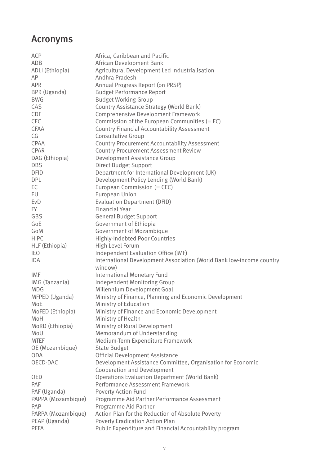## Acronyms

| ACP                | Africa, Caribbean and Pacific                                        |
|--------------------|----------------------------------------------------------------------|
| ADB                | African Development Bank                                             |
| ADLI (Ethiopia)    | Agricultural Development Led Industrialisation                       |
| AP                 | Andhra Pradesh                                                       |
| <b>APR</b>         | Annual Progress Report (on PRSP)                                     |
| BPR (Uganda)       | <b>Budget Performance Report</b>                                     |
| <b>BWG</b>         | <b>Budget Working Group</b>                                          |
| CAS                | Country Assistance Strategy (World Bank)                             |
| CDF                | Comprehensive Development Framework                                  |
| CEC                | Commission of the European Communities $(= EC)$                      |
| CFAA               | <b>Country Financial Accountability Assessment</b>                   |
| CG                 | Consultative Group                                                   |
| CPAA               | <b>Country Procurement Accountability Assessment</b>                 |
| CPAR               | <b>Country Procurement Assessment Review</b>                         |
| DAG (Ethiopia)     | Development Assistance Group                                         |
| <b>DBS</b>         | <b>Direct Budget Support</b>                                         |
| <b>DFID</b>        | Department for International Development (UK)                        |
| <b>DPL</b>         | Development Policy Lending (World Bank)                              |
| EC                 | European Commission (= CEC)                                          |
| EU                 | European Union                                                       |
| <b>EvD</b>         | <b>Evaluation Department (DFID)</b>                                  |
| FY.                | <b>Financial Year</b>                                                |
| GBS                | <b>General Budget Support</b>                                        |
| GoE                |                                                                      |
| GoM                | Government of Ethiopia                                               |
|                    | Government of Mozambique                                             |
| <b>HIPC</b>        | Highly-Indebted Poor Countries                                       |
| HLF (Ethiopia)     | High Level Forum                                                     |
| <b>IEO</b>         | Independent Evaluation Office (IMF)                                  |
| <b>IDA</b>         | International Development Association (World Bank low-income country |
|                    | window)                                                              |
| IMF                | <b>International Monetary Fund</b>                                   |
| IMG (Tanzania)     | Independent Monitoring Group                                         |
| <b>MDG</b>         | Millennium Development Goal                                          |
| MFPED (Uganda)     | Ministry of Finance, Planning and Economic Development               |
| MoE                | Ministry of Education                                                |
| MoFED (Ethiopia)   | Ministry of Finance and Economic Development                         |
| MoH                | Ministry of Health                                                   |
| MoRD (Ethiopia)    | Ministry of Rural Development                                        |
| MoU                | Memorandum of Understanding                                          |
| <b>MTEF</b>        | Medium-Term Expenditure Framework                                    |
| OE (Mozambique)    | <b>State Budget</b>                                                  |
| <b>ODA</b>         | Official Development Assistance                                      |
| OECD-DAC           | Development Assistance Committee, Organisation for Economic          |
|                    | Cooperation and Development                                          |
| OED                | <b>Operations Evaluation Department (World Bank)</b>                 |
| PAF                | Performance Assessment Framework                                     |
| PAF (Uganda)       | <b>Poverty Action Fund</b>                                           |
| PAPPA (Mozambique) | Programme Aid Partner Performance Assessment                         |
| PAP                | Programme Aid Partner                                                |
| PARPA (Mozambique) | Action Plan for the Reduction of Absolute Poverty                    |
| PEAP (Uganda)      | Poverty Eradication Action Plan                                      |
| PEFA               | Public Expenditure and Financial Accountability program              |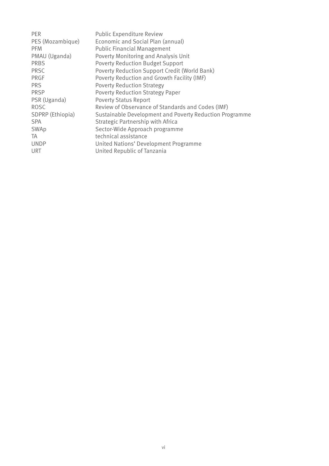| <b>PER</b>       | <b>Public Expenditure Review</b>                        |
|------------------|---------------------------------------------------------|
| PES (Mozambique) | Economic and Social Plan (annual)                       |
| <b>PFM</b>       | <b>Public Financial Management</b>                      |
| PMAU (Uganda)    | <b>Poverty Monitoring and Analysis Unit</b>             |
| <b>PRBS</b>      | <b>Poverty Reduction Budget Support</b>                 |
| <b>PRSC</b>      | Poverty Reduction Support Credit (World Bank)           |
| <b>PRGF</b>      | Poverty Reduction and Growth Facility (IMF)             |
| <b>PRS</b>       | <b>Poverty Reduction Strategy</b>                       |
| <b>PRSP</b>      | <b>Poverty Reduction Strategy Paper</b>                 |
| PSR (Uganda)     | <b>Poverty Status Report</b>                            |
| <b>ROSC</b>      | Review of Observance of Standards and Codes (IMF)       |
| SDPRP (Ethiopia) | Sustainable Development and Poverty Reduction Programme |
| <b>SPA</b>       | Strategic Partnership with Africa                       |
| SWAp             | Sector-Wide Approach programme                          |
| TA               | technical assistance                                    |
| <b>UNDP</b>      | United Nations' Development Programme                   |
| URT              | United Republic of Tanzania                             |
|                  |                                                         |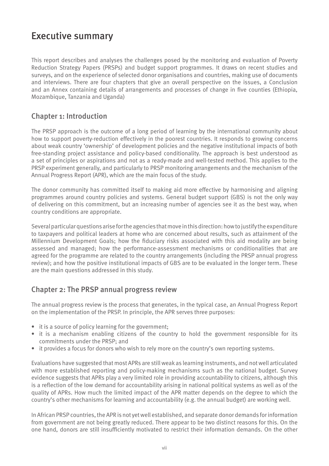## Executive summary

This report describes and analyses the challenges posed by the monitoring and evaluation of Poverty Reduction Strategy Papers (PRSPs) and budget support programmes. It draws on recent studies and surveys, and on the experience of selected donor organisations and countries, making use of documents and interviews. There are four chapters that give an overall perspective on the issues, a Conclusion and an Annex containing details of arrangements and processes of change in five counties (Ethiopia, Mozambique, Tanzania and Uganda)

### Chapter 1: Introduction

The PRSP approach is the outcome of a long period of learning by the international community about how to support poverty-reduction effectively in the poorest countries. It responds to growing concerns about weak country 'ownership' of development policies and the negative institutional impacts of both free-standing project assistance and policy-based conditionality. The approach is best understood as a set of principles or aspirations and not as a ready-made and well-tested method. This applies to the PRSP experiment generally, and particularly to PRSP monitoring arrangements and the mechanism of the Annual Progress Report (APR), which are the main focus of the study.

The donor community has committed itself to making aid more effective by harmonising and aligning programmes around country policies and systems. General budget support (GBS) is not the only way of delivering on this commitment, but an increasing number of agencies see it as the best way, when country conditions are appropriate.

Several particular questions arise for the agencies that move in this direction: how to justify the expenditure to taxpayers and political leaders at home who are concerned about results, such as attainment of the Millennium Development Goals; how the fiduciary risks associated with this aid modality are being assessed and managed; how the performance-assessment mechanisms or conditionalities that are agreed for the programme are related to the country arrangements (including the PRSP annual progress review); and how the positive institutional impacts of GBS are to be evaluated in the longer term. These are the main questions addressed in this study.

### Chapter 2: The PRSP annual progress review

The annual progress review is the process that generates, in the typical case, an Annual Progress Report on the implementation of the PRSP. In principle, the APR serves three purposes:

- it is a source of policy learning for the government;
- it is a mechanism enabling citizens of the country to hold the government responsible for its commitments under the PRSP; and
- it provides a focus for donors who wish to rely more on the country's own reporting systems.

Evaluations have suggested that most APRs are still weak as learning instruments, and not well articulated with more established reporting and policy-making mechanisms such as the national budget. Survey evidence suggests that APRs play a very limited role in providing accountability to citizens, although this is a reflection of the low demand for accountability arising in national political systems as well as of the quality of APRs. How much the limited impact of the APR matter depends on the degree to which the country's other mechanisms for learning and accountability (e.g. the annual budget) are working well.

In African PRSP countries, the APR is not yet well established, and separate donor demands for information from government are not being greatly reduced. There appear to be two distinct reasons for this. On the one hand, donors are still insufficiently motivated to restrict their information demands. On the other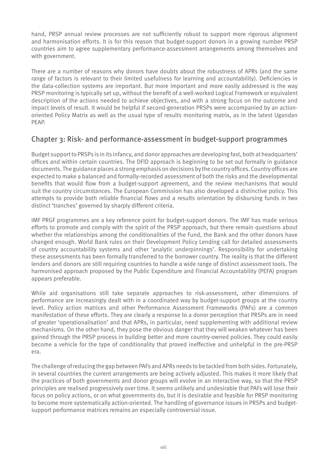hand, PRSP annual review processes are not sufficiently robust to support more rigorous alignment and harmonisation efforts. It is for this reason that budget-support donors in a growing number PRSP countries aim to agree supplementary performance-assessment arrangements among themselves and with government.

There are a number of reasons why donors have doubts about the robustness of APRs (and the same range of factors is relevant to their limited usefulness for learning and accountability). Deficiencies in the data-collection systems are important. But more important and more easily addressed is the way PRSP monitoring is typically set up, without the benefit of a well-worked Logical Framework or equivalent description of the actions needed to achieve objectives, and with a strong focus on the outcome and impact levels of result. It would be helpful if second-generation PRSPs were accompanied by an actionoriented Policy Matrix as well as the usual type of results monitoring matrix, as in the latest Ugandan PEAP.

#### Chapter 3: Risk- and performance-assessment in budget-support programmes

Budget support to PRSPs is in its infancy, and donor approaches are developing fast, both at headquarters' offices and within certain countries. The DFID approach is beginning to be set out formally in guidance documents. The guidance places a strong emphasis on decisions by the country offices. Country offices are expected to make a balanced and formally-recorded assessment of both the risks and the developmental benefits that would flow from a budget-support agreement, and the review mechanisms that would suit the country circumstances. The European Commission has also developed a distinctive policy. This attempts to provide both reliable financial flows and a results orientation by disbursing funds in two distinct 'tranches' governed by sharply different criteria.

IMF PRGF programmes are a key reference point for budget-support donors. The IMF has made serious efforts to promote and comply with the spirit of the PRSP approach, but there remain questions about whether the relationships among the conditionalities of the Fund, the Bank and the other donors have changed enough. World Bank rules on their Development Policy Lending call for detailed assessments of country accountability systems and other 'analytic underpinnings'. Responsibility for undertaking these assessments has been formally transferred to the borrower country. The reality is that the different lenders and donors are still requiring countries to handle a wide range of distinct assessment tools. The harmonised approach proposed by the Public Expenditure and Financial Accountability (PEFA) program appears preferable.

While aid organisations still take separate approaches to risk-assessment, other dimensions of performance are increasingly dealt with in a coordinated way by budget-support groups at the country level. Policy action matrices and other Performance Assessment Frameworks (PAFs) are a common manifestation of these efforts. They are clearly a response to a donor perception that PRSPs are in need of greater 'operationalisation' and that APRs, in particular, need supplementing with additional review mechanisms. On the other hand, they pose the obvious danger that they will weaken whatever has been gained through the PRSP process in building better and more country-owned policies. They could easily become a vehicle for the type of conditionality that proved ineffective and unhelpful in the pre-PRSP era.

The challenge of reducing the gap between PAFs and APRs needs to be tackled from both sides. Fortunately, in several countries the current arrangements are being actively adjusted. This makes it more likely that the practices of both governments and donor groups will evolve in an interactive way, so that the PRSP principles are realised progressively over time. It seems unlikely and undesirable that PAFs will lose their focus on policy actions, or on what governments do, but it is desirable and feasible for PRSP monitoring to become more systematically action-oriented. The handling of governance issues in PRSPs and budgetsupport performance matrices remains an especially controversial issue.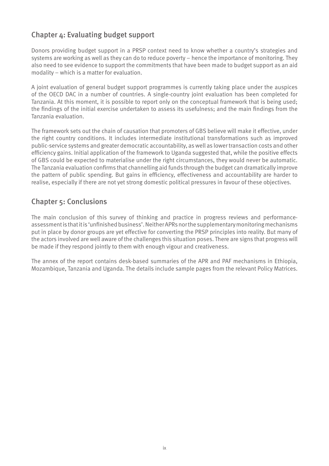### Chapter 4: Evaluating budget support

Donors providing budget support in a PRSP context need to know whether a country's strategies and systems are working as well as they can do to reduce poverty – hence the importance of monitoring. They also need to see evidence to support the commitments that have been made to budget support as an aid modality – which is a matter for evaluation.

A joint evaluation of general budget support programmes is currently taking place under the auspices of the OECD DAC in a number of countries. A single-country joint evaluation has been completed for Tanzania. At this moment, it is possible to report only on the conceptual framework that is being used; the findings of the initial exercise undertaken to assess its usefulness; and the main findings from the Tanzania evaluation.

The framework sets out the chain of causation that promoters of GBS believe will make it effective, under the right country conditions. It includes intermediate institutional transformations such as improved public-service systems and greater democratic accountability, as well as lower transaction costs and other efficiency gains. Initial application of the framework to Uganda suggested that, while the positive effects of GBS could be expected to materialise under the right circumstances, they would never be automatic. The Tanzania evaluation confirms that channelling aid funds through the budget can dramatically improve the pattern of public spending. But gains in efficiency, effectiveness and accountability are harder to realise, especially if there are not yet strong domestic political pressures in favour of these objectives.

### Chapter 5: Conclusions

The main conclusion of this survey of thinking and practice in progress reviews and performanceassessment is that it is 'unfinished business'. Neither APRs nor the supplementary monitoring mechanisms put in place by donor groups are yet effective for converting the PRSP principles into reality. But many of the actors involved are well aware of the challenges this situation poses. There are signs that progress will be made if they respond jointly to them with enough vigour and creativeness.

The annex of the report contains desk-based summaries of the APR and PAF mechanisms in Ethiopia, Mozambique, Tanzania and Uganda. The details include sample pages from the relevant Policy Matrices.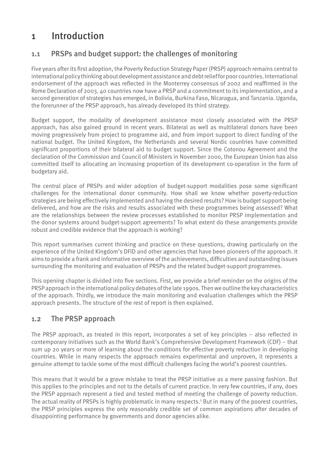## 1 Introduction

## 1.1 PRSPs and budget support: the challenges of monitoring

Five years after its first adoption, the Poverty Reduction Strategy Paper (PRSP) approach remains central to international policy thinking about development assistance and debt relief for poor countries. International endorsement of the approach was reflected in the Monterrey consensus of 2002 and reaffirmed in the Rome Declaration of 2003. 40 countries now have a PRSP and a commitment to its implementation, and a second generation of strategies has emerged, in Bolivia, Burkina Faso, Nicaragua, and Tanzania. Uganda, the forerunner of the PRSP approach, has already developed its third strategy.

Budget support, the modality of development assistance most closely associated with the PRSP approach, has also gained ground in recent years. Bilateral as well as multilateral donors have been moving progressively from project to programme aid, and from import support to direct funding of the national budget. The United Kingdom, the Netherlands and several Nordic countries have committed significant proportions of their bilateral aid to budget support. Since the Cotonou Agreement and the declaration of the Commission and Council of Ministers in November 2000, the European Union has also committed itself to allocating an increasing proportion of its development co-operation in the form of budgetary aid.

The central place of PRSPs and wider adoption of budget-support modalities pose some significant challenges for the international donor community. How shall we know whether poverty-reduction strategies are being effectively implemented and having the desired results? How is budget support being delivered, and how are the risks and results associated with these programmes being assessed? What are the relationships between the review processes established to monitor PRSP implementation and the donor systems around budget-support agreements? To what extent do these arrangements provide robust and credible evidence that the approach is working?

This report summarises current thinking and practice on these questions, drawing particularly on the experience of the United Kingdom's DFID and other agencies that have been pioneers of the approach. It aims to provide a frank and informative overview of the achievements, difficulties and outstanding issues surrounding the monitoring and evaluation of PRSPs and the related budget-support programmes.

This opening chapter is divided into five sections. First, we provide a brief reminder on the origins of the PRSP approach in the international policy debates of the late 1990s. Then we outline the key characteristics of the approach. Thirdly, we introduce the main monitoring and evaluation challenges which the PRSP approach presents. The structure of the rest of report is then explained.

### 1.2 The PRSP approach

The PRSP approach, as treated in this report, incorporates a set of key principles – also reflected in contemporary initiatives such as the World Bank's Comprehensive Development Framework (CDF) – that sum up 20 years or more of learning about the conditions for effective poverty reduction in developing countries. While in many respects the approach remains experimental and unproven, it represents a genuine attempt to tackle some of the most difficult challenges facing the world's poorest countries.

This means that it would be a grave mistake to treat the PRSP initiative as a mere passing fashion. But this applies to the principles and not to the details of current practice. In very few countries, if any, does the PRSP approach represent a tied and tested method of meeting the challenge of poverty reduction. The actual reality of PRSPs is highly problematic in many respects.<sup>1</sup> But in many of the poorest countries, the PRSP principles express the only reasonably credible set of common aspirations after decades of disappointing performance by governments and donor agencies alike.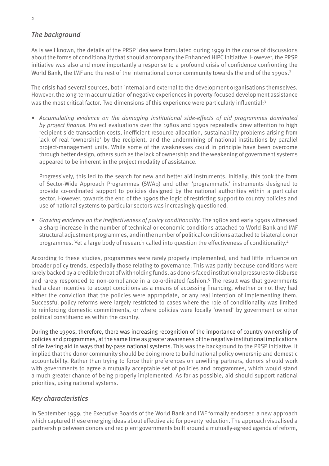#### *The background*

As is well known, the details of the PRSP idea were formulated during 1999 in the course of discussions about the forms of conditionality that should accompany the Enhanced HIPC Initiative. However, the PRSP initiative was also and more importantly a response to a profound crisis of confidence confronting the World Bank, the IMF and the rest of the international donor community towards the end of the 1990s.<sup>2</sup>

The crisis had several sources, both internal and external to the development organisations themselves. However, the long-term accumulation of negative experiences in poverty-focused development assistance was the most critical factor. Two dimensions of this experience were particularly influential:<sup>3</sup>

• Accumulating evidence on the damaging institutional side-effects of aid programmes dominated *by project finance.* Project evaluations over the 1980s and 1990s repeatedly drew attention to high recipient-side transaction costs, inefficient resource allocation, sustainability problems arising from lack of real 'ownership' by the recipient, and the undermining of national institutions by parallel project-management units. While some of the weaknesses could in principle have been overcome through better design, others such as the lack of ownership and the weakening of government systems appeared to be inherent in the project modality of assistance.

Progressively, this led to the search for new and better aid instruments. Initially, this took the form of Sector-Wide Approach Programmes (SWAp) and other 'programmatic' instruments designed to provide co-ordinated support to policies designed by the national authorities within a particular sector. However, towards the end of the 1990s the logic of restricting support to country policies and use of national systems to particular sectors was increasingly questioned.

*Growing evidence on the ineffectiveness of policy conditionality*. The 1980s and early 1990s witnessed *•*a sharp increase in the number of technical or economic conditions attached to World Bank and IMF structural adjustment programmes, and in the number of political conditions attached to bilateral donor programmes. Yet a large body of research called into question the effectiveness of conditionality.4

According to these studies, programmes were rarely properly implemented, and had little influence on broader policy trends, especially those relating to governance. This was partly because conditions were rarely backed by a credible threat of withholding funds, as donors faced institutional pressures to disburse and rarely responded to non-compliance in a co-ordinated fashion.<sup>5</sup> The result was that governments had a clear incentive to accept conditions as a means of accessing financing, whether or not they had either the conviction that the policies were appropriate, or any real intention of implementing them. Successful policy reforms were largely restricted to cases where the role of conditionality was limited to reinforcing domestic commitments, or where policies were locally 'owned' by government or other political constituencies within the country.

During the 1990s, therefore, there was increasing recognition of the importance of country ownership of policies and programmes, at the same time as greater awareness of the negative institutional implications of delivering aid in ways that by-pass national systems. This was the background to the PRSP initiative. It implied that the donor community should be doing more to build national policy ownership and domestic accountability. Rather than trying to force their preferences on unwilling partners, donors should work with governments to agree a mutually acceptable set of policies and programmes, which would stand a much greater chance of being properly implemented. As far as possible, aid should support national priorities, using national systems.

#### *Key characteristics*

In September 1999, the Executive Boards of the World Bank and IMF formally endorsed a new approach which captured these emerging ideas about effective aid for poverty reduction. The approach visualised a partnership between donors and recipient governments built around a mutually-agreed agenda of reform,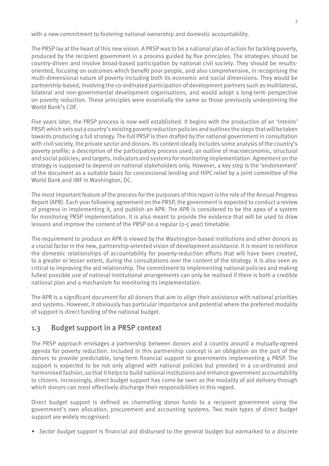with a new commitment to fostering national ownership and domestic accountability.

The PRSP lay at the heart of this new vision. A PRSP was to be a national plan of action for tackling poverty, produced by the recipient government in a process guided by five principles. The strategies should be country-driven and involve broad-based participation by national civil society. They should be resultsoriented, focusing on outcomes which benefit poor people, and also comprehensive, in recognising the multi-dimensional nature of poverty including both its economic and social dimensions. They would be partnership-based, involving the co-ordinated participation of development partners such as multilateral, bilateral and non-governmental development organisations, and would adopt a long-term perspective on poverty reduction. These principles were essentially the same as those previously underpinning the World Bank's CDF.

Five years later, the PRSP process is now well established. It begins with the production of an 'Interim' PRSP, which sets out a country's existing poverty reduction policies and outlines the steps that will be taken towards producing a full strategy. The full PRSP is then drafted by the national government in consultation with civil society, the private sector and donors. Its content ideally includes some analysis of the country's poverty profile; a description of the participatory process used; an outline of macroeconomic, structural and social policies; and targets, indicators and systems for monitoring implementation. Agreement on the strategy is supposed to depend on national stakeholders only. However, a key step is the 'endorsement' of the document as a suitable basis for concessional lending and HIPC relief by a joint committee of the World Bank and IMF in Washington, DC.

The most important feature of the process for the purposes of this report is the role of the Annual Progress Report (APR). Each year following agreement on the PRSP, the government is expected to conduct a review of progress in implementing it, and publish an APR. The APR is considered to be the apex of a system for monitoring PRSP implementation. It is also meant to provide the evidence that will be used to draw lessons and improve the content of the PRSP on a regular (2-5 year) timetable.

The requirement to produce an APR is viewed by the Washington-based institutions and other donors as a crucial factor in the new, partnership-oriented vision of development assistance. It is meant to reinforce the domestic relationships of accountability for poverty-reduction efforts that will have been created, to a greater or lesser extent, during the consultations over the content of the strategy. It is also seen as critical to improving the aid relationship. The commitment to implementing national policies and making fullest possible use of national institutional arrangements can only be realised if there is both a credible national plan and a mechanism for monitoring its implementation.

The APR is a significant document for all donors that aim to align their assistance with national priorities and systems. However, it obviously has particular importance and potential where the preferred modality of support is direct funding of the national budget.

#### 1.3 Budget support in a PRSP context

The PRSP approach envisages a partnership between donors and a country around a mutually-agreed agenda for poverty reduction. Included in this partnership concept is an obligation on the part of the donors to provide predictable, long-term financial support to governments implementing a PRSP. The support is expected to be not only aligned with national policies but provided in a co-ordinated and harmonised fashion, so that it helps to build national institutions and enhance government accountability to citizens. Increasingly, direct budget support has come be seen as the modality of aid delivery through which donors can most effectively discharge their responsibilities in this regard.

Direct budget support is defined as channelling donor funds to a recipient government using the government's own allocation, procurement and accounting systems. Two main types of direct budget support are widely recognised:

*• Sector budget support* is financial aid disbursed to the general budget but earmarked to a discrete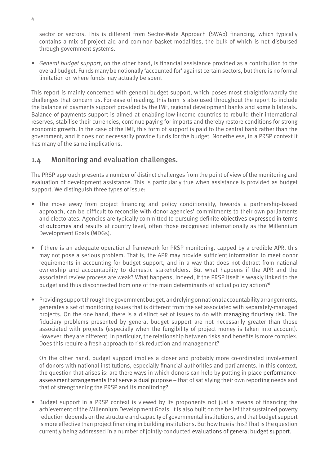sector or sectors. This is different from Sector-Wide Approach (SWAp) financing, which typically contains a mix of project aid and common-basket modalities, the bulk of which is not disbursed through government systems.

*General budget support*, on the other hand, is financial assistance provided as a contribution to the *•* overall budget. Funds many be notionally 'accounted for' against certain sectors, but there is no formal limitation on where funds may actually be spent

This report is mainly concerned with general budget support, which poses most straightforwardly the challenges that concern us. For ease of reading, this term is also used throughout the report to include the balance of payments support provided by the IMF, regional development banks and some bilaterals. Balance of payments support is aimed at enabling low-income countries to rebuild their international reserves, stabilise their currencies, continue paying for imports and thereby restore conditions for strong economic growth. In the case of the IMF, this form of support is paid to the central bank rather than the government, and it does not necessarily provide funds for the budget. Nonetheless, in a PRSP context it has many of the same implications.

#### 1.4 Monitoring and evaluation challenges.

The PRSP approach presents a number of distinct challenges from the point of view of the monitoring and evaluation of development assistance. This is particularly true when assistance is provided as budget support. We distinguish three types of issue:

- The move away from project financing and policy conditionality, towards a partnership-based approach, can be difficult to reconcile with donor agencies' commitments to their own parliaments and electorates. Agencies are typically committed to pursuing definite objectives expressed in terms of outcomes and results at country level, often those recognised internationally as the Millennium Development Goals (MDGs).
- If there is an adequate operational framework for PRSP monitoring, capped by a credible APR, this may not pose a serious problem. That is, the APR may provide sufficient information to meet donor requirements in accounting for budget support, and in a way that does not detract from national ownership and accountability to domestic stakeholders. But what happens if the APR and the associated review process are weak? What happens, indeed, if the PRSP itself is weakly linked to the budget and thus disconnected from one of the main determinants of actual policy action?<sup>6</sup>
- Providing support through the government budget, and relying on national accountability arrangements, generates a set of monitoring issues that is different from the set associated with separately-managed projects. On the one hand, there is a distinct set of issues to do with managing fiduciary risk. The fiduciary problems presented by general budget support are not necessarily greater than those associated with projects (especially when the fungibility of project money is taken into account). However, they are different. In particular, the relationship between risks and benefits is more complex. Does this require a fresh approach to risk reduction and management?

On the other hand, budget support implies a closer and probably more co-ordinated involvement of donors with national institutions, especially financial authorities and parliaments. In this context, the question that arises is: are there ways in which donors can help by putting in place performanceassessment arrangements that serve a dual purpose – that of satisfying their own reporting needs and that of strengthening the PRSP and its monitoring?

• Budget support in a PRSP context is viewed by its proponents not just a means of financing the achievement of the Millennium Development Goals. It is also built on the belief that sustained poverty reduction depends on the structure and capacity of governmental institutions, and that budget support is more effective than project financing in building institutions. But how true is this? That is the question currently being addressed in a number of jointly-conducted evaluations of general budget support.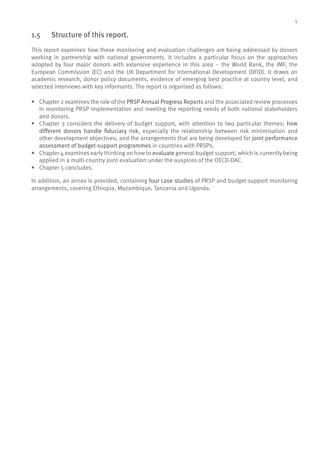#### 1.5 Structure of this report.

This report examines how these monitoring and evaluation challenges are being addressed by donors working in partnership with national governments. It includes a particular focus on the approaches adopted by four major donors with extensive experience in this area – the World Bank, the IMF, the European Commission (EC) and the UK Department for International Development (DFID). It draws on academic research, donor policy documents, evidence of emerging best practice at country level, and selected interviews with key informants. The report is organised as follows:

- Chapter 2 examines the role of the PRSP Annual Progress Reports and the associated review processes in monitoring PRSP implementation and meeting the reporting needs of both national stakeholders and donors.
- Chapter 3 considers the delivery of budget support, with attention to two particular themes: how different donors handle fiduciary risk, especially the relationship between risk minimisation and other development objectives; and the arrangements that are being developed for joint performance assessment of budget-support programmes in countries with PRSPs.
- Chapter 4 examines early thinking on how to evaluate general budget support, which is currently being applied in a multi-country joint evaluation under the auspices of the OECD-DAC.
- Chapter 5 concludes.

In addition, an annex is provided, containing four case studies of PRSP and budget-support monitoring arrangements, covering Ethiopia, Mozambique, Tanzania and Uganda.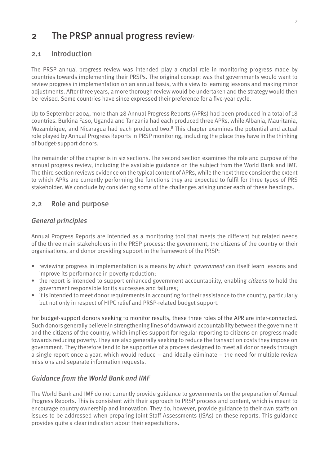## 2 The PRSP annual progress review

#### 2.1 Introduction

The PRSP annual progress review was intended play a crucial role in monitoring progress made by countries towards implementing their PRSPs. The original concept was that governments would want to review progress in implementation on an annual basis, with a view to learning lessons and making minor adjustments. After three years, a more thorough review would be undertaken and the strategy would then be revised. Some countries have since expressed their preference for a five-year cycle.

Up to September 2004, more than 28 Annual Progress Reports (APRs) had been produced in a total of 18 countries. Burkina Faso, Uganda and Tanzania had each produced three APRs, while Albania, Mauritania, Mozambique, and Nicaragua had each produced two.<sup>8</sup> This chapter examines the potential and actual role played by Annual Progress Reports in PRSP monitoring, including the place they have in the thinking of budget-support donors.

The remainder of the chapter is in six sections. The second section examines the role and purpose of the annual progress review, including the available guidance on the subject from the World Bank and IMF. The third section reviews evidence on the typical content of APRs, while the next three consider the extent to which APRs are currently performing the functions they are expected to fulfil for three types of PRS stakeholder. We conclude by considering some of the challenges arising under each of these headings.

#### 2.2 Role and purpose

#### *General principles*

Annual Progress Reports are intended as a monitoring tool that meets the different but related needs of the three main stakeholders in the PRSP process: the government, the citizens of the country or their organisations, and donor providing support in the framework of the PRSP:

- reviewing progress in implementation is a means by which *government* can itself learn lessons and improve its performance in poverty reduction;
- the report is intended to support enhanced government accountability, enabling *citizens* to hold the government responsible for its successes and failures;
- it is intended to meet donor requirements in accounting for their assistance to the country, particularly but not only in respect of HIPC relief and PRSP-related budget support.

For budget-support donors seeking to monitor results, these three roles of the APR are inter-connected. Such donors generally believe in strengthening lines of downward accountability between the government and the citizens of the country, which implies support for regular reporting to citizens on progress made towards reducing poverty. They are also generally seeking to reduce the transaction costs they impose on government. They therefore tend to be supportive of a process designed to meet all donor needs through a single report once a year, which would reduce – and ideally eliminate – the need for multiple review missions and separate information requests.

#### *Guidance from the World Bank and IMF*

The World Bank and IMF do not currently provide guidance to governments on the preparation of Annual Progress Reports. This is consistent with their approach to PRSP process and content, which is meant to encourage country ownership and innovation. They do, however, provide guidance to their own staffs on issues to be addressed when preparing Joint Staff Assessments (JSAs) on these reports. This guidance provides quite a clear indication about their expectations.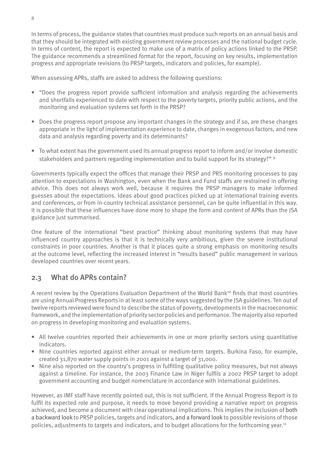In terms of process, the guidance states that countries must produce such reports on an annual basis and that they should be integrated with existing government review processes and the national budget cycle. In terms of content, the report is expected to make use of a matrix of policy actions linked to the PRSP. The guidance recommends a streamlined format for the report, focusing on key results, implementation progress and appropriate revisions (to PRSP targets, indicators and policies, for example).

When assessing APRs, staffs are asked to address the following questions:

- "Does the progress report provide sufficient information and analysis regarding the achievements and shortfalls experienced to date with respect to the poverty targets, priority public actions, and the monitoring and evaluation systems set forth in the PRSP?
- Does the progress report propose any important changes in the strategy and if so, are these changes appropriate in the light of implementation experience to date, changes in exogenous factors, and new data and analysis regarding poverty and its determinants?
- To what extent has the government used its annual progress report to inform and/or involve domestic stakeholders and partners regarding implementation and to build support for its strategy?" <sup>9</sup>

Governments typically expect the offices that manage their PRSP and PRS monitoring processes to pay attention to expectations in Washington, even when the Bank and Fund staffs are restrained in offering advice. This does not always work well, because it requires the PRSP managers to make informed guesses about the expectations. Ideas about good practices picked up at international training events and conferences, or from in-country technical assistance personnel, can be quite influential in this way. It is possible that these influences have done more to shape the form and content of APRs than the JSA guidance just summarised.

One feature of the international "best practice" thinking about monitoring systems that may have influenced country approaches is that it is technically very ambitious, given the severe institutional constraints in poor countries. Another is that it places quite a strong emphasis on monitoring results at the outcome level, reflecting the increased interest in "results based" public management in various developed countries over recent years.

### 2.3 What do APRs contain?

A recent review by the Operations Evaluation Department of the World Bank<sup>10</sup> finds that most countries are using Annual Progress Reports in at least some of the ways suggested by the JSA guidelines. Ten out of twelve reports reviewed were found to describe the status of poverty, developments in the macroeconomic framework, and the implementation of priority sector policies and performance. The majority also reported on progress in developing monitoring and evaluation systems.

- All twelve countries reported their achievements in one or more priority sectors using quantitative indicators.
- Nine countries reported against either annual or medium-term targets. Burkina Faso, for example, created 31,870 water supply points in 2001 against a target of 31,000.
- Nine also reported on the country's progress in fulfilling qualitative policy measures, but not always against a timeline. For instance, the 2003 Finance Law in Niger fulfils a 2002 PRSP target to adopt government accounting and budget nomenclature in accordance with international guidelines.

However, as IMF staff have recently pointed out, this is not sufficient. If the Annual Progress Report is to fulfil its expected role and purpose, it needs to move beyond providing a narrative report on progress achieved, and become a document with clear operational implications. This implies the inclusion of both a backward look to PRSP policies, targets and indicators, and a forward look to possible revisions of those policies, adjustments to targets and indicators, and to budget allocations for the forthcoming year.<sup>11</sup>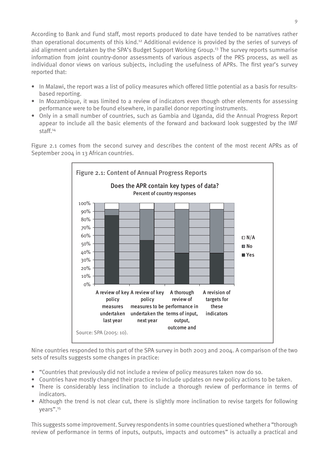According to Bank and Fund staff, most reports produced to date have tended to be narratives rather than operational documents of this kind.12 Additional evidence is provided by the series of surveys of aid alignment undertaken by the SPA's Budget Support Working Group.<sup>13</sup> The survey reports summarise information from joint country-donor assessments of various aspects of the PRS process, as well as individual donor views on various subjects, including the usefulness of APRs. The first year's survey reported that:

- In Malawi, the report was a list of policy measures which offered little potential as a basis for resultsbased reporting.
- In Mozambique, it was limited to a review of indicators even though other elements for assessing performance were to be found elsewhere, in parallel donor reporting instruments.
- Only in a small number of countries, such as Gambia and Uganda, did the Annual Progress Report appear to include all the basic elements of the forward and backward look suggested by the IMF staff.14

Figure 2.1 comes from the second survey and describes the content of the most recent APRs as of September 2004 in 13 African countries.



Nine countries responded to this part of the SPA survey in both 2003 and 2004. A comparison of the two sets of results suggests some changes in practice:

- "Countries that previously did not include a review of policy measures taken now do so.
- Countries have mostly changed their practice to include updates on new policy actions to be taken. •
- There is considerably less inclination to include a thorough review of performance in terms of indicators.
- Although the trend is not clear cut, there is slightly more inclination to revise targets for following years".15

This suggests some improvement. Survey respondents in some countries questioned whether a "thorough review of performance in terms of inputs, outputs, impacts and outcomes" is actually a practical and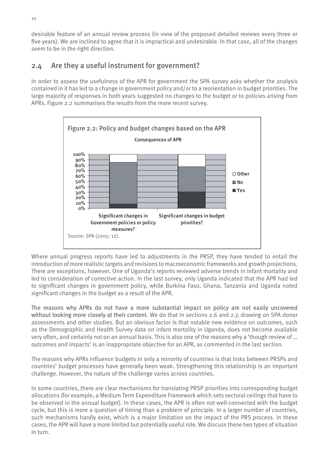desirable feature of an annual review process (in view of the proposed detailed reviews every three or five years). We are inclined to agree that it is impractical and undesirable. In that case, all of the changes seem to be in the right direction.

### 2.4 Are they a useful instrument for government?

In order to assess the usefulness of the APR for government the SPA survey asks whether the analysis contained in it has led to a change in government policy and/or to a reorientation in budget priorities. The large majority of responses in both years suggested no changes to the budget or to policies arising from APRs. Figure 2.2 summarises the results from the more recent survey.



Where annual progress reports have led to adjustments in the PRSP, they have tended to entail the introduction of more realistic targets and revisions to macroeconomic frameworks and growth projections. There are exceptions, however. One of Uganda's reports reviewed adverse trends in infant mortality and led to consideration of corrective action. In the last survey, only Uganda indicated that the APR had led to significant changes in government policy, while Burkina Faso, Ghana, Tanzania and Uganda noted significant changes in the budget as a result of the APR.

The reasons why APRs do not have a more substantial impact on policy are not easily uncovered without looking more closely at their content. We do that in sections 2.6 and 2.7, drawing on SPA donor assessments and other studies. But an obvious factor is that notable new evidence on outcomes, such as the Demographic and Health Survey data on infant mortality in Uganda, does not become available very often, and certainly not on an annual basis. This is also one of the reasons why a 'though review of … outcomes and impacts' is an inappropriate objective for an APR, as commented in the last section.

The reasons why APRs influence budgets in only a minority of countries is that links between PRSPs and countries' budget processes have generally been weak. Strengthening this relationship is an important challenge. However, the nature of the challenge varies across countries.

In some countries, there are clear mechanisms for translating PRSP priorities into corresponding budget allocations (for example, a Medium Term Expenditure Framework which sets sectoral ceilings that have to be observed in the annual budget). In these cases, the APR is often not well-connected with the budget cycle, but this is more a question of timing than a problem of principle. In a larger number of countries, such mechanisms hardly exist, which is a major limitation on the impact of the PRS process. In these cases, the APR will have a more limited but potentially useful role. We discuss these two types of situation in turn.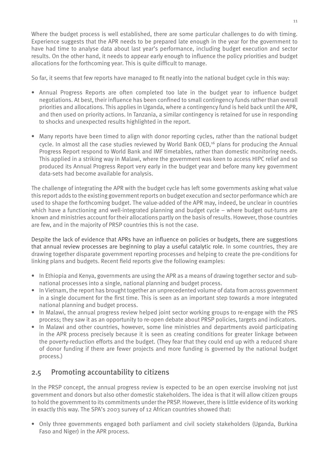Where the budget process is well established, there are some particular challenges to do with timing. Experience suggests that the APR needs to be prepared late enough in the year for the government to have had time to analyse data about last year's performance, including budget execution and sector results. On the other hand, it needs to appear early enough to influence the policy priorities and budget allocations for the forthcoming year. This is quite difficult to manage.

So far, it seems that few reports have managed to fit neatly into the national budget cycle in this way:

- Annual Progress Reports are often completed too late in the budget year to influence budget negotiations. At best, their influence has been confined to small contingency funds rather than overall priorities and allocations. This applies in Uganda, where a contingency fund is held back until the APR, and then used on priority actions. In Tanzania, a similar contingency is retained for use in responding to shocks and unexpected results highlighted in the report.
- Many reports have been timed to align with donor reporting cycles, rather than the national budget cycle. In almost all the case studies reviewed by World Bank OED,<sup>16</sup> plans for producing the Annual Progress Report respond to World Bank and IMF timetables, rather than domestic monitoring needs. This applied in a striking way in Malawi, where the government was keen to access HIPC relief and so produced its Annual Progress Report very early in the budget year and before many key government data-sets had become available for analysis.

The challenge of integrating the APR with the budget cycle has left some governments asking what value this report adds to the existing government reports on budget execution and sector performance which are used to shape the forthcoming budget. The value-added of the APR may, indeed, be unclear in countries which have a functioning and well-integrated planning and budget cycle – where budget out-turns are known and ministries account for their allocations partly on the basis of results. However, those countries are few, and in the majority of PRSP countries this is not the case.

Despite the lack of evidence that APRs have an influence on policies or budgets, there are suggestions that annual review processes are beginning to play a useful catalytic role. In some countries, they are drawing together disparate government reporting processes and helping to create the pre-conditions for linking plans and budgets. Recent field reports give the following examples:

- In Ethiopia and Kenya, governments are using the APR as a means of drawing together sector and subnational processes into a single, national planning and budget process.
- In Vietnam, the report has brought together an unprecedented volume of data from across government in a single document for the first time. This is seen as an important step towards a more integrated national planning and budget process.
- In Malawi, the annual progress review helped joint sector working groups to re-engage with the PRS process; they saw it as an opportunity to re-open debate about PRSP policies, targets and indicators.
- In Malawi and other countries, however, some line ministries and departments avoid participating in the APR process precisely because it is seen as creating conditions for greater linkage between the poverty-reduction efforts and the budget. (They fear that they could end up with a reduced share of donor funding if there are fewer projects and more funding is governed by the national budget process.)

#### 2.5 Promoting accountability to citizens

In the PRSP concept, the annual progress review is expected to be an open exercise involving not just government and donors but also other domestic stakeholders. The idea is that it will allow citizen groups to hold the government to its commitments under the PRSP. However, there is little evidence of its working in exactly this way. The SPA's 2003 survey of 12 African countries showed that:

• Only three governments engaged both parliament and civil society stakeholders (Uganda, Burkina Faso and Niger) in the APR process.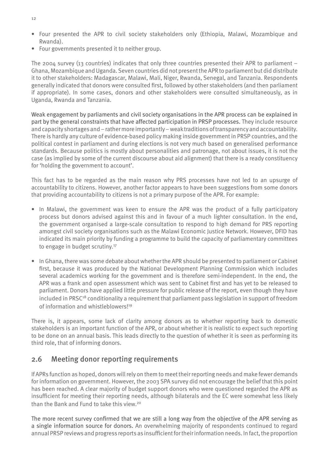- Four presented the APR to civil society stakeholders only (Ethiopia, Malawi, Mozambique and Rwanda).
- Four governments presented it to neither group. •

The 2004 survey (13 countries) indicates that only three countries presented their APR to parliament  $-$ Ghana, Mozambique and Uganda. Seven countries did not present the APR to parliament but did distribute it to other stakeholders: Madagascar, Malawi, Mali, Niger, Rwanda, Senegal, and Tanzania. Respondents generally indicated that donors were consulted first, followed by other stakeholders (and then parliament if appropriate). In some cases, donors and other stakeholders were consulted simultaneously, as in Uganda, Rwanda and Tanzania.

Weak engagement by parliaments and civil society organisations in the APR process can be explained in part by the general constraints that have affected participation in PRSP processes. They include resource and capacity shortages and – rather more importantly – weak traditions of transparency and accountability. There is hardly any culture of evidence-based policy making inside government in PRSP countries, and the political contest in parliament and during elections is not very much based on generalised performance standards. Because politics is mostly about personalities and patronage, not about issues, it is not the case (as implied by some of the current discourse about aid alignment) that there is a ready constituency for 'holding the government to account'.

This fact has to be regarded as the main reason why PRS processes have not led to an upsurge of accountability to citizens. However, another factor appears to have been suggestions from some donors that providing accountability to citizens is not a primary purpose of the APR. For example:

- In Malawi, the government was keen to ensure the APR was the product of a fully participatory process but donors advised against this and in favour of a much lighter consultation. In the end, the government organised a large-scale consultation to respond to high demand for PRS reporting amongst civil society organisations such as the Malawi Economic Justice Network. However, DFID has indicated its main priority by funding a programme to build the capacity of parliamentary committees to engage in budget scrutiny.<sup>17</sup>
- In Ghana, there was some debate about whether the APR should be presented to parliament or Cabinet first, because it was produced by the National Development Planning Commission which includes several academics working for the government and is therefore semi-independent. In the end, the APR was a frank and open assessment which was sent to Cabinet first and has yet to be released to parliament. Donors have applied little pressure for public release of the report, even though they have included in PRSC<sup>18</sup> conditionality a requirement that parliament pass legislation in support of freedom of information and whistleblowers!<sup>19</sup>

There is, it appears, some lack of clarity among donors as to whether reporting back to domestic stakeholders is an important function of the APR, or about whether it is realistic to expect such reporting to be done on an annual basis. This leads directly to the question of whether it is seen as performing its third role, that of informing donors.

#### 2.6 Meeting donor reporting requirements

If APRs function as hoped, donors will rely on them to meet their reporting needs and make fewer demands for information on government. However, the 2003 SPA survey did not encourage the belief that this point has been reached. A clear majority of budget support donors who were questioned regarded the APR as insufficient for meeting their reporting needs, although bilaterals and the EC were somewhat less likely than the Bank and Fund to take this view.20

The more recent survey confirmed that we are still a long way from the objective of the APR serving as a single information source for donors. An overwhelming majority of respondents continued to regard annual PRSP reviews and progress reports as insufficient for their information needs. In fact, the proportion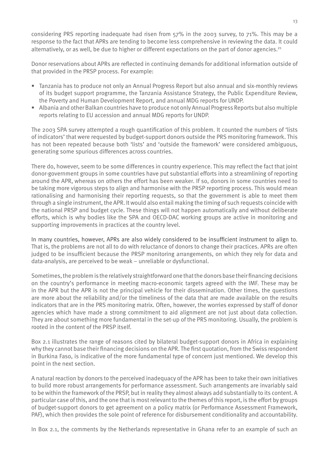considering PRS reporting inadequate had risen from 57% in the 2003 survey, to 71%. This may be a response to the fact that APRs are tending to become less comprehensive in reviewing the data. It could alternatively, or as well, be due to higher or different expectations on the part of donor agencies.<sup>21</sup>

Donor reservations about APRs are reflected in continuing demands for additional information outside of that provided in the PRSP process. For example:

- Tanzania has to produce not only an Annual Progress Report but also annual and six-monthly reviews of its budget support programme, the Tanzania Assistance Strategy, the Public Expenditure Review, the Poverty and Human Development Report, and annual MDG reports for UNDP.
- Albania and other Balkan countries have to produce not only Annual Progress Reports but also multiple •reports relating to EU accession and annual MDG reports for UNDP.

The 2003 SPA survey attempted a rough quantification of this problem. It counted the numbers of 'lists of indicators' that were requested by budget-support donors outside the PRS monitoring framework. This has not been repeated because both 'lists' and 'outside the framework' were considered ambiguous, generating some spurious differences across countries.

There do, however, seem to be some differences in country experience. This may reflect the fact that joint donor-government groups in some countries have put substantial efforts into a streamlining of reporting around the APR, whereas on others the effort has been weaker. If so, donors in some countries need to be taking more vigorous steps to align and harmonise with the PRSP reporting process. This would mean rationalising and harmonising their reporting requests, so that the government is able to meet them through a single instrument, the APR. It would also entail making the timing of such requests coincide with the national PRSP and budget cycle. These things will not happen automatically and without deliberate efforts, which is why bodies like the SPA and OECD-DAC working groups are active in monitoring and supporting improvements in practices at the country level.

In many countries, however, APRs are also widely considered to be insufficient instrument to align to. That is, the problems are not all to do with reluctance of donors to change their practices. APRs are often judged to be insufficient because the PRSP monitoring arrangements, on which they rely for data and data-analysis, are perceived to be weak – unreliable or dysfunctional.

Sometimes, the problem is the relatively straightforward one that the donors base their financing decisions on the country's performance in meeting macro-economic targets agreed with the IMF. These may be in the APR but the APR is not the principal vehicle for their dissemination. Other times, the questions are more about the reliability and/or the timeliness of the data that are made available on the results indicators that are in the PRS monitoring matrix. Often, however, the worries expressed by staff of donor agencies which have made a strong commitment to aid alignment are not just about data collection. They are about something more fundamental in the set-up of the PRS monitoring. Usually, the problem is rooted in the content of the PRSP itself.

Box 2.1 illustrates the range of reasons cited by bilateral budget-support donors in Africa in explaining why they cannot base their financing decisions on the APR. The first quotation, from the Swiss respondent in Burkina Faso, is indicative of the more fundamental type of concern just mentioned. We develop this point in the next section.

A natural reaction by donors to the perceived inadequacy of the APR has been to take their own initiatives to build more robust arrangements for performance assessment. Such arrangements are invariably said to be within the framework of the PRSP, but in reality they almost always add substantially to its content. A particular case of this, and the one that is most relevant to the themes of this report, is the effort by groups of budget-support donors to get agreement on a policy matrix (or Performance Assessment Framework, PAF), which then provides the sole point of reference for disbursement conditionality and accountability.

In Box 2.1, the comments by the Netherlands representative in Ghana refer to an example of such an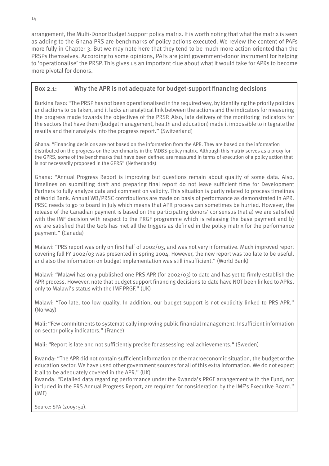arrangement, the Multi-Donor Budget Support policy matrix. It is worth noting that what the matrix is seen as adding to the Ghana PRS are benchmarks of policy actions executed. We review the content of PAFs more fully in Chapter 3. But we may note here that they tend to be much more action oriented than the PRSPs themselves. According to some opinions, PAFs are joint government-donor instrument for helping to 'operationalise' the PRSP. This gives us an important clue about what it would take for APRs to become more pivotal for donors.

#### Box 2.1: Why the APR is not adequate for budget-support financing decisions

Burkina Faso: "The PRSP has not been operationalised in the required way, by identifying the priority policies and actions to be taken, and it lacks an analytical link between the actions and the indicators for measuring the progress made towards the objectives of the PRSP. Also, late delivery of the monitoring indicators for the sectors that have them (budget management, health and education) made it impossible to integrate the results and their analysis into the progress report." (Switzerland)

Ghana: "Financing decisions are not based on the information from the APR. They are based on the information distributed on the progress on the benchmarks in the MDBS-policy matrix. Although this matrix serves as a proxy for the GPRS, some of the benchmarks that have been defined are measured in terms of execution of a policy action that is not necessarily proposed in the GPRS" (Netherlands)

Ghana: "Annual Progress Report is improving but questions remain about quality of some data. Also, timelines on submitting draft and preparing final report do not leave sufficient time for Development Partners to fully analyze data and comment on validity. This situation is partly related to process timelines of World Bank. Annual WB/PRSC contributions are made on basis of performance as demonstrated in APR. PRSC needs to go to board in July which means that APR process can sometimes be hurried. However, the release of the Canadian payment is based on the participating donors' consensus that a) we are satisfied with the IMF decision with respect to the PRGF programme which is releasing the base payment and b) we are satisfied that the GoG has met all the triggers as defined in the policy matrix for the performance payment." (Canada)

Malawi: "PRS report was only on first half of 2002/03, and was not very informative. Much improved report covering full FY 2002/03 was presented in spring 2004. However, the new report was too late to be useful, and also the information on budget implementation was still insufficient." (World Bank)

Malawi: "Malawi has only published one PRS APR (for 2002/03) to date and has yet to firmly establish the APR process. However, note that budget support financing decisions to date have NOT been linked to APRs, only to Malawi's status with the IMF PRGF." (UK)

Malawi: "Too late, too low quality. In addition, our budget support is not explicitly linked to PRS APR." (Norway)

Mali: "Few commitments to systematically improving public financial management. Insufficient information on sector policy indicators." (France)

Mali: "Report is late and not sufficiently precise for assessing real achievements." (Sweden)

Rwanda: "The APR did not contain sufficient information on the macroeconomic situation, the budget or the education sector. We have used other government sources for all of this extra information. We do not expect it all to be adequately covered in the APR." (UK)

Rwanda: "Detailed data regarding performance under the Rwanda's PRGF arrangement with the Fund, not included in the PRS Annual Progress Report, are required for consideration by the IMF's Executive Board." (IMF)

Source: SPA (2005: 52).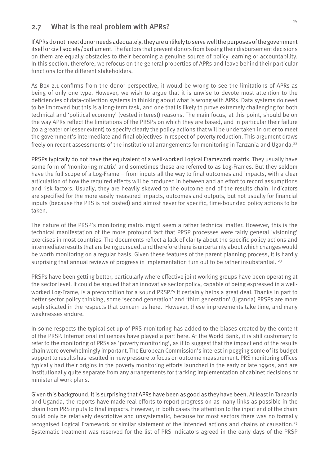#### 2.7 What is the real problem with APRs?

If APRs do not meet donor needs adequately, they are unlikely to serve well the purposes of the government itself or civil society/parliament. The factors that prevent donors from basing their disbursement decisions on them are equally obstacles to their becoming a genuine source of policy learning or accountability. In this section, therefore, we refocus on the general properties of APRs and leave behind their particular functions for the different stakeholders.

As Box 2.1 confirms from the donor perspective, it would be wrong to see the limitations of APRs as being of only one type. However, we wish to argue that it is unwise to devote most attention to the deficiencies of data-collection systems in thinking about what is wrong with APRs. Data systems do need to be improved but this is a long-term task, and one that is likely to prove extremely challenging for both technical and 'political economy' (vested interest) reasons. The main focus, at this point, should be on the way APRs reflect the limitations of the PRSPs on which they are based, and in particular their failure (to a greater or lesser extent) to specify clearly the policy actions that will be undertaken in order to meet the government's intermediate and final objectives in respect of poverty reduction. This argument draws freely on recent assessments of the institutional arrangements for monitoring in Tanzania and Uganda.<sup>22</sup>

PRSPs typically do not have the equivalent of a well-worked Logical Framework matrix. They usually have some form of 'monitoring matrix' and sometimes these are referred to as Log-Frames. But they seldom have the full scope of a Log-Frame – from inputs all the way to final outcomes and impacts, with a clear articulation of how the required effects will be produced in between and an effort to record assumptions and risk factors. Usually, they are heavily skewed to the outcome end of the results chain. Indicators are specified for the more easily measured impacts, outcomes and outputs, but not usually for financial inputs (because the PRS is not costed) and almost never for specific, time-bounded policy actions to be taken.

The nature of the PRSP's monitoring matrix might seem a rather technical matter. However, this is the technical manifestation of the more profound fact that PRSP processes were fairly general 'visioning' exercises in most countries. The documents reflect a lack of clarity about the specific policy actions and intermediate results that are being pursued, and therefore there is uncertainty about which changes would be worth monitoring on a regular basis. Given these features of the parent planning process, it is hardly surprising that annual reviews of progress in implementation turn out to be rather insubstantial.  $^{23}$ 

PRSPs have been getting better, particularly where effective joint working groups have been operating at the sector level. It could be argued that an innovative sector policy, capable of being expressed in a wellworked Log-Frame, is a precondition for a sound PRSP.<sup>24</sup> It certainly helps a great deal. Thanks in part to better sector policy thinking, some 'second generation' and 'third generation' (Uganda) PRSPs are more sophisticated in the respects that concern us here. However, these improvements take time, and many weaknesses endure.

In some respects the typical set-up of PRS monitoring has added to the biases created by the content of the PRSP. International influences have played a part here. At the World Bank, it is still customary to refer to the monitoring of PRSs as 'poverty monitoring', as if to suggest that the impact end of the results chain were overwhelmingly important. The European Commission's interest in pegging some of its budget support to results has resulted in new pressure to focus on outcome measurement. PRS monitoring offices typically had their origins in the poverty monitoring efforts launched in the early or late 1990s, and are institutionally quite separate from any arrangements for tracking implementation of cabinet decisions or ministerial work plans.

Given this background, it is surprising that APRs have been as good as they have been. At least in Tanzania and Uganda, the reports have made real efforts to report progress on as many links as possible in the chain from PRS inputs to final impacts. However, in both cases the attention to the input end of the chain could only be relatively descriptive and unsystematic, because for most sectors there was no formally recognised Logical Framework or similar statement of the intended actions and chains of causation.25 Systematic treatment was reserved for the list of PRS Indicators agreed in the early days of the PRSP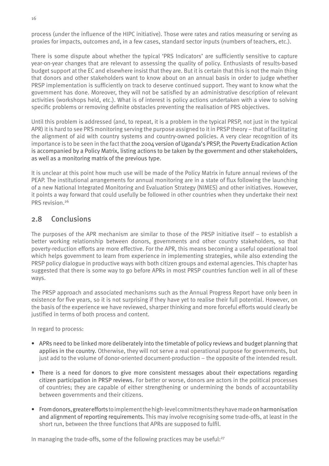process (under the influence of the HIPC initiative). Those were rates and ratios measuring or serving as proxies for impacts, outcomes and, in a few cases, standard sector inputs (numbers of teachers, etc.).

There is some dispute about whether the typical 'PRS Indicators' are sufficiently sensitive to capture year-on-year changes that are relevant to assessing the quality of policy. Enthusiasts of results-based budget support at the EC and elsewhere insist that they are. But it is certain that this is not the main thing that donors and other stakeholders want to know about on an annual basis in order to judge whether PRSP implementation is sufficiently on track to deserve continued support. They want to know what the government has done. Moreover, they will not be satisfied by an administrative description of relevant activities (workshops held, etc.). What is of interest is policy actions undertaken with a view to solving specific problems or removing definite obstacles preventing the realisation of PRS objectives.

Until this problem is addressed (and, to repeat, it is a problem in the typical PRSP, not just in the typical APR) it is hard to see PRS monitoring serving the purpose assigned to it in PRSP theory – that of facilitating the alignment of aid with country systems and country-owned policies. A very clear recognition of its importance is to be seen in the fact that the 2004 version of Uganda's PRSP, the Poverty Eradication Action is accompanied by a Policy Matrix, listing actions to be taken by the government and other stakeholders, as well as a monitoring matrix of the previous type.

It is unclear at this point how much use will be made of the Policy Matrix in future annual reviews of the PEAP. The institutional arrangements for annual monitoring are in a state of flux following the launching of a new National Integrated Monitoring and Evaluation Strategy (NIMES) and other initiatives. However, it points a way forward that could usefully be followed in other countries when they undertake their next PRS revision 26

#### 2.8 Conclusions

The purposes of the APR mechanism are similar to those of the PRSP initiative itself – to establish a better working relationship between donors, governments and other country stakeholders, so that poverty-reduction efforts are more effective. For the APR, this means becoming a useful operational tool which helps government to learn from experience in implementing strategies, while also extending the PRSP policy dialogue in productive ways with both citizen groups and external agencies. This chapter has suggested that there is some way to go before APRs in most PRSP countries function well in all of these ways.

The PRSP approach and associated mechanisms such as the Annual Progress Report have only been in existence for five years, so it is not surprising if they have yet to realise their full potential. However, on the basis of the experience we have reviewed, sharper thinking and more forceful efforts would clearly be justified in terms of both process and content.

In regard to process:

- APRs need to be linked more deliberately into the timetable of policy reviews and budget planning that applies in the country. Otherwise, they will not serve a real operational purpose for governments, but just add to the volume of donor-oriented document-production – the opposite of the intended result.
- There is a need for donors to give more consistent messages about their expectations regarding citizen participation in PRSP reviews. For better or worse, donors are actors in the political processes of countries; they are capable of either strengthening or undermining the bonds of accountability between governments and their citizens.
- From donors, greater efforts to implement the high-level commitments they have made on harmonisation •and alignment of reporting requirements. This may involve recognising some trade-offs, at least in the short run, between the three functions that APRs are supposed to fulfil.

In managing the trade-offs, some of the following practices may be useful:<sup>27</sup>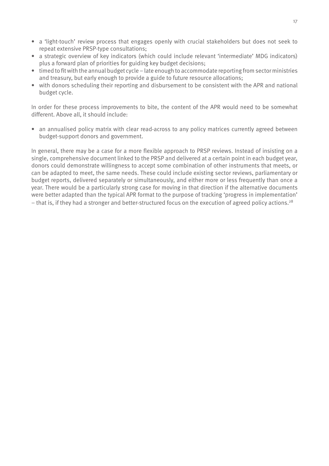- a 'light-touch' review process that engages openly with crucial stakeholders but does not seek to repeat extensive PRSP-type consultations;
- a strategic overview of key indicators (which could include relevant 'intermediate' MDG indicators) plus a forward plan of priorities for guiding key budget decisions;
- timed to fit with the annual budget cycle late enough to accommodate reporting from sector ministries and treasury, but early enough to provide a guide to future resource allocations;
- with donors scheduling their reporting and disbursement to be consistent with the APR and national budget cycle.

In order for these process improvements to bite, the content of the APR would need to be somewhat different. Above all, it should include:

• an annualised policy matrix with clear read-across to any policy matrices currently agreed between budget-support donors and government.

In general, there may be a case for a more flexible approach to PRSP reviews. Instead of insisting on a single, comprehensive document linked to the PRSP and delivered at a certain point in each budget year, donors could demonstrate willingness to accept some combination of other instruments that meets, or can be adapted to meet, the same needs. These could include existing sector reviews, parliamentary or budget reports, delivered separately or simultaneously, and either more or less frequently than once a year. There would be a particularly strong case for moving in that direction if the alternative documents were better adapted than the typical APR format to the purpose of tracking 'progress in implementation'  $-$  that is, if they had a stronger and better-structured focus on the execution of agreed policy actions.<sup>28</sup>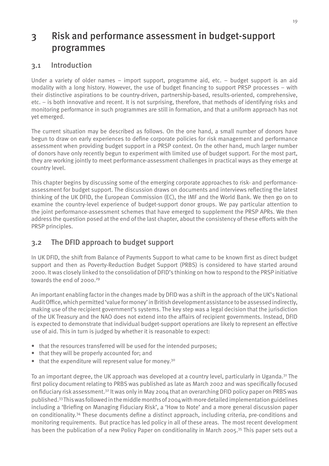## 3 Risk and performance assessment in budget-support programmes

#### 3.1 Introduction

Under a variety of older names – import support, programme aid, etc. – budget support is an aid modality with a long history. However, the use of budget financing to support PRSP processes – with their distinctive aspirations to be country-driven, partnership-based, results-oriented, comprehensive, etc. – is both innovative and recent. It is not surprising, therefore, that methods of identifying risks and monitoring performance in such programmes are still in formation, and that a uniform approach has not yet emerged.

The current situation may be described as follows. On the one hand, a small number of donors have begun to draw on early experiences to define corporate policies for risk management and performance assessment when providing budget support in a PRSP context. On the other hand, much larger number of donors have only recently begun to experiment with limited use of budget support. For the most part, they are working jointly to meet performance-assessment challenges in practical ways as they emerge at country level.

This chapter begins by discussing some of the emerging corporate approaches to risk- and performanceassessment for budget support. The discussion draws on documents and interviews reflecting the latest thinking of the UK DFID, the European Commission (EC), the IMF and the World Bank. We then go on to examine the country-level experience of budget-support donor groups. We pay particular attention to the joint performance-assessment schemes that have emerged to supplement the PRSP APRs. We then address the question posed at the end of the last chapter, about the consistency of these efforts with the PRSP principles.

### 3.2 The DFID approach to budget support

In UK DFID, the shift from Balance of Payments Support to what came to be known first as direct budget support and then as Poverty-Reduction Budget Support (PRBS) is considered to have started around 2000. It was closely linked to the consolidation of DFID's thinking on how to respond to the PRSP initiative towards the end of 2000.<sup>29</sup>

An important enabling factor in the changes made by DFID was a shift in the approach of the UK's National Audit Office, which permitted 'value for money' in British development assistance to be assessed indirectly, making use of the recipient government's systems. The key step was a legal decision that the jurisdiction of the UK Treasury and the NAO does not extend into the affairs of recipient governments. Instead, DFID is expected to demonstrate that individual budget-support operations are likely to represent an effective use of aid. This in turn is judged by whether it is reasonable to expect:

- that the resources transferred will be used for the intended purposes;
- that they will be properly accounted for; and
- that the expenditure will represent value for money.<sup>30</sup>

To an important degree, the UK approach was developed at a country level, particularly in Uganda.31 The first policy document relating to PRBS was published as late as March 2002 and was specifically focused on fiduciary risk assessment.32 It was only in May 2004 that an overarching DFID policy paper on PRBS was published.33 This was followed in the middle months of 2004 with more detailed implementation guidelines including a 'Briefing on Managing Fiduciary Risk', a 'How to Note' and a more general discussion paper on conditionality.34 These documents define a distinct approach, including criteria, pre-conditions and monitoring requirements. But practice has led policy in all of these areas. The most recent development has been the publication of a new Policy Paper on conditionality in March 2005.<sup>35</sup> This paper sets out a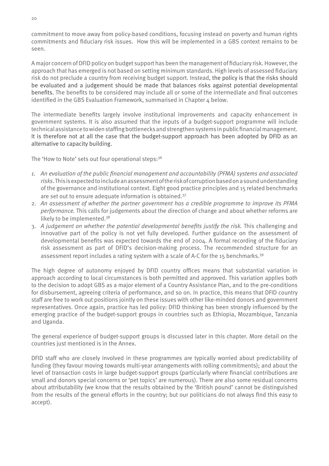commitment to move away from policy-based conditions, focusing instead on poverty and human rights commitments and fiduciary risk issues. How this will be implemented in a GBS context remains to be seen.

A major concern of DFID policy on budget support has been the management of fiduciary risk. However, the approach that has emerged is not based on setting minimum standards. High levels of assessed fiduciary risk do not preclude a country from receiving budget support. Instead, the policy is that the risks should be evaluated and a judgement should be made that balances risks against potential developmental benefits. The benefits to be considered may include all or some of the intermediate and final outcomes identified in the GBS Evaluation Framework, summarised in Chapter 4 below.

The intermediate benefits largely involve institutional improvements and capacity enhancement in government systems. It is also assumed that the inputs of a budget-support programme will include technical assistance to widen staffing bottlenecks and strengthen systems in public financial management. It is therefore not at all the case that the budget-support approach has been adopted by DFID as an alternative to capacity building.

The 'How to Note' sets out four operational steps: 36

- *1. An evaluation of the public financial management and accountability (PFMA) systems and associated risks*. This is expected to include an assessment of the risk of corruption based on a sound understanding of the governance and institutional context. Eight good practice principles and 15 related benchmarks are set out to ensure adequate information is obtained.37
- 2. *An assessment of whether the partner government has a credible programme to improve its PFMA performance.* This calls for judgements about the direction of change and about whether reforms are likely to be implemented.38
- 3. *A judgement on whether the potential developmental benefits justify the risk.* This challenging and innovative part of the policy is not yet fully developed. Further guidance on the assessment of developmental benefits was expected towards the end of 2004. A formal recording of the fiduciary risk assessment as part of DFID's decision-making process. The recommended structure for an assessment report includes a rating system with a scale of A-C for the 15 benchmarks.39

The high degree of autonomy enjoyed by DFID country offices means that substantial variation in approach according to local circumstances is both permitted and approved. This variation applies both to the decision to adopt GBS as a major element of a Country Assistance Plan, and to the pre-conditions for disbursement, agreeing criteria of performance, and so on. In practice, this means that DFID country staff are free to work out positions jointly on these issues with other like-minded donors and government representatives. Once again, practice has led policy: DFID thinking has been strongly influenced by the emerging practice of the budget-support groups in countries such as Ethiopia, Mozambique, Tanzania and Uganda.

The general experience of budget-support groups is discussed later in this chapter. More detail on the countries just mentioned is in the Annex.

DFID staff who are closely involved in these programmes are typically worried about predictability of funding (they favour moving towards multi-year arrangements with rolling commitments); and about the level of transaction costs in large budget-support groups (particularly where financial contributions are small and donors special concerns or 'pet topics' are numerous). There are also some residual concerns about attributability (we know that the results obtained by the 'British pound' cannot be distinguished from the results of the general efforts in the country; but our politicians do not always find this easy to accept).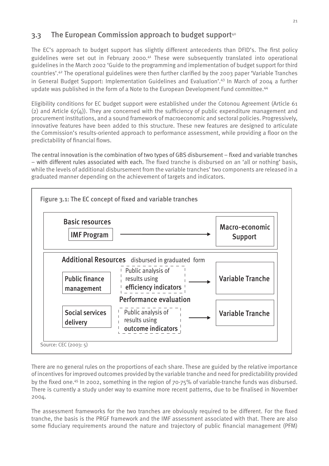### 3.3 The European Commission approach to budget support<sup>40</sup>

The EC's approach to budget support has slightly different antecedents than DFID's. The first policy guidelines were set out in February 2000.<sup>41</sup> These were subsequently translated into operational guidelines in the March 2002 'Guide to the programming and implementation of budget support for third countries'.42 The operational guidelines were then further clarified by the 2003 paper 'Variable Tranches in General Budget Support: Implementation Guidelines and Evaluation'.43 In March of 2004 a further update was published in the form of a Note to the European Development Fund committee.<sup>44</sup>

Eligibility conditions for EC budget support were established under the Cotonou Agreement (Article 61 (2) and Article  $67(4)$ ). They are concerned with the sufficiency of public expenditure management and procurement institutions, and a sound framework of macroeconomic and sectoral policies. Progressively, innovative features have been added to this structure. These new features are designed to articulate the Commission's results-oriented approach to performance assessment, while providing a floor on the predictability of financial flows.

The central innovation is the combination of two types of GBS disbursement – fixed and variable tranches – with different rules associated with each. The fixed tranche is disbursed on an 'all or nothing' basis, while the levels of additional disbursement from the variable tranches' two components are released in a graduated manner depending on the achievement of targets and indicators.



There are no general rules on the proportions of each share. These are guided by the relative importance of incentives for improved outcomes provided by the variable tranche and need for predictability provided by the fixed one.45 In 2002, something in the region of 70-75% of variable-tranche funds was disbursed. There is currently a study under way to examine more recent patterns, due to be finalised in November 2004.

The assessment frameworks for the two tranches are obviously required to be different. For the fixed tranche, the basis is the PRGF framework and the IMF assessment associated with that. There are also some fiduciary requirements around the nature and trajectory of public financial management (PFM)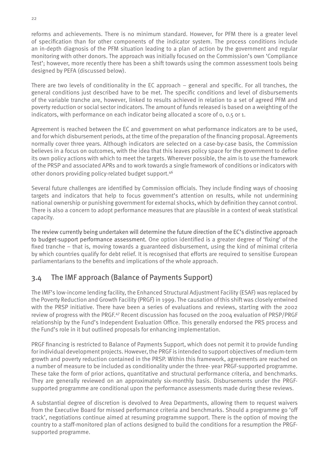reforms and achievements. There is no minimum standard. However, for PFM there is a greater level of specification than for other components of the indicator system. The process conditions include an in-depth diagnosis of the PFM situation leading to a plan of action by the government and regular monitoring with other donors. The approach was initially focused on the Commission's own 'Compliance Test'; however, more recently there has been a shift towards using the common assessment tools being designed by PEFA (discussed below).

There are two levels of conditionality in the EC approach – general and specific. For all tranches, the general conditions just described have to be met. The specific conditions and level of disbursements of the variable tranche are, however, linked to results achieved in relation to a set of agreed PFM and poverty reduction or social sector indicators. The amount of funds released is based on a weighting of the indicators, with performance on each indicator being allocated a score of 0, 0.5 or 1.

Agreement is reached between the EC and government on what performance indicators are to be used, and for which disbursement periods, at the time of the preparation of the financing proposal. Agreements normally cover three years. Although indicators are selected on a case-by-case basis, the Commission believes in a focus on outcomes, with the idea that this leaves policy space for the government to define its own policy actions with which to meet the targets. Wherever possible, the aim is to use the framework of the PRSP and associated APRs and to work towards a single framework of conditions or indicators with other donors providing policy-related budget support.46

Several future challenges are identified by Commission officials. They include finding ways of choosing targets and indicators that help to focus government's attention on results, while not undermining national ownership or punishing government for external shocks, which by definition they cannot control. There is also a concern to adopt performance measures that are plausible in a context of weak statistical capacity.

The review currently being undertaken will determine the future direction of the EC's distinctive approach to budget-support performance assessment. One option identified is a greater degree of 'fixing' of the fixed tranche – that is, moving towards a guaranteed disbursement, using the kind of minimal criteria by which countries qualify for debt relief. It is recognised that efforts are required to sensitise European parliamentarians to the benefits and implications of the whole approach.

### 3.4 The IMF approach (Balance of Payments Support)

The IMF's low-income lending facility, the Enhanced Structural Adjustment Facility (ESAF) was replaced by the Poverty Reduction and Growth Facility (PRGF) in 1999. The causation of this shift was closely entwined with the PRSP initiative. There have been a series of evaluations and reviews, starting with the 2002 review of progress with the PRGF.<sup>47</sup> Recent discussion has focused on the 2004 evaluation of PRSP/PRGF relationship by the Fund's Independent Evaluation Office. This generally endorsed the PRS process and the Fund's role in it but outlined proposals for enhancing implementation.

PRGF financing is restricted to Balance of Payments Support, which does not permit it to provide funding for individual development projects. However, the PRGF is intended to support objectives of medium-term growth and poverty reduction contained in the PRSP. Within this framework, agreements are reached on a number of measure to be included as conditionality under the three- year PRGF-supported programme. These take the form of prior actions, quantitative and structural performance criteria, and benchmarks. They are generally reviewed on an approximately six-monthly basis. Disbursements under the PRGFsupported programme are conditional upon the performance assessments made during these reviews.

A substantial degree of discretion is devolved to Area Departments, allowing them to request waivers from the Executive Board for missed performance criteria and benchmarks. Should a programme go 'off track', negotiations continue aimed at resuming programme support. There is the option of moving the country to a staff-monitored plan of actions designed to build the conditions for a resumption the PRGFsupported programme.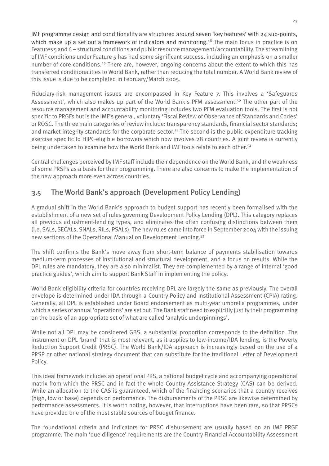IMF programme design and conditionality are structured around seven 'key features' with 24 sub-points, which make up a set out a framework of indicators and monitoring.<sup>48</sup> The main focus in practice is on Features 5 and 6 – structural conditions and public resource management/accountability. The streamlining of IMF conditions under Feature 5 has had some significant success, including an emphasis on a smaller number of core conditions.49 There are, however, ongoing concerns about the extent to which this has transferred conditionalities to World Bank, rather than reducing the total number. A World Bank review of this issue is due to be completed in February/March 2005.

Fiduciary-risk management issues are encompassed in Key Feature 7. This involves a 'Safeguards Assessment', which also makes up part of the World Bank's PFM assessment.<sup>50</sup> The other part of the resource management and accountability monitoring includes two PFM evaluation tools. The first is not specific to PRGFs but is the IMF's general, voluntary 'Fiscal Review of Observance of Standards and Codes' or ROSC. The three main categories of review include: transparency standards, financial sector standards; and market-integrity standards for the corporate sector.<sup>51</sup> The second is the public-expenditure tracking exercise specific to HIPC-eligible borrowers which now involves 28 countries. A joint review is currently being undertaken to examine how the World Bank and IMF tools relate to each other.52

Central challenges perceived by IMF staff include their dependence on the World Bank, and the weakness of some PRSPs as a basis for their programming. There are also concerns to make the implementation of the new approach more even across countries.

## 3.5 The World Bank's approach (Development Policy Lending)

A gradual shift in the World Bank's approach to budget support has recently been formalised with the establishment of a new set of rules governing Development Policy Lending (DPL). This category replaces all previous adjustment-lending types, and eliminates the often confusing distinctions between them (i.e. SALs, SECALs, SNALs, RILs, PSALs). The new rules came into force in September 2004 with the issuing new sections of the Operational Manual on Development Lending.53

The shift confirms the Bank's move away from short-term balance of payments stabilisation towards medium-term processes of institutional and structural development, and a focus on results. While the DPL rules are mandatory, they are also minimalist. They are complemented by a range of internal 'good practice guides', which aim to support Bank Staff in implementing the policy.

World Bank eligibility criteria for countries receiving DPL are largely the same as previously. The overall envelope is determined under IDA through a Country Policy and Institutional Assessment (CPIA) rating. Generally, all DPL is established under Board endorsement as multi-year umbrella programmes, under which a series of annual 'operations' are set out. The Bank staff need to explicitly justify their programming on the basis of an appropriate set of what are called 'analytic underpinnings'.

While not all DPL may be considered GBS, a substantial proportion corresponds to the definition. The instrument or DPL 'brand' that is most relevant, as it applies to low-income/IDA lending, is the Poverty Reduction Support Credit (PRSC). The World Bank/IDA approach is increasingly based on the use of a PRSP or other national strategy document that can substitute for the traditional Letter of Development Policy.

This ideal framework includes an operational PRS, a national budget cycle and accompanying operational matrix from which the PRSC and in fact the whole Country Assistance Strategy (CAS) can be derived. While an allocation to the CAS is guaranteed, which of the financing scenarios that a country receives (high, low or base) depends on performance. The disbursements of the PRSC are likewise determined by performance assessments. It is worth noting, however, that interruptions have been rare, so that PRSCs have provided one of the most stable sources of budget finance.

The foundational criteria and indicators for PRSC disbursement are usually based on an IMF PRGF programme. The main 'due diligence' requirements are the Country Financial Accountability Assessment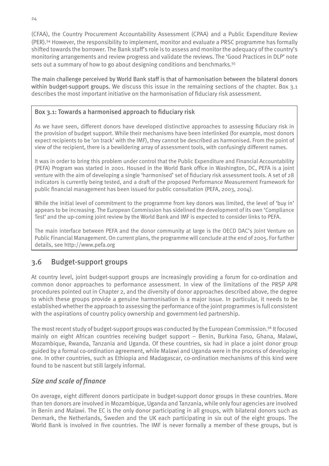(CFAA), the Country Procurement Accountability Assessment (CPAA) and a Public Expenditure Review (PER).54 However, the responsibility to implement, monitor and evaluate a PRSC programme has formally shifted towards the borrower. The Bank staff's role is to assess and monitor the adequacy of the country's monitoring arrangements and review progress and validate the reviews. The 'Good Practices in DLP' note sets out a summary of how to go about designing conditions and benchmarks.<sup>55</sup>

The main challenge perceived by World Bank staff is that of harmonisation between the bilateral donors within budget-support groups. We discuss this issue in the remaining sections of the chapter. Box 3.1 describes the most important initiative on the harmonisation of fiduciary risk assessment.

#### Box 3.1: Towards a harmonised approach to fiduciary risk

As we have seen, different donors have developed distinctive approaches to assessing fiduciary risk in the provision of budget support. While their mechanisms have been interlinked (for example, most donors expect recipients to be 'on track' with the IMF), they cannot be described as harmonised. From the point of view of the recipient, there is a bewildering array of assessment tools, with confusingly different names.

It was in order to bring this problem under control that the Public Expenditure and Financial Accountability (PEFA) Program was started in 2001. Housed in the World Bank office in Washington, DC, PEFA is a joint venture with the aim of developing a single 'harmonised' set of fiduciary risk assessment tools. A set of 28 indicators is currently being tested, and a draft of the proposed Performance Measurement Framework for public financial management has been issued for public consultation (PEFA, 2003, 2004).

While the initial level of commitment to the programme from key donors was limited, the level of 'buy in' appears to be increasing. The European Commission has sidelined the development of its own 'Compliance Test' and the up-coming joint review by the World Bank and IMF is expected to consider links to PEFA.

The main interface between PEFA and the donor community at large is the OECD DAC's Joint Venture on Public Financial Management. On current plans, the programme will conclude at the end of 2005. For further details, see http://www.pefa.org

### 3.6 Budget-support groups

At country level, joint budget-support groups are increasingly providing a forum for co-ordination and common donor approaches to performance assessment. In view of the limitations of the PRSP APR procedures pointed out in Chapter 2, and the diversity of donor approaches described above, the degree to which these groups provide a genuine harmonisation is a major issue. In particular, it needs to be established whether the approach to assessing the performance of the joint programmes is full consistent with the aspirations of country policy ownership and government-led partnership.

The most recent study of budget-support groups was conducted by the European Commission.<sup>56</sup> It focused mainly on eight African countries receiving budget support – Benin, Burkina Faso, Ghana, Malawi, Mozambique, Rwanda, Tanzania and Uganda. Of these countries, six had in place a joint donor group guided by a formal co-ordination agreement, while Malawi and Uganda were in the process of developing one. In other countries, such as Ethiopia and Madagascar, co-ordination mechanisms of this kind were found to be nascent but still largely informal.

#### *Size and scale of finance*

On average, eight different donors participate in budget-support donor groups in these countries. More than ten donors are involved in Mozambique, Uganda and Tanzania, while only four agencies are involved in Benin and Malawi. The EC is the only donor participating in all groups, with bilateral donors such as Denmark, the Netherlands, Sweden and the UK each participating in six out of the eight groups. The World Bank is involved in five countries. The IMF is never formally a member of these groups, but is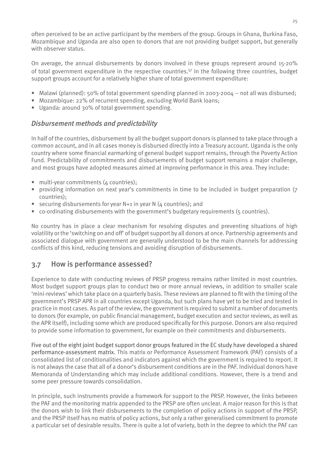often perceived to be an active participant by the members of the group. Groups in Ghana, Burkina Faso, Mozambique and Uganda are also open to donors that are not providing budget support, but generally with observer status.

On average, the annual disbursements by donors involved in these groups represent around 15-20% of total government expenditure in the respective countries.57 In the following three countries, budget support groups account for a relatively higher share of total government expenditure:

- Malawi (planned): 50% of total government spending planned in 2003-2004 not all was disbursed;
- Mozambique: 22% of recurrent spending, excluding World Bank loans;
- Uganda: around 30% of total government spending. •

#### *Disbursement methods and predictability*

In half of the countries, disbursement by all the budget support donors is planned to take place through a common account, and in all cases money is disbursed directly into a Treasury account. Uganda is the only country where some financial earmarking of general budget support remains, through the Poverty Action Fund. Predictability of commitments and disbursements of budget support remains a major challenge, and most groups have adopted measures aimed at improving performance in this area. They include:

- multi-year commitments (4 countries);
- providing information on next year's commitments in time to be included in budget preparation (7 countries);
- securing disbursements for year N+1 in year N (4 countries); and
- co-ordinating disbursements with the government's budgetary requirements (5 countries).

No country has in place a clear mechanism for resolving disputes and preventing situations of high volatility or the 'switching on and off' of budget support by all donors at once. Partnership agreements and associated dialogue with government are generally understood to be the main channels for addressing conflicts of this kind, reducing tensions and avoiding disruption of disbursements.

### 3.7 How is performance assessed?

Experience to date with conducting reviews of PRSP progress remains rather limited in most countries. Most budget support groups plan to conduct two or more annual reviews, in addition to smaller scale 'mini-reviews' which take place on a quarterly basis. These reviews are planned to fit with the timing of the government's PRSP APR in all countries except Uganda, but such plans have yet to be tried and tested in practice in most cases. As part of the review, the government is required to submit a number of documents to donors (for example, on public financial management, budget execution and sector reviews, as well as the APR itself), including some which are produced specifically for this purpose. Donors are also required to provide some information to government, for example on their commitments and disbursements.

Five out of the eight joint budget support donor groups featured in the EC study have developed a shared performance-assessment matrix. This matrix or Performance Assessment Framework (PAF) consists of a consolidated list of conditionalities and indicators against which the government is required to report. It is not always the case that all of a donor's disbursement conditions are in the PAF. Individual donors have Memoranda of Understanding which may include additional conditions. However, there is a trend and some peer pressure towards consolidation.

In principle, such instruments provide a framework for support to the PRSP. However, the links between the PAF and the monitoring matrix appended to the PRSP are often unclear. A major reason for this is that the donors wish to link their disbursements to the completion of policy actions in support of the PRSP, and the PRSP itself has no matrix of policy actions, but only a rather generalised commitment to promote a particular set of desirable results. There is quite a lot of variety, both in the degree to which the PAF can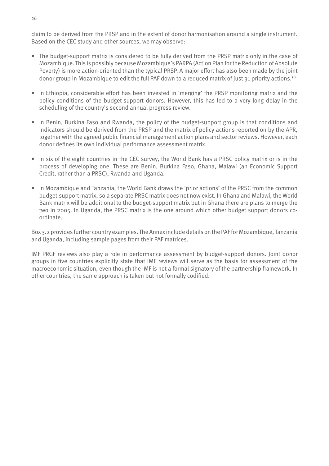claim to be derived from the PRSP and in the extent of donor harmonisation around a single instrument. Based on the CEC study and other sources, we may observe:

- The budget-support matrix is considered to be fully derived from the PRSP matrix only in the case of Mozambique. This is possibly because Mozambique's PARPA (Action Plan for the Reduction of Absolute Poverty) is more action-oriented than the typical PRSP. A major effort has also been made by the joint donor group in Mozambique to edit the full PAF down to a reduced matrix of just 31 priority actions.58
- In Ethiopia, considerable effort has been invested in 'merging' the PRSP monitoring matrix and the policy conditions of the budget-support donors. However, this has led to a very long delay in the scheduling of the country's second annual progress review.
- In Benin, Burkina Faso and Rwanda, the policy of the budget-support group is that conditions and indicators should be derived from the PRSP and the matrix of policy actions reported on by the APR, together with the agreed public financial management action plans and sector reviews. However, each donor defines its own individual performance assessment matrix.
- In six of the eight countries in the CEC survey, the World Bank has a PRSC policy matrix or is in the process of developing one. These are Benin, Burkina Faso, Ghana, Malawi (an Economic Support Credit, rather than a PRSC), Rwanda and Uganda.
- In Mozambique and Tanzania, the World Bank draws the 'prior actions' of the PRSC from the common budget-support matrix, so a separate PRSC matrix does not now exist. In Ghana and Malawi, the World Bank matrix will be additional to the budget-support matrix but in Ghana there are plans to merge the two in 2005. In Uganda, the PRSC matrix is the one around which other budget support donors coordinate.

Box 3.2 provides further country examples. The Annex include details on the PAF for Mozambique, Tanzania and Uganda, including sample pages from their PAF matrices.

IMF PRGF reviews also play a role in performance assessment by budget-support donors. Joint donor groups in five countries explicitly state that IMF reviews will serve as the basis for assessment of the macroeconomic situation, even though the IMF is not a formal signatory of the partnership framework. In other countries, the same approach is taken but not formally codified.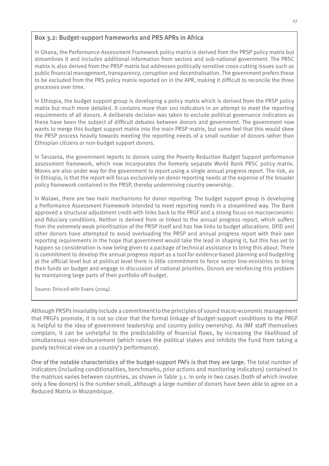#### Box 3.2: Budget-support frameworks and PRS APRs in Africa

In Ghana, the Performance Assessment Framework policy matrix is derived from the PRSP policy matrix but streamlines it and includes additional information from sectors and sub-national government. The PRSC matrix is also derived from the PRSP matrix but addresses politically sensitive cross-cutting issues such as public financial management, transparency, corruption and decentralisation. The government prefers these to be excluded from the PRS policy matrix reported on in the APR, making it difficult to reconcile the three processes over time.

In Ethiopia, the budget support group is developing a policy matrix which is derived from the PRSP policy matrix but much more detailed. It contains more than 100 indicators in an attempt to meet the reporting requirements of all donors. A deliberate decision was taken to exclude political governance indicators as these have been the subject of difficult debates between donors and government. The government now wants to merge this budget support matrix into the main PRSP matrix, but some feel that this would skew the PRSP process heavily towards meeting the reporting needs of a small number of donors rather than Ethiopian citizens or non-budget support donors.

In Tanzania, the government reports to donors using the Poverty Reduction Budget Support performance assessment framework, which now incorporates the formerly separate World Bank PRSC policy matrix. Moves are also under way for the government to report using a single annual progress report. The risk, as in Ethiopia, is that the report will focus exclusively on donor reporting needs at the expense of the broader policy framework contained in the PRSP, thereby undermining country ownership.

In Malawi, there are two main mechanisms for donor reporting: The budget support group is developing a Performance Assessment Framework intended to meet reporting needs in a streamlined way. The Bank approved a structural adjustment credit with links back to the PRGF and a strong focus on macroeconomic and fiduciary conditions. Neither is derived from or linked to the annual progress report, which suffers from the extremely weak prioritisation of the PRSP itself and has few links to budget allocations. DFID and other donors have attempted to avoid overloading the PRSP and annual progress report with their own reporting requirements in the hope that government would take the lead in shaping it, but this has yet to happen so consideration is now being given to a package of technical assistance to bring this about. There is commitment to develop the annual progress report as a tool for evidence-based planning and budgeting at the official level but at political level there is little commitment to force sector line-ministries to bring their funds on budget and engage in discussion of national priorities. Donors are reinforcing this problem by maintaining large parts of their portfolio off-budget.

Source: Driscoll with Evans (2004).

Although PRSPs invariably include a commitment to the principles of sound macro-economic management that PRGFs promote, it is not so clear that the formal linkage of budget-support conditions to the PRGF is helpful to the idea of government leadership and country policy ownership. As IMF staff themselves complain, it can be unhelpful to the predictability of financial flows, by increasing the likelihood of simultaneous non-disbursement (which raises the political stakes and inhibits the Fund from taking a purely technical view on a country's performance).

One of the notable characteristics of the budget-support PAFs is that they are large. The total number of indicators (including conditionalities, benchmarks, prior actions and monitoring indicators) contained in the matrices varies between countries, as shown in Table 3.1. In only in two cases (both of which involve only a few donors) is the number small, although a large number of donors have been able to agree on a Reduced Matrix in Mozambique.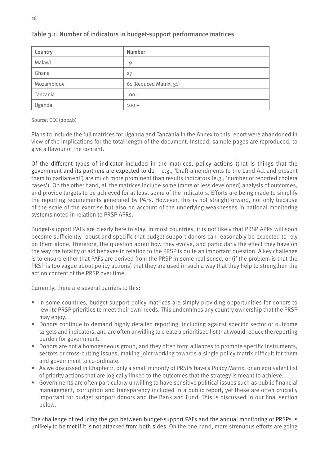| Country    | Number                  |
|------------|-------------------------|
| Malawi     | 19                      |
| Ghana      | 27                      |
| Mozambique | 61 (Reduced Matrix: 31) |
| Tanzania   | $100 +$                 |
| Uganda     | $100 +$                 |

#### Table 3.1: Number of indicators in budget-support performance matrices

Source: CEC (2004b)

Plans to include the full matrices for Uganda and Tanzania in the Annex to this report were abandoned in view of the implications for the total length of the document. Instead, sample pages are reproduced, to give a flavour of the content.

Of the different types of indicator included in the matrices, policy actions (that is things that the government and its partners are expected to do – e.g., 'Draft amendments to the Land Act and present them to parliament') are much more prominent than results indicators (e.g., 'number of reported cholera cases'). On the other hand, all the matrices include some (more or less developed) analysis of outcomes, and provide targets to be achieved for at least some of the indicators. Efforts are being made to simplify the reporting requirements generated by PAFs. However, this is not straightforward, not only because of the scale of the exercise but also on account of the underlying weaknesses in national monitoring systems noted in relation to PRSP APRs.

Budget-support PAFs are clearly here to stay. In most countries, it is not likely that PRSP APRs will soon become sufficiently robust and specific that budget-support donors can reasonably be expected to rely on them alone. Therefore, the question about how they evolve, and particularly the effect they have on the way the totality of aid behaves in relation to the PRSP is quite an important question. A key challenge is to ensure either that PAFs are derived from the PRSP in some real sense, or (if the problem is that the PRSP is too vague about policy actions) that they are used in such a way that they help to strengthen the action content of the PRSP over time.

Currently, there are several barriers to this:

- In some countries, budget-support policy matrices are simply providing opportunities for donors to rewrite PRSP priorities to meet their own needs. This undermines any country ownership that the PRSP may enjoy.
- Donors continue to demand highly detailed reporting, including against specific sector or outcome targets and indicators, and are often unwilling to create a prioritised list that would reduce the reporting burden for government.
- Donors are not a homogeneous group, and they often form alliances to promote specific instruments, sectors or cross-cutting issues, making joint working towards a single policy matrix difficult for them and government to co-ordinate.
- As we discussed in Chapter 2, only a small minority of PRSPs have a Policy Matrix, or an equivalent list of priority actions that are logically linked to the outcomes that the strategy is meant to achieve.
- Governments are often particularly unwilling to have sensitive political issues such as public financial •management, corruption and transparency included in a public report, yet these are often crucially important for budget support donors and the Bank and Fund. This is discussed in our final section below.

The challenge of reducing the gap between budget-support PAFs and the annual monitoring of PRSPs is unlikely to be met if it is not attacked from both sides. On the one hand, more strenuous efforts are going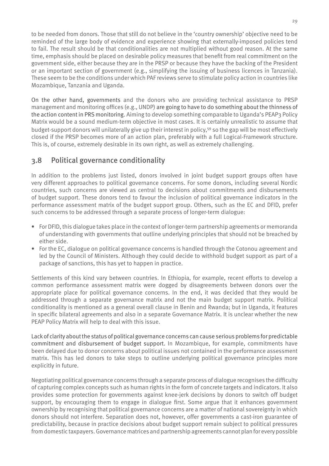to be needed from donors. Those that still do not believe in the 'country ownership' objective need to be reminded of the large body of evidence and experience showing that externally-imposed policies tend to fail. The result should be that conditionalities are not multiplied without good reason. At the same time, emphasis should be placed on desirable policy measures that benefit from real commitment on the government side, either because they are in the PRSP or because they have the backing of the President or an important section of government (e.g., simplifying the issuing of business licences in Tanzania). These seem to be the conditions under which PAF reviews serve to stimulate policy action in countries like Mozambique, Tanzania and Uganda.

On the other hand, governments and the donors who are providing technical assistance to PRSP management and monitoring offices (e.g., UNDP) are going to have to do something about the thinness of the action content in PRS monitoring. Aiming to develop something comparable to Uganda's PEAP3 Policy Matrix would be a sound medium-term objective in most cases. It is certainly unrealistic to assume that budget-support donors will unilaterally give up their interest in policy,59 so the gap will be most effectively closed if the PRSP becomes more of an action plan, preferably with a full Logical-Framework structure. This is, of course, extremely desirable in its own right, as well as extremely challenging.

# 3.8 Political governance conditionality

In addition to the problems just listed, donors involved in joint budget support groups often have very different approaches to political governance concerns. For some donors, including several Nordic countries, such concerns are viewed as central to decisions about commitments and disbursements of budget support. These donors tend to favour the inclusion of political governance indicators in the performance assessment matrix of the budget support group. Others, such as the EC and DFID, prefer such concerns to be addressed through a separate process of longer-term dialogue:

- For DFID, this dialogue takes place in the context of longer-term partnership agreements or memoranda of understanding with governments that outline underlying principles that should not be breached by either side.
- For the EC, dialogue on political governance concerns is handled through the Cotonou agreement and •led by the Council of Ministers. Although they could decide to withhold budget support as part of a package of sanctions, this has yet to happen in practice.

Settlements of this kind vary between countries. In Ethiopia, for example, recent efforts to develop a common performance assessment matrix were dogged by disagreements between donors over the appropriate place for political governance concerns. In the end, it was decided that they would be addressed through a separate governance matrix and not the main budget support matrix. Political conditionality is mentioned as a general overall clause in Benin and Rwanda; but in Uganda, it features in specific bilateral agreements and also in a separate Governance Matrix. It is unclear whether the new PEAP Policy Matrix will help to deal with this issue.

Lack of clarity about the status of political governance concerns can cause serious problems for predictable commitment and disbursement of budget support. In Mozambique, for example, commitments have been delayed due to donor concerns about political issues not contained in the performance assessment matrix. This has led donors to take steps to outline underlying political governance principles more explicitly in future.

Negotiating political governance concerns through a separate process of dialogue recognises the difficulty of capturing complex concepts such as human rights in the form of concrete targets and indicators. It also provides some protection for governments against knee-jerk decisions by donors to switch off budget support, by encouraging them to engage in dialogue first. Some argue that it enhances government ownership by recognising that political governance concerns are a matter of national sovereignty in which donors should not interfere. Separation does not, however, offer governments a cast-iron guarantee of predictability, because in practice decisions about budget support remain subject to political pressures from domestic taxpayers. Governance matrices and partnership agreements cannot plan for every possible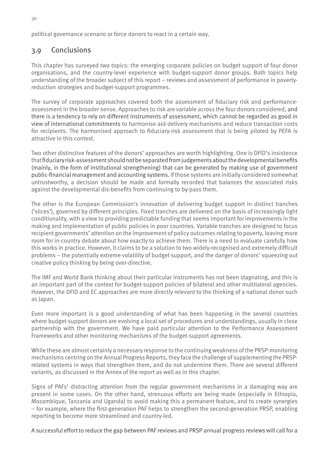political governance scenario or force donors to react in a certain way.

# 3.9 Conclusions

This chapter has surveyed two topics: the emerging corporate policies on budget support of four donor organisations, and the country-level experience with budget-support donor groups. Both topics help understanding of the broader subject of this report – reviews and assessment of performance in povertyreduction strategies and budget-support programmes.

The survey of corporate approaches covered both the assessment of fiduciary risk and performanceassessment in the broader sense. Approaches to risk are variable across the four donors considered, and there is a tendency to rely on different instruments of assessment, which cannot be regarded as good in view of international commitments to harmonise aid-delivery mechanisms and reduce transaction costs for recipients. The harmonised approach to fiduciary-risk assessment that is being piloted by PEFA is attractive in this context.

Two other distinctive features of the donors' approaches are worth highlighting. One is DFID's insistence that fiduciary risk-assessment should not be separated from judgements about the developmental benefits (mainly, in the form of institutional strengthening) that can be generated by making use of government public-financial management and accounting systems. If those systems are initially considered somewhat untrustworthy, a decision should be made and formally recorded that balances the associated risks against the developmental dis-benefits from continuing to by-pass them.

The other is the European Commission's innovation of delivering budget support in distinct tranches ('slices'), governed by different principles. Fixed tranches are delivered on the basis of increasingly light conditionality, with a view to providing predictable funding that seems important for improvements in the making and implementation of public policies in poor countries. Variable tranches are designed to focus recipient governments' attention on the improvement of policy outcomes relating to poverty, leaving more room for in-country debate about how exactly to achieve them. There is a need to evaluate carefully how this works in practice. However, it claims to be a solution to two widely-recognised and extremely difficult problems – the potentially extreme volatility of budget support, and the danger of donors' squeezing out creative policy thinking by being over-directive.

The IMF and World Bank thinking about their particular instruments has not been stagnating, and this is an important part of the context for budget-support policies of bilateral and other multilateral agencies. However, the DFID and EC approaches are more directly relevant to the thinking of a national donor such as Japan.

Even more important is a good understanding of what has been happening in the several countries where budget-support donors are evolving a local set of procedures and understandings, usually in close partnership with the government. We have paid particular attention to the Performance Assessment Frameworks and other monitoring mechanisms of the budget-support agreements.

While these are almost certainly a necessary response to the continuing weakness of the PRSP-monitoring mechanisms centring on the Annual Progress Reports, they face the challenge of supplementing the PRSPrelated systems in ways that strengthen them, and do not undermine them. There are several different variants, as discussed in the Annex of the report as well as in this chapter.

Signs of PAFs' distracting attention from the regular government mechanisms in a damaging way are present in some cases. On the other hand, strenuous efforts are being made (especially in Ethiopia, Mozambique, Tanzania and Uganda) to avoid making this a permanent feature, and to create synergies – for example, where the first-generation PAF helps to strengthen the second-generation PRSP, enabling reporting to become more streamlined and country-led.

A successful effort to reduce the gap between PAF reviews and PRSP annual progress reviews will call for a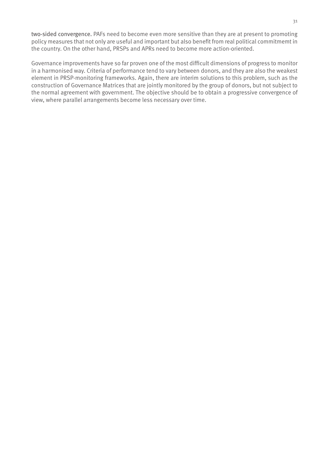two-sided convergence. PAFs need to become even more sensitive than they are at present to promoting policy measures that not only are useful and important but also benefit from real political commitmemt in the country. On the other hand, PRSPs and APRs need to become more action-oriented.

Governance improvements have so far proven one of the most difficult dimensions of progress to monitor in a harmonised way. Criteria of performance tend to vary between donors, and they are also the weakest element in PRSP-monitoring frameworks. Again, there are interim solutions to this problem, such as the construction of Governance Matrices that are jointly monitored by the group of donors, but not subject to the normal agreement with government. The objective should be to obtain a progressive convergence of view, where parallel arrangements become less necessary over time.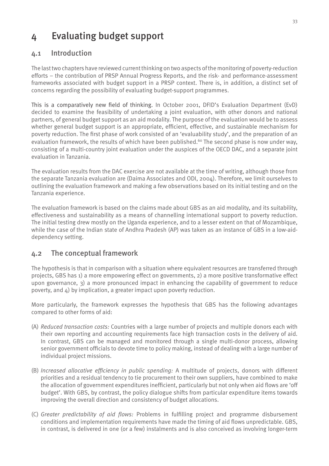# 4 Evaluating budget support

# 4.1 Introduction

The last two chapters have reviewed current thinking on two aspects of the monitoring of poverty-reduction efforts – the contribution of PRSP Annual Progress Reports, and the risk- and performance-assessment frameworks associated with budget support in a PRSP context. There is, in addition, a distinct set of concerns regarding the possibility of evaluating budget-support programmes.

This is a comparatively new field of thinking. In October 2001, DFID's Evaluation Department (EvD) decided to examine the feasibility of undertaking a joint evaluation, with other donors and national partners, of general budget support as an aid modality. The purpose of the evaluation would be to assess whether general budget support is an appropriate, efficient, effective, and sustainable mechanism for poverty reduction. The first phase of work consisted of an 'evaluability study', and the preparation of an evaluation framework, the results of which have been published.<sup>60</sup> The second phase is now under way, consisting of a multi-country joint evaluation under the auspices of the OECD DAC, and a separate joint evaluation in Tanzania.

The evaluation results from the DAC exercise are not available at the time of writing, although those from the separate Tanzania evaluation are (Daima Associates and ODI, 2004). Therefore, we limit ourselves to outlining the evaluation framework and making a few observations based on its initial testing and on the Tanzania experience.

The evaluation framework is based on the claims made about GBS as an aid modality, and its suitability, effectiveness and sustainability as a means of channelling international support to poverty reduction. The initial testing drew mostly on the Uganda experience, and to a lesser extent on that of Mozambique, while the case of the Indian state of Andhra Pradesh (AP) was taken as an instance of GBS in a low-aiddependency setting.

## 4.2 The conceptual framework

The hypothesis is that in comparison with a situation where equivalent resources are transferred through projects, GBS has 1) a more empowering effect on governments, 2) a more positive transformative effect upon governance, 3) a more pronounced impact in enhancing the capability of government to reduce poverty, and 4) by implication, a greater impact upon poverty reduction.

More particularly, the framework expresses the hypothesis that GBS has the following advantages compared to other forms of aid:

- (A) *Reduced transaction costs:* Countries with a large number of projects and multiple donors each with their own reporting and accounting requirements face high transaction costs in the delivery of aid. In contrast, GBS can be managed and monitored through a single multi-donor process, allowing senior government officials to devote time to policy making, instead of dealing with a large number of individual project missions.
- (B) *Increased allocative efficiency in public spending:* A multitude of projects, donors with different priorities and a residual tendency to tie procurement to their own suppliers, have combined to make the allocation of government expenditures inefficient, particularly but not only when aid flows are 'off budget'. With GBS, by contrast, the policy dialogue shifts from particular expenditure items towards improving the overall direction and consistency of budget allocations.
- (C) *Greater predictability of aid flows:* Problems in fulfilling project and programme disbursement conditions and implementation requirements have made the timing of aid flows unpredictable. GBS, in contrast, is delivered in one (or a few) instalments and is also conceived as involving longer-term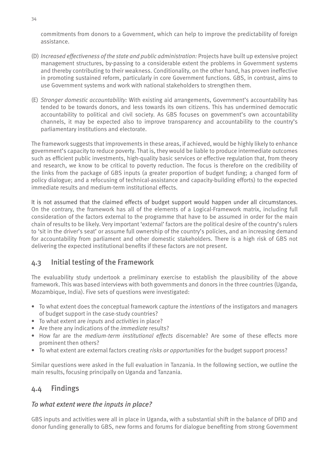commitments from donors to a Government, which can help to improve the predictability of foreign assistance.

- (D) *Increased effectiveness of the state and public administration:* Projects have built up extensive project management structures, by-passing to a considerable extent the problems in Government systems and thereby contributing to their weakness. Conditionality, on the other hand, has proven ineffective in promoting sustained reform, particularly in core Government functions. GBS, in contrast, aims to use Government systems and work with national stakeholders to strengthen them.
- (E) *Stronger domestic accountability:* With existing aid arrangements, Government's accountability has tended to be towards donors, and less towards its own citizens. This has undermined democratic accountability to political and civil society. As GBS focuses on government's own accountability channels, it may be expected also to improve transparency and accountability to the country's parliamentary institutions and electorate.

The framework suggests that improvements in these areas, if achieved, would be highly likely to enhance government's capacity to reduce poverty. That is, they would be liable to produce intermediate outcomes such as efficient public investments, high-quality basic services or effective regulation that, from theory and research, we know to be critical to poverty reduction. The focus is therefore on the credibility of the links from the package of GBS inputs (a greater proportion of budget funding; a changed form of policy dialogue; and a refocusing of technical-assistance and capacity-building efforts) to the expected immediate results and medium-term institutional effects.

It is not assumed that the claimed effects of budget support would happen under all circumstances. On the contrary, the framework has all of the elements of a Logical-Framework matrix, including full consideration of the factors external to the programme that have to be assumed in order for the main chain of results to be likely. Very important 'external' factors are the political desire of the country's rulers to 'sit in the driver's seat' or assume full ownership of the country's policies, and an increasing demand for accountability from parliament and other domestic stakeholders. There is a high risk of GBS not delivering the expected institutional benefits if these factors are not present.

## 4.3 Initial testing of the Framework

The evaluability study undertook a preliminary exercise to establish the plausibility of the above framework. This was based interviews with both governments and donors in the three countries (Uganda, Mozambique, India). Five sets of questions were investigated:

- To what extent does the conceptual framework capture the *intentions* of the instigators and managers of budget support in the case-study countries?
- To what extent are *inputs* and *activities* in place? •
- Are there any indications of the *immediate* results? •
- How far are the *medium-term institutional effects* discernable? Are some of these effects more prominent then others?
- To what extent are external factors creating *risks or opportunities* for the budget support process? •

Similar questions were asked in the full evaluation in Tanzania. In the following section, we outline the main results, focusing principally on Uganda and Tanzania.

## 4.4 Findings

## *To what extent were the inputs in place?*

GBS inputs and activities were all in place in Uganda, with a substantial shift in the balance of DFID and donor funding generally to GBS, new forms and forums for dialogue benefiting from strong Government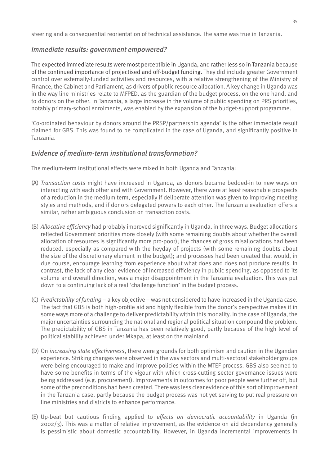steering and a consequential reorientation of technical assistance. The same was true in Tanzania.

#### *Immediate results: government empowered?*

The expected immediate results were most perceptible in Uganda, and rather less so in Tanzania because of the continued importance of projectised and off-budget funding. They did include greater Government control over externally-funded activities and resources, with a relative strengthening of the Ministry of Finance, the Cabinet and Parliament, as drivers of public resource allocation. A key change in Uganda was in the way line ministries relate to MFPED, as the guardian of the budget process, on the one hand, and to donors on the other. In Tanzania, a large increase in the volume of public spending on PRS priorities, notably primary-school enrolments, was enabled by the expansion of the budget-support programme.

'Co-ordinated behaviour by donors around the PRSP/partnership agenda' is the other immediate result claimed for GBS. This was found to be complicated in the case of Uganda, and significantly positive in Tanzania.

#### *Evidence of medium-term institutional transformation?*

The medium-term institutional effects were mixed in both Uganda and Tanzania:

- (A) *Transaction costs* might have increased in Uganda, as donors became bedded-in to new ways on interacting with each other and with Government. However, there were at least reasonable prospects of a reduction in the medium term, especially if deliberate attention was given to improving meeting styles and methods, and if donors delegated powers to each other. The Tanzania evaluation offers a similar, rather ambiguous conclusion on transaction costs.
- (B) *Allocative efficiency* had probably improved significantly in Uganda, in three ways. Budget allocations reflected Government priorities more closely (with some remaining doubts about whether the overall allocation of resources is significantly more pro-poor); the chances of gross misallocations had been reduced, especially as compared with the heyday of projects (with some remaining doubts about the size of the discretionary element in the budget); and processes had been created that would, in due course, encourage learning from experience about what does and does not produce results. In contrast, the lack of any clear evidence of increased efficiency in public spending, as opposed to its volume and overall direction, was a major disappointment in the Tanzania evaluation. This was put down to a continuing lack of a real 'challenge function' in the budget process.
- (C) *Predictability of funding* a key objective was not considered to have increased in the Uganda case. The fact that GBS is both high-profile aid and highly flexible from the donor's perspective makes it in some ways more of a challenge to deliver predictability within this modality. In the case of Uganda, the major uncertainties surrounding the national and regional political situation compound the problem. The predictability of GBS in Tanzania has been relatively good, partly because of the high level of political stability achieved under Mkapa, at least on the mainland.
- (D) On *increasing state effectiveness*, there were grounds for both optimism and caution in the Ugandan experience. Striking changes were observed in the way sectors and multi-sectoral stakeholder groups were being encouraged to make and improve policies within the MTEF process. GBS also seemed to have some benefits in terms of the vigour with which cross-cutting sector governance issues were being addressed (e.g. procurement). Improvements in outcomes for poor people were further off, but some of the preconditions had been created. There was less clear evidence of this sort of improvement in the Tanzania case, partly because the budget process was not yet serving to put real pressure on line ministries and districts to enhance performance.
- (E) Up-beat but cautious finding applied to *effects on democratic accountability* in Uganda (in 2002/3). This was a matter of relative improvement, as the evidence on aid dependency generally is pessimistic about domestic accountability. However, in Uganda incremental improvements in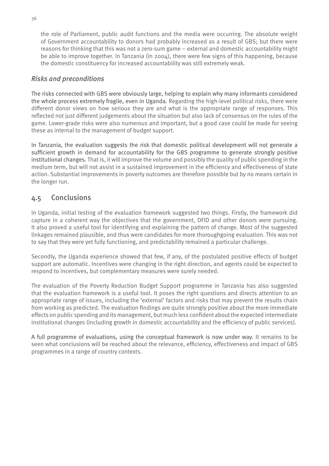the role of Parliament, public audit functions and the media were occurring. The absolute weight of Government accountability to donors had probably increased as a result of GBS; but there were reasons for thinking that this was not a zero-sum game – external and domestic accountability might be able to improve together. In Tanzania (in 2004), there were few signs of this happening, because the domestic constituency for increased accountability was still extremely weak.

#### *Risks and preconditions*

The risks connected with GBS were obviously large, helping to explain why many informants considered the whole process extremely fragile, even in Uganda. Regarding the high-level political risks, there were different donor views on how serious they are and what is the appropriate range of responses. This reflected not just different judgements about the situation but also lack of consensus on the rules of the game. Lower-grade risks were also numerous and important, but a good case could be made for seeing these as internal to the management of budget support.

In Tanzania, the evaluation suggests the risk that domestic political development will not generate a sufficient growth in demand for accountability for the GBS programme to generate strongly positive institutional changes. That is, it will improve the volume and possibly the quality of public spending in the medium term, but will not assist in a sustained improvement in the efficiency and effectiveness of state action. Substantial improvements in poverty outcomes are therefore possible but by no means certain in the longer run.

# 4.5 Conclusions

In Uganda, initial testing of the evaluation framework suggested two things. Firstly, the framework did capture in a coherent way the objectives that the government, DFID and other donors were pursuing. It also proved a useful tool for identifying and explaining the pattern of change. Most of the suggested linkages remained plausible, and thus were candidates for more thoroughgoing evaluation. This was not to say that they were yet fully functioning, and predictability remained a particular challenge.

Secondly, the Uganda experience showed that few, if any, of the postulated positive effects of budget support are automatic. Incentives were changing in the right direction, and agents could be expected to respond to incentives, but complementary measures were surely needed.

The evaluation of the Poverty Reduction Budget Support programme in Tanzania has also suggested that the evaluation framework is a useful tool. It poses the right questions and directs attention to an appropriate range of issues, including the 'external' factors and risks that may prevent the results chain from working as predicted. The evaluation findings are quite strongly positive about the more immediate effects on public spending and its management, but much less confident about the expected intermediate institutional changes (including growth in domestic accountability and the efficiency of public services).

A full programme of evaluations, using the conceptual framework is now under way. It remains to be seen what conclusions will be reached about the relevance, efficiency, effectiveness and impact of GBS programmes in a range of country contexts.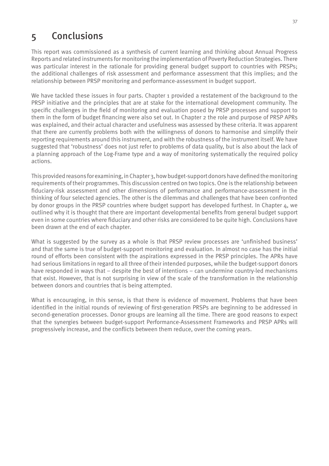# 5 Conclusions

This report was commissioned as a synthesis of current learning and thinking about Annual Progress Reports and related instruments for monitoring the implementation of Poverty Reduction Strategies. There was particular interest in the rationale for providing general budget support to countries with PRSPs; the additional challenges of risk assessment and performance assessment that this implies; and the relationship between PRSP monitoring and performance-assessment in budget support.

We have tackled these issues in four parts. Chapter 1 provided a restatement of the background to the PRSP initiative and the principles that are at stake for the international development community. The specific challenges in the field of monitoring and evaluation posed by PRSP processes and support to them in the form of budget financing were also set out. In Chapter 2 the role and purpose of PRSP APRs was explained, and their actual character and usefulness was assessed by these criteria. It was apparent that there are currently problems both with the willingness of donors to harmonise and simplify their reporting requirements around this instrument, and with the robustness of the instrument itself. We have suggested that 'robustness' does not just refer to problems of data quality, but is also about the lack of a planning approach of the Log-Frame type and a way of monitoring systematically the required policy actions.

This provided reasons for examining, in Chapter 3, how budget-support donors have defined the monitoring requirements of their programmes. This discussion centred on two topics. One is the relationship between fiduciary-risk assessment and other dimensions of performance and performance-assessment in the thinking of four selected agencies. The other is the dilemmas and challenges that have been confronted by donor groups in the PRSP countries where budget support has developed furthest. In Chapter 4, we outlined why it is thought that there are important developmental benefits from general budget support even in some countries where fiduciary and other risks are considered to be quite high. Conclusions have been drawn at the end of each chapter.

What is suggested by the survey as a whole is that PRSP review processes are 'unfinished business' and that the same is true of budget-support monitoring and evaluation. In almost no case has the initial round of efforts been consistent with the aspirations expressed in the PRSP principles. The APRs have had serious limitations in regard to all three of their intended purposes, while the budget-support donors have responded in ways that – despite the best of intentions – can undermine country-led mechanisms that exist. However, that is not surprising in view of the scale of the transformation in the relationship between donors and countries that is being attempted.

What is encouraging, in this sense, is that there is evidence of movement. Problems that have been identified in the initial rounds of reviewing of first-generation PRSPs are beginning to be addressed in second-generation processes. Donor groups are learning all the time. There are good reasons to expect that the synergies between budget-support Performance-Assessment Frameworks and PRSP APRs will progressively increase, and the conflicts between them reduce, over the coming years.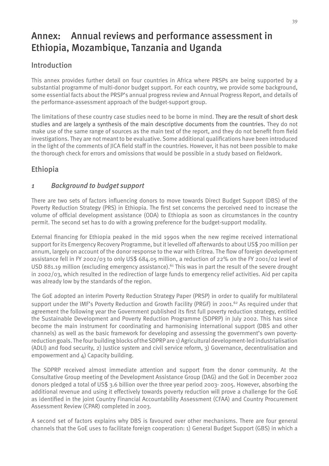# Annex: Annual reviews and performance assessment in Ethiopia, Mozambique, Tanzania and Uganda

# Introduction

This annex provides further detail on four countries in Africa where PRSPs are being supported by a substantial programme of multi-donor budget support. For each country, we provide some background, some essential facts about the PRSP's annual progress review and Annual Progress Report, and details of the performance-assessment approach of the budget-support group.

The limitations of these country case studies need to be borne in mind. They are the result of short desk studies and are largely a synthesis of the main descriptive documents from the countries. They do not make use of the same range of sources as the main text of the report, and they do not benefit from field investigations. They are not meant to be evaluative. Some additional qualifications have been introduced in the light of the comments of JICA field staff in the countries. However, it has not been possible to make the thorough check for errors and omissions that would be possible in a study based on fieldwork.

# Ethiopia

# *1 Background to budget support*

There are two sets of factors influencing donors to move towards Direct Budget Support (DBS) of the Poverty Reduction Strategy (PRS) in Ethiopia. The first set concerns the perceived need to increase the volume of official development assistance (ODA) to Ethiopia as soon as circumstances in the country permit. The second set has to do with a growing preference for the budget-support modality.

External financing for Ethiopia peaked in the mid 1990s when the new regime received international support for its Emergency Recovery Programme, but it levelled off afterwards to about US\$ 700 million per annum, largely on account of the donor response to the war with Eritrea. The flow of foreign development assistance fell in FY 2002/03 to only US\$ 684.05 million, a reduction of 22% on the FY 2001/02 level of USD 881.19 million (excluding emergency assistance).<sup>61</sup> This was in part the result of the severe drought in 2002/03, which resulted in the redirection of large funds to emergency relief activities. Aid per capita was already low by the standards of the region.

The GoE adopted an interim Poverty Reduction Strategy Paper (PRSP) in order to qualify for multilateral support under the IMF's Poverty Reduction and Growth Facility (PRGF) in 2001.<sup>62</sup> As required under that agreement the following year the Government published its first full poverty reduction strategy, entitled the Sustainable Development and Poverty Reduction Programme (SDPRP) in July 2002. This has since become the main instrument for coordinating and harmonising international support (DBS and other channels) as well as the basic framework for developing and assessing the government's own povertyreduction goals. The four building blocks of the SDPRP are 1) Agricultural development-led industrialisation (ADLI) and food security, 2) Justice system and civil service reform, 3) Governance, decentralisation and empowerment and 4) Capacity building.

The SDPRP received almost immediate attention and support from the donor community. At the Consultative Group meeting of the Development Assistance Group (DAG) and the GoE in December 2002 donors pledged a total of US\$ 3.6 billion over the three year period 2003- 2005. However, absorbing the additional revenue and using it effectively towards poverty reduction will prove a challenge for the GoE as identified in the joint Country Financial Accountability Assessment (CFAA) and Country Procurement Assessment Review (CPAR) completed in 2003.

A second set of factors explains why DBS is favoured over other mechanisms. There are four general channels that the GoE uses to facilitate foreign cooperation: 1) General Budget Support (GBS) in which a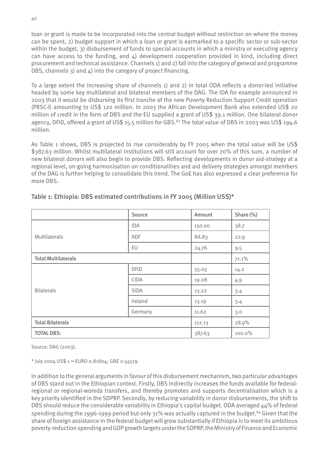loan or grant is made to be incorporated into the central budget without restriction on where the money can be spent, 2) budget support in which a loan or grant is earmarked to a specific sector or sub-sector within the budget, 3) disbursement of funds to special accounts in which a ministry or executing agency can have access to the funding, and  $\Delta$ ) development cooperation provided in kind, including direct procurement and technical assistance. Channels 1) and 2) fall into the category of general and programme DBS, channels 3) and  $\Delta$ ) into the category of project financing.

To a large extent the increasing share of channels 1) and 2) in total ODA reflects a donor-led initiative headed by some key multilateral and bilateral members of the DAG. The IDA for example announced in 2003 that it would be disbursing its first tranche of the new Poverty Reduction Support Credit operation (PRSC-I) amounting to US\$ 120 million. In 2003 the African Development Bank also extended US\$ 20 million of credit in the form of DBS and the EU supplied a grant of US\$ 39.1 million. One bilateral donor agency, DFID, offered a grant of US\$ 15.5 million for GBS.<sup>63</sup> The total value of DBS in 2003 was US\$ 194.6 million.

As Table 1 shows, DBS is projected to rise considerably by FY 2005 when the total value will be US\$ \$387.63 million. Whilst multilateral institutions will still account for over 70% of this sum, a number of new bilateral donors will also begin to provide DBS. Reflecting developments in donor aid-strategy at a regional level, on-going harmonisation on conditionalities and aid delivery strategies amongst members of the DAG is further helping to consolidate this trend. The GoE has also expressed a clear preference for more DBS.

|                            | <b>Source</b> | Amount | Share (%) |
|----------------------------|---------------|--------|-----------|
|                            | <b>IDA</b>    | 150.00 | 38.7      |
| Multilaterals              | ADF           | 88.83  | 22.9      |
|                            | EU            | 24.76  | 9.5       |
| <b>Total Multilaterals</b> |               |        | 71.1%     |
|                            | <b>DFID</b>   | 55.03  | 14.2      |
|                            | <b>CIDA</b>   | 19.08  | 4.9       |
| <b>Bilaterals</b>          | <b>SIDA</b>   | 13.22  | 3.4       |
|                            | Ireland       | 13.19  | 3.4       |
|                            | Germany       | 11.62  | 3.0       |
| <b>Total Bilaterals</b>    |               | 112.13 | 28.9%     |
| <b>TOTAL DBS:</b>          |               | 387.63 | 100.0%    |

#### Table 1: Ethiopia: DBS estimated contributions in FY 2005 (Million US\$)\*

Source: DAG (2003).

\* July 2004 US\$ 1 = EURO 0.81804; GB£ 0.54519.

In addition to the general arguments in favour of this disbursement mechanism, two particular advantages of DBS stand out in the Ethiopian context. Firstly, DBS indirectly increases the funds available for federalregional or regional-woreda transfers, and thereby promotes and supports decentralisation which is a key priority identified in the SDPRP. Secondly, by reducing variability in donor disbursements, the shift to DBS should reduce the considerable variability in Ethiopia's capital budget. ODA averaged 44% of federal spending during the 1996-1999 period but only 31% was actually captured in the budget.<sup>64</sup> Given that the share of foreign assistance in the federal budget will grow substantially if Ethiopia is to meet its ambitious poverty-reduction spending and GDP growth targets under the SDPRP, the Ministry of Finance and Economic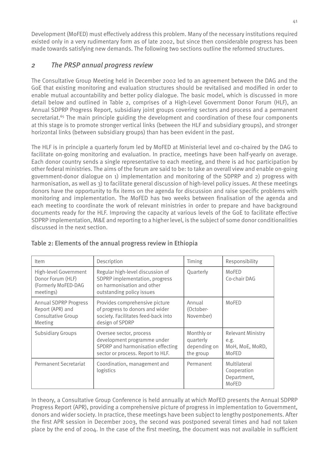Development (MoFED) must effectively address this problem. Many of the necessary institutions required existed only in a very rudimentary form as of late 2002, but since then considerable progress has been made towards satisfying new demands. The following two sections outline the reformed structures.

# *2 The PRSP annual progress review*

The Consultative Group Meeting held in December 2002 led to an agreement between the DAG and the GoE that existing monitoring and evaluation structures should be revitalised and modified in order to enable mutual accountability and better policy dialogue. The basic model, which is discussed in more detail below and outlined in Table 2, comprises of a High-Level Government Donor Forum (HLF), an Annual SDPRP Progress Report, subsidiary joint groups covering sectors and process and a permanent secretariat.<sup>65</sup> The main principle guiding the development and coordination of these four components at this stage is to promote stronger vertical links (between the HLF and subsidiary groups), and stronger horizontal links (between subsidiary groups) than has been evident in the past.

The HLF is in principle a quarterly forum led by MoFED at Ministerial level and co-chaired by the DAG to facilitate on-going monitoring and evaluation. In practice, meetings have been half-yearly on average. Each donor country sends a single representative to each meeting, and there is ad hoc participation by other federal ministries. The aims of the forum are said to be: to take an overall view and enable on-going government-donor dialogue on 1) implementation and monitoring of the SDPRP and 2) progress with harmonisation, as well as 3) to facilitate general discussion of high-level policy issues. At these meetings donors have the opportunity to fix items on the agenda for discussion and raise specific problems with monitoring and implementation. The MoFED has two weeks between finalisation of the agenda and each meeting to coordinate the work of relevant ministries in order to prepare and have background documents ready for the HLF. Improving the capacity at various levels of the GoE to facilitate effective SDPRP implementation, M&E and reporting to a higher level, is the subject of some donor conditionalities discussed in the next section.

| Item                                                                              | Description                                                                                                                      | Timing                                               | Responsibility                                               |
|-----------------------------------------------------------------------------------|----------------------------------------------------------------------------------------------------------------------------------|------------------------------------------------------|--------------------------------------------------------------|
| High-level Government<br>Donor Forum (HLF)<br>(Formerly MoFED-DAG<br>meetings)    | Regular high-level discussion of<br>SDPRP implementation, progress<br>on harmonisation and other<br>outstanding policy issues    | Quarterly                                            | MoFED<br>Co-chair DAG                                        |
| <b>Annual SDPRP Progress</b><br>Report (APR) and<br>Consultative Group<br>Meeting | Provides comprehensive picture<br>of progress to donors and wider<br>society. Facilitates feed-back into<br>design of SPDRP      | Annual<br>(October-<br>November)                     | MoFED                                                        |
| <b>Subsidiary Groups</b>                                                          | Oversee sector, process<br>development programme under<br>SPDRP and harmonisation effecting<br>sector or process. Report to HLF. | Monthly or<br>quarterly<br>depending on<br>the group | <b>Relevant Ministry</b><br>e.g.<br>MoH, MoE, MoRD,<br>MoFED |
| <b>Permanent Secretariat</b>                                                      | Coordination, management and<br>logistics                                                                                        | Permanent                                            | Multilateral<br>Cooperation<br>Department,<br>MoFED          |

#### Table 2: Elements of the annual progress review in Ethiopia

In theory, a Consultative Group Conference is held annually at which MoFED presents the Annual SDPRP Progress Report (APR), providing a comprehensive picture of progress in implementation to Government, donors and wider society. In practice, these meetings have been subject to lengthy postponements. After the first APR session in December 2003, the second was postponed several times and had not taken place by the end of 2004. In the case of the first meeting, the document was not available in sufficient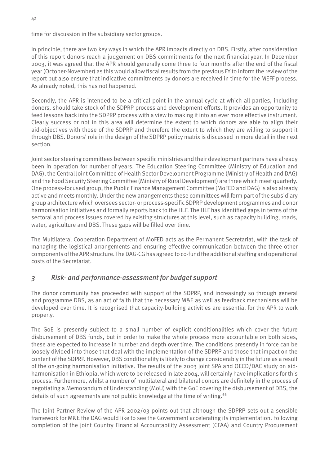time for discussion in the subsidiary sector groups.

In principle, there are two key ways in which the APR impacts directly on DBS. Firstly, after consideration of this report donors reach a judgement on DBS commitments for the next financial year. In December 2003, it was agreed that the APR should generally come three to four months after the end of the fiscal year (October-November) as this would allow fiscal results from the previous FY to inform the review of the report but also ensure that indicative commitments by donors are received in time for the MEFF process. As already noted, this has not happened.

Secondly, the APR is intended to be a critical point in the annual cycle at which all parties, including donors, should take stock of the SDPRP process and development efforts. It provides an opportunity to feed lessons back into the SDPRP process with a view to making it into an ever more effective instrument. Clearly success or not in this area will determine the extent to which donors are able to align their aid-objectives with those of the SDPRP and therefore the extent to which they are willing to support it through DBS. Donors' role in the design of the SDPRP policy matrix is discussed in more detail in the next section.

Joint sector steering committees between specific ministries and their development partners have already been in operation for number of years. The Education Steering Committee (Ministry of Education and DAG), the Central Joint Committee of Health Sector Development Programme (Ministry of Health and DAG) and the Food Security Steering Committee (Ministry of Rural Development) are three which meet quarterly. One process-focused group, the Public Finance Management Committee (MoFED and DAG) is also already active and meets monthly. Under the new arrangements these committees will form part of the subsidiary group architecture which oversees sector- or process-specific SDPRP development programmes and donor harmonisation initiatives and formally reports back to the HLF. The HLF has identified gaps in terms of the sectoral and process issues covered by existing structures at this level, such as capacity building, roads, water, agriculture and DBS. These gaps will be filled over time.

The Multilateral Cooperation Department of MoFED acts as the Permanent Secretariat, with the task of managing the logistical arrangements and ensuring effective communication between the three other components of the APR structure. The DAG-CG has agreed to co-fund the additional staffing and operational costs of the Secretariat.

#### *3 Risk- and performance-assessment for budget support*

The donor community has proceeded with support of the SDPRP, and increasingly so through general and programme DBS, as an act of faith that the necessary M&E as well as feedback mechanisms will be developed over time. It is recognised that capacity-building activities are essential for the APR to work properly.

The GoE is presently subject to a small number of explicit conditionalities which cover the future disbursement of DBS funds, but in order to make the whole process more accountable on both sides, these are expected to increase in number and depth over time. The conditions presently in force can be loosely divided into those that deal with the implementation of the SDPRP and those that impact on the content of the SDPRP. However, DBS conditionality is likely to change considerably in the future as a result of the on-going harmonisation initiative. The results of the 2003 joint SPA and OECD/DAC study on aidharmonisation in Ethiopia, which were to be released in late 2004, will certainly have implications for this process. Furthermore, whilst a number of multilateral and bilateral donors are definitely in the process of negotiating a Memorandum of Understanding (MoU) with the GoE covering the disbursement of DBS, the details of such agreements are not public knowledge at the time of writing.<sup>66</sup>

The Joint Partner Review of the APR 2002/03 points out that although the SDPRP sets out a sensible framework for M&E the DAG would like to see the Government accelerating its implementation. Following completion of the joint Country Financial Accountability Assessment (CFAA) and Country Procurement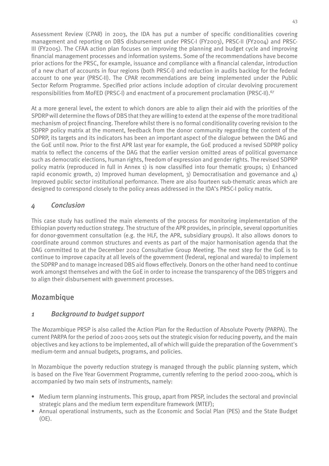Assessment Review (CPAR) in 2003, the IDA has put a number of specific conditionalities covering management and reporting on DBS disbursement under PRSC-I (FY2003), PRSC-II (FY2004) and PRSC-III (FY2005). The CFAA action plan focuses on improving the planning and budget cycle and improving financial management processes and information systems. Some of the recommendations have become prior actions for the PRSC, for example, issuance and compliance with a financial calendar, introduction of a new chart of accounts in four regions (both PRSC-I) and reduction in audits backlog for the federal account to one year (PRSC-II). The CPAR recommendations are being implemented under the Public Sector Reform Programme. Specified prior actions include adoption of circular devolving procurement responsibilities from MoFED (PRSC-I) and enactment of a procurement proclamation (PRSC-II).67

At a more general level, the extent to which donors are able to align their aid with the priorities of the SPDRP will determine the flows of DBS that they are willing to extend at the expense of the more traditional mechanism of project financing. Therefore whilst there is no formal conditionality covering revision to the SDPRP policy matrix at the moment, feedback from the donor community regarding the content of the SDPRP, its targets and its indicators has been an important aspect of the dialogue between the DAG and the GoE until now. Prior to the first APR last year for example, the GoE produced a revised SDPRP policy matrix to reflect the concerns of the DAG that the earlier version omitted areas of political governance such as democratic elections, human rights, freedom of expression and gender rights. The revised SDPRP policy matrix (reproduced in full in Annex 1) is now classified into four thematic groups; 1) Enhanced rapid economic growth, 2) Improved human development, 3) Democratisation and governance and  $\phi$ Improved public sector institutional performance. There are also fourteen sub-thematic areas which are designed to correspond closely to the policy areas addressed in the IDA's PRSC-I policy matrix.

#### *4 Conclusion*

This case study has outlined the main elements of the process for monitoring implementation of the Ethiopian poverty reduction strategy. The structure of the APR provides, in principle, several opportunities for donor-government consultation (e.g. the HLF, the APR, subsidiary groups). It also allows donors to coordinate around common structures and events as part of the major harmonisation agenda that the DAG committed to at the December 2002 Consultative Group Meeting. The next step for the GoE is to continue to improve capacity at all levels of the government (federal, regional and wareda) to implement the SDPRP and to manage increased DBS aid flows effectively. Donors on the other hand need to continue work amongst themselves and with the GoE in order to increase the transparency of the DBS triggers and to align their disbursement with government processes.

## Mozambique

#### *1 Background to budget support*

The Mozambique PRSP is also called the Action Plan for the Reduction of Absolute Poverty (PARPA). The current PARPA for the period of 2001-2005 sets out the strategic vision for reducing poverty, and the main objectives and key actions to be implemented, all of which will guide the preparation of the Government's medium-term and annual budgets, programs, and policies.

In Mozambique the poverty reduction strategy is managed through the public planning system, which is based on the Five Year Government Programme, currently referring to the period 2000-2004, which is accompanied by two main sets of instruments, namely:

- Medium term planning instruments. This group, apart from PRSP, includes the sectoral and provincial strategic plans and the medium term expenditure framework (MTEF);
- Annual operational instruments, such as the Economic and Social Plan (PES) and the State Budget (OE).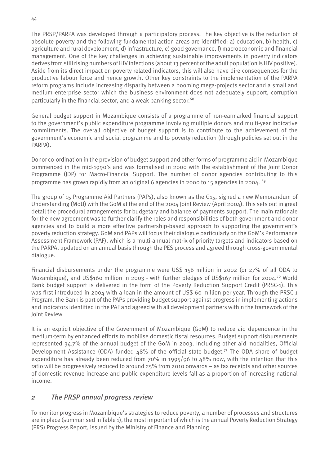The PRSP/PARPA was developed through a participatory process. The key objective is the reduction of absolute poverty and the following fundamental action areas are identified: a) education, b) health, c) agriculture and rural development, d) infrastructure, e) good governance, f) macroeconomic and financial management. One of the key challenges in achieving sustainable improvements in poverty indicators derives from still rising numbers of HIV infections (about 13 percent of the adult population is HIV positive). Aside from its direct impact on poverty related indicators, this will also have dire consequences for the productive labour force and hence growth. Other key constraints to the implementation of the PARPA reform programs include increasing disparity between a booming mega-projects sector and a small and medium enterprise sector which the business environment does not adequately support, corruption particularly in the financial sector, and a weak banking sector.<sup>68</sup>

General budget support in Mozambique consists of a programme of non-earmarked financial support to the government's public expenditure programme involving multiple donors and multi-year indicative commitments. The overall objective of budget support is to contribute to the achievement of the government's economic and social programme and to poverty reduction (through policies set out in the PARPA).

Donor co-ordination in the provision of budget support and other forms of programme aid in Mozambique commenced in the mid-1990's and was formalised in 2000 with the establishment of the Joint Donor Programme (JDP) for Macro-Financial Support. The number of donor agencies contributing to this programme has grown rapidly from an original 6 agencies in 2000 to 15 agencies in 2004. 69

The group of 15 Programme Aid Partners (PAPs), also known as the G15, signed a new Memorandum of Understanding (MoU) with the GoM at the end of the 2004 Joint Review (April 2004). This sets out in great detail the procedural arrangements for budgetary and balance of payments support. The main rationale for the new agreement was to further clarify the roles and responsibilities of both government and donor agencies and to build a more effective partnership-based approach to supporting the government's poverty reduction strategy. GoM and PAPs will focus their dialogue particularly on the GoM's Performance Assessment Framework (PAF), which is a multi-annual matrix of priority targets and indicators based on the PARPA, updated on an annual basis through the PES process and agreed through cross-governmental dialogue.

Financial disbursements under the programme were US\$ 156 million in 2002 (or 27% of all ODA to Mozambique), and US\$160 million in 2003 - with further pledges of US\$167 million for 2004.70 World Bank budget support is delivered in the form of the Poverty Reduction Support Credit (PRSC-1). This was first introduced in 2004 with a loan in the amount of US\$ 60 million per year. Through the PRSC-1 Program, the Bank is part of the PAPs providing budget support against progress in implementing actions and indicators identified in the PAF and agreed with all development partners within the framework of the Joint Review.

It is an explicit objective of the Government of Mozambique (GoM) to reduce aid dependence in the medium-term by enhanced efforts to mobilise domestic fiscal resources. Budget support disbursements represented 34.7% of the annual budget of the GoM in 2003. Including other aid modalities, Official Development Assistance (ODA) funded  $\Delta 8\%$  of the official state budget.<sup>71</sup> The ODA share of budget expenditure has already been reduced from  $70\%$  in 1995/96 to  $48\%$  now, with the intention that this ratio will be progressively reduced to around 25% from 2010 onwards – as tax receipts and other sources of domestic revenue increase and public expenditure levels fall as a proportion of increasing national income.

## *2 The PRSP annual progress review*

To monitor progress in Mozambique's strategies to reduce poverty, a number of processes and structures are in place (summarised in Table 1), the most important of which is the annual Poverty Reduction Strategy (PRS) Progress Report, issued by the Ministry of Finance and Planning.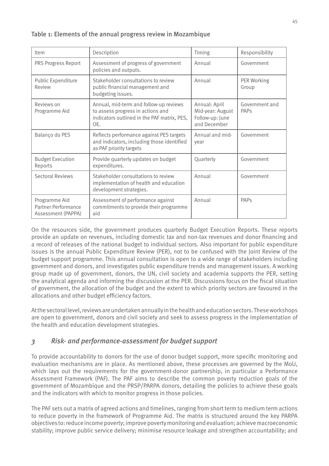#### Table 1: Elements of the annual progress review in Mozambique

| Item                                                       | Description                                                                                                                       | Timing                                                               | Responsibility         |
|------------------------------------------------------------|-----------------------------------------------------------------------------------------------------------------------------------|----------------------------------------------------------------------|------------------------|
| PRS Progress Report                                        | Assessment of progress of government<br>policies and outputs.                                                                     | Annual                                                               | Government             |
| Public Expenditure<br>Review                               | Stakeholder consultations to review<br>public financial management and<br>budgeting issues.                                       | Annual                                                               | PER Working<br>Group   |
| Reviews on<br>Programme Aid                                | Annual, mid-term and follow-up reviews<br>to assess progress in actions and<br>indicators outlined in the PAF matrix, PES,<br>OE. | Annual: April<br>Mid-year: August<br>Follow-up: June<br>and December | Government and<br>PAPS |
| Balanço do PES                                             | Reflects performance against PES targets<br>and indicators, including those identified<br>as PAF priority targets                 | Annual and mid-<br>vear                                              | Government             |
| <b>Budget Execution</b><br>Reports                         | Provide quarterly updates on budget<br>expenditures.                                                                              | Quarterly                                                            | Government             |
| <b>Sectoral Reviews</b>                                    | Stakeholder consultations to review<br>implementation of health and education<br>development strategies.                          | Annual                                                               | Government             |
| Programme Aid<br>Partner Performance<br>Assessment (PAPPA) | Assessment of performance against<br>commitments to provide their programme<br>aid                                                | Annual                                                               | PAPs                   |

On the resources side, the government produces quarterly Budget Execution Reports. These reports provide an update on revenues, including domestic tax and non-tax revenues and donor financing and a record of releases of the national budget to individual sectors. Also important for public expenditure issues is the annual Public Expenditure Review (PER), not to be confused with the Joint Review of the budget support programme. This annual consultation is open to a wide range of stakeholders including government and donors, and investigates public expenditure trends and management issues. A working group made up of government, donors, the UN, civil society and academia supports the PER, setting the analytical agenda and informing the discussion at the PER. Discussions focus on the fiscal situation of government, the allocation of the budget and the extent to which priority sectors are favoured in the allocations and other budget efficiency factors.

At the sectoral level, reviews are undertaken annually in the health and education sectors. These workshops are open to government, donors and civil society and seek to assess progress in the implementation of the health and education development strategies.

## *3 Risk- and performance-assessment for budget support*

To provide accountability to donors for the use of donor budget support, more specific monitoring and evaluation mechanisms are in place. As mentioned above, these processes are governed by the MoU, which lays out the requirements for the government-donor partnership, in particular a Performance Assessment Framework (PAF). The PAF aims to describe the common poverty reduction goals of the government of Mozambique and the PRSP/PARPA donors, detailing the policies to achieve these goals and the indicators with which to monitor progress in those policies.

The PAF sets out a matrix of agreed actions and timelines, ranging from short term to medium term actions to reduce poverty in the framework of Programme Aid. The matrix is structured around the key PARPA objectives to: reduce income poverty; improve poverty monitoring and evaluation; achieve macroeconomic stability; improve public service delivery; minimise resource leakage and strengthen accountability; and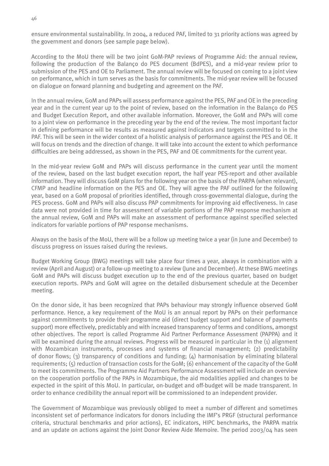ensure environmental sustainability. In 2004, a reduced PAF, limited to 31 priority actions was agreed by the government and donors (see sample page below).

According to the MoU there will be two joint GoM-PAP reviews of Programme Aid: the annual review, following the production of the Balanço do PES document (BdPES), and a mid-year review prior to submission of the PES and OE to Parliament. The annual review will be focused on coming to a joint view on performance, which in turn serves as the basis for commitments. The mid-year review will be focused on dialogue on forward planning and budgeting and agreement on the PAF.

In the annual review, GoM and PAPs will assess performance against the PES, PAF and OE in the preceding year and in the current year up to the point of review, based on the information in the Balanço do PES and Budget Execution Report, and other available information. Moreover, the GoM and PAPs will come to a joint view on performance in the preceding year by the end of the review. The most important factor in defining performance will be results as measured against indicators and targets committed to in the PAF. This will be seen in the wider context of a holistic analysis of performance against the PES and OE. It will focus on trends and the direction of change. It will take into account the extent to which performance difficulties are being addressed, as shown in the PES, PAF and OE commitments for the current year.

In the mid-year review GoM and PAPs will discuss performance in the current year until the moment of the review, based on the last budget execution report, the half year PES-report and other available information. They will discuss GoM plans for the following year on the basis of the PARPA (when relevant), CFMP and headline information on the PES and OE. They will agree the PAF outlined for the following year, based on a GoM proposal of priorities identified, through cross-governmental dialogue, during the PES process. GoM and PAPs will also discuss PAP commitments for improving aid effectiveness. In case data were not provided in time for assessment of variable portions of the PAP response mechanism at the annual review, GoM and PAPs will make an assessment of performance against specified selected indicators for variable portions of PAP response mechanisms.

Always on the basis of the MoU, there will be a follow up meeting twice a year (in June and December) to discuss progress on issues raised during the reviews.

Budget Working Group (BWG) meetings will take place four times a year, always in combination with a review (April and August) or a follow-up meeting to a review (June and December). At these BWG meetings GoM and PAPs will discuss budget execution up to the end of the previous quarter, based on budget execution reports. PAPs and GoM will agree on the detailed disbursement schedule at the December meeting.

On the donor side, it has been recognized that PAPs behaviour may strongly influence observed GoM performance. Hence, a key requirement of the MoU is an annual report by PAPs on their performance against commitments to provide their programme aid (direct budget support and balance of payments support) more effectively, predictably and with increased transparency of terms and conditions, amongst other objectives. The report is called Programme Aid Partner Performance Assessment (PAPPA) and it will be examined during the annual reviews. Progress will be measured in particular in the (1) alignment with Mozambican instruments, processes and systems of financial management; (2) predictability of donor flows; (3) transparency of conditions and funding;  $(4)$  harmonisation by eliminating bilateral requirements; (5) reduction of transaction costs for the GoM; (6) enhancement of the capacity of the GoM to meet its commitments. The Programme Aid Partners Performance Assessment will include an overview on the cooperation portfolio of the PAPs in Mozambique, the aid modalities applied and changes to be expected in the spirit of this MoU. In particular, on-budget and off-budget will be made transparent. In order to enhance credibility the annual report will be commissioned to an independent provider.

The Government of Mozambique was previously obliged to meet a number of different and sometimes inconsistent set of performance indicators for donors including the IMF's PRGF (structural performance criteria, structural benchmarks and prior actions), EC indicators, HIPC benchmarks, the PARPA matrix and an update on actions against the Joint Donor Review Aide Memoire. The period 2003/04 has seen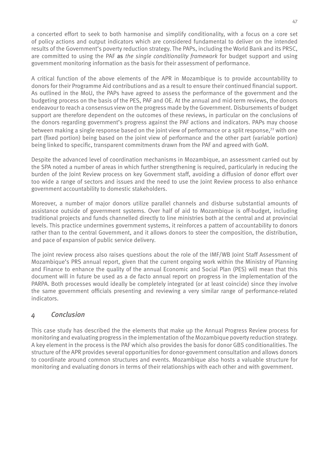a concerted effort to seek to both harmonise and simplify conditionality, with a focus on a core set of policy actions and output indicators which are considered fundamental to deliver on the intended results of the Government's poverty reduction strategy. The PAPs, including the World Bank and its PRSC, are committed to using the PAF as *the single conditionality framework* for budget support and using government monitoring information as the basis for their assessment of performance.

A critical function of the above elements of the APR in Mozambique is to provide accountability to donors for their Programme Aid contributions and as a result to ensure their continued financial support. As outlined in the MoU, the PAPs have agreed to assess the performance of the government and the budgeting process on the basis of the PES, PAF and OE. At the annual and mid-term reviews, the donors endeavour to reach a consensus view on the progress made by the Government. Disbursements of budget support are therefore dependent on the outcomes of these reviews, in particular on the conclusions of the donors regarding government's progress against the PAF actions and indicators. PAPs may choose between making a single response based on the joint view of performance or a split response.<sup>72</sup> with one part (fixed portion) being based on the joint view of performance and the other part (variable portion) being linked to specific, transparent commitments drawn from the PAF and agreed with GoM.

Despite the advanced level of coordination mechanisms in Mozambique, an assessment carried out by the SPA noted a number of areas in which further strengthening is required, particularly in reducing the burden of the Joint Review process on key Government staff, avoiding a diffusion of donor effort over too wide a range of sectors and issues and the need to use the Joint Review process to also enhance government accountability to domestic stakeholders.

Moreover, a number of major donors utilize parallel channels and disburse substantial amounts of assistance outside of government systems. Over half of aid to Mozambique is off-budget, including traditional projects and funds channelled directly to line ministries both at the central and at provincial levels. This practice undermines government systems, it reinforces a pattern of accountability to donors rather than to the central Government, and it allows donors to steer the composition, the distribution, and pace of expansion of public service delivery.

The joint review process also raises questions about the role of the IMF/WB Joint Staff Assessment of Mozambique's PRS annual report, given that the current ongoing work within the Ministry of Planning and Finance to enhance the quality of the annual Economic and Social Plan (PES) will mean that this document will in future be used as a de facto annual report on progress in the implementation of the PARPA. Both processes would ideally be completely integrated (or at least coincide) since they involve the same government officials presenting and reviewing a very similar range of performance-related indicators.

#### *4 Conclusion*

This case study has described the the elements that make up the Annual Progress Review process for monitoring and evaluating progress in the implementation of the Mozambique poverty reduction strategy. A key element in the process is the PAF which also provides the basis for donor GBS conditionalities. The structure of the APR provides several opportunities for donor-government consultation and allows donors to coordinate around common structures and events. Mozambique also hosts a valuable structure for monitoring and evaluating donors in terms of their relationships with each other and with government.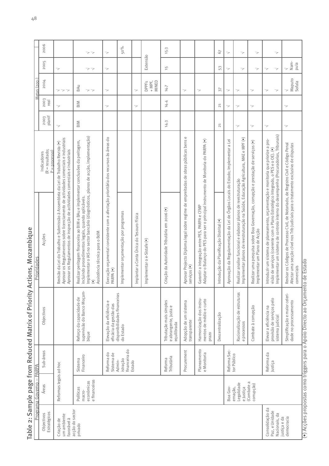Table 2: Sample page from Reduced Matrix of Priority Actions, Mozambique

|                                                      | 2006                                                     |                                                                                                                                                                                                                                                           | ママ                                                                                                                                                                                                                                                                                      | >                                                                                                            | 50%                                       |                                           |                                   | 15.3                                                                         |                                                                                                     |                                                                                                                                      | 67                                       | $\overline{\phantom{a}}$                                                         | $\Rightarrow$                                                                                                                                       | >                                                                                                                  | ⇒                                                                                                                                                                                                                                                              |                                                                                                                                                                                           |
|------------------------------------------------------|----------------------------------------------------------|-----------------------------------------------------------------------------------------------------------------------------------------------------------------------------------------------------------------------------------------------------------|-----------------------------------------------------------------------------------------------------------------------------------------------------------------------------------------------------------------------------------------------------------------------------------------|--------------------------------------------------------------------------------------------------------------|-------------------------------------------|-------------------------------------------|-----------------------------------|------------------------------------------------------------------------------|-----------------------------------------------------------------------------------------------------|--------------------------------------------------------------------------------------------------------------------------------------|------------------------------------------|----------------------------------------------------------------------------------|-----------------------------------------------------------------------------------------------------------------------------------------------------|--------------------------------------------------------------------------------------------------------------------|----------------------------------------------------------------------------------------------------------------------------------------------------------------------------------------------------------------------------------------------------------------|-------------------------------------------------------------------------------------------------------------------------------------------------------------------------------------------|
|                                                      | 2005                                                     | >                                                                                                                                                                                                                                                         | $\gt$ $\gt$                                                                                                                                                                                                                                                                             | >                                                                                                            |                                           |                                           | Extensão                          | 15                                                                           |                                                                                                     |                                                                                                                                      | 53                                       | $\overline{\phantom{a}}$                                                         | $\Rightarrow$                                                                                                                                       | >                                                                                                                  | ><br>$\overline{\phantom{a}}$                                                                                                                                                                                                                                  | Nam-<br>pula<br>⇒                                                                                                                                                                         |
| Metas (200-                                          | 2004                                                     | $\overline{\phantom{a}}$<br>>                                                                                                                                                                                                                             | BAu                                                                                                                                                                                                                                                                                     | >                                                                                                            |                                           | ⇒                                         | MINED<br>$+$ MPF,<br><b>DPPFs</b> | 14.7                                                                         | $\overline{\phantom{a}}$                                                                            | >                                                                                                                                    | 57                                       | $\overline{\phantom{a}}$                                                         | ⇒                                                                                                                                                   | $\overline{\phantom{a}}$                                                                                           | ><br>>                                                                                                                                                                                                                                                         | Maputo<br>Sofala<br>>                                                                                                                                                                     |
|                                                      | 2003<br>real                                             | >                                                                                                                                                                                                                                                         | <b>MIB</b>                                                                                                                                                                                                                                                                              | >                                                                                                            |                                           | 7                                         |                                   | 14.4                                                                         |                                                                                                     |                                                                                                                                      | $\overline{21}$                          | >                                                                                | 7                                                                                                                                                   | 7                                                                                                                  |                                                                                                                                                                                                                                                                | 7                                                                                                                                                                                         |
|                                                      | 2003<br>planif                                           | 7                                                                                                                                                                                                                                                         | $\frac{1}{2}$                                                                                                                                                                                                                                                                           |                                                                                                              |                                           |                                           |                                   | 14.3                                                                         |                                                                                                     |                                                                                                                                      | $\gtrsim$                                |                                                                                  | >                                                                                                                                                   | 7                                                                                                                  | $\overline{\phantom{a}}$                                                                                                                                                                                                                                       | 7                                                                                                                                                                                         |
|                                                      | $(R = resultado;$<br>$P = \text{process}$<br>Indicadores |                                                                                                                                                                                                                                                           |                                                                                                                                                                                                                                                                                         |                                                                                                              |                                           |                                           |                                   |                                                                              |                                                                                                     |                                                                                                                                      |                                          |                                                                                  |                                                                                                                                                     |                                                                                                                    |                                                                                                                                                                                                                                                                |                                                                                                                                                                                           |
| Actions, Mozambique<br>Prioridades                   | Acções                                                   | Aprovar os Regulamentos sobre licenciamento de actividades comerciais e industriais<br>Revisão da Lei do Trabalho e Submissão à Assembleia da Lei de Trabalho Revista (•)<br>Aprovar os Regulamentos de inspecção de actividades comerciais e industriais | Implementar o IAS no sector bancário (diagnósticos, planos de acção, implementação)<br>Realizar peritagem financeira ao BIM e BAu e implementar conclusões da peritagem,<br>incluindo procedimentos legais, quando aplicáveis.<br>Assistência técnica para o BdM<br>$\widehat{\bullet}$ | Execução orçamental consistente com a afectação prioritária dos recursos às áreas do<br>PARPA <sup>(•)</sup> | Implementar orçamentação por programas    | Implantar a Conta Única do Tesouro Física | Implementar o e-Sistafe (•)       | Criação da Autoridade Tributária em 2006 (*)                                 | Aprovar Projecto Diploma legal sobre regime de empreitadas de obras públicas bens e<br>serviços (•) | Adaptar o Balanço do PES para ser o principal instrumento de Monitoria do PARPA (.)<br>Garantir a integração entre PES, PARPA e CFMP | Introdução da Planificação Distrital (•) | Aprovação da Regulamentação da Lei de Órgãos Locais do Estado; Implementar a Lei | mplementar planos de reestruturação na Saúde, Educação Agricultura, MAE e MPF (•)<br>Realizar analise funcional e elaborar planos de reestruturação | Realizar uma pesquisa sobre Boa Governação, corrupção e prestação de serviços (•)<br>Implementar um Plano de Acção | Implementar um sistema de controlo interno do desempenho (Procuradorias, Tribunais)<br>Introduzir um sistema de planeamento, orçamentação e monitoria que priorize a pro-<br>visão de serviços (coerente com o Plano Estratégico Integrado, o PES e o OE). (.) | Revisar os Códigos de Processo Civil, de Notariado, de Registro Civil e Código Penal<br>Afectar uma secção cível nos Trib Judiciais para o tratamento exclusivo de disputas<br>comerciais |
| Table 2: Sample page from Reduced Matrix of Priority | Objectivos                                               |                                                                                                                                                                                                                                                           | supervisão do Banco Moçam-<br>Reforço da capacidade de<br>bique                                                                                                                                                                                                                         | Elevação da eficiência e<br>eficácia da gestão das                                                           | disponibilidades financeiras<br>do Estado |                                           |                                   | Tributação mais simples<br>$\mathbb U$<br>e abrangente, justa<br>equilibrada | Adopção de um sistema<br>transparente                                                               | Harmonização dos instru-<br>mentos de médio e curto<br>prazo                                                                         | Descentralização                         |                                                                                  | Racionalização de estruturas<br>e processos                                                                                                         | Combate à corrupção                                                                                                | provisão de serviços pelo<br>Elevar a eficiência na<br>sistema judicial                                                                                                                                                                                        | Simplificação e maior celeri-<br>dade no processamento                                                                                                                                    |
|                                                      | Sub-áreas                                                |                                                                                                                                                                                                                                                           | Sistema<br>Financeiro                                                                                                                                                                                                                                                                   | Reforma do<br>Sistema de                                                                                     | financeira do<br>istração<br>Admin-       | Estado                                    |                                   | Tributária<br>Reforma                                                        | Procurement                                                                                         | Planeamento<br>e Monitoria                                                                                                           |                                          | Reforma Sec-                                                                     | tor Público                                                                                                                                         |                                                                                                                    | Reforma da<br>Justiça                                                                                                                                                                                                                                          |                                                                                                                                                                                           |
| Programa Governo - PARPA                             | <b>Áreas</b>                                             | Reformas legais ad-hoc                                                                                                                                                                                                                                    | e financeiras<br>económicas<br>Políticas<br>macro-                                                                                                                                                                                                                                      |                                                                                                              |                                           |                                           |                                   |                                                                              |                                                                                                     |                                                                                                                                      |                                          | Boa Gov-                                                                         | Legalidade<br>e Justiça<br>ernação,                                                                                                                 | (Combate a<br>corrupção)                                                                                           |                                                                                                                                                                                                                                                                |                                                                                                                                                                                           |
|                                                      | Estratégicos<br>Objectivos                               | um ambiente<br>favorável à<br>Criação de                                                                                                                                                                                                                  | acção do sector<br>privado                                                                                                                                                                                                                                                              |                                                                                                              |                                           |                                           |                                   |                                                                              |                                                                                                     |                                                                                                                                      |                                          |                                                                                  |                                                                                                                                                     |                                                                                                                    | Consolidação da<br>Paz, e Unidade<br>Nacionais, da                                                                                                                                                                                                             | justiça e da<br>democracia                                                                                                                                                                |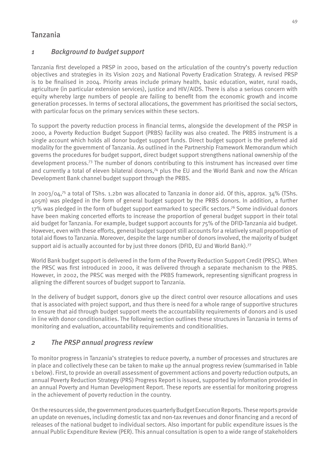# Tanzania

## *1 Background to budget support*

Tanzania first developed a PRSP in 2000, based on the articulation of the country's poverty reduction objectives and strategies in its Vision 2025 and National Poverty Eradication Strategy. A revised PRSP is to be finalised in 2004. Priority areas include primary health, basic education, water, rural roads, agriculture (in particular extension services), justice and HIV/AIDS. There is also a serious concern with equity whereby large numbers of people are failing to benefit from the economic growth and income generation processes. In terms of sectoral allocations, the government has prioritised the social sectors, with particular focus on the primary services within these sectors.

To support the poverty reduction process in financial terms, alongside the development of the PRSP in 2000, a Poverty Reduction Budget Support (PRBS) facility was also created. The PRBS instrument is a single account which holds all donor budget support funds. Direct budget support is the preferred aid modality for the government of Tanzania. As outlined in the Partnership Framework Memorandum which governs the procedures for budget support, direct budget support strengthens national ownership of the development process.73 The number of donors contributing to this instrument has increased over time and currently a total of eleven bilateral donors,<sup>74</sup> plus the EU and the World Bank and now the African Development Bank channel budget support through the PRBS.

In 2003/04,<sup>75</sup> a total of TShs. 1.2bn was allocated to Tanzania in donor aid. Of this, approx.  $34\%$  (TShs. 405m) was pledged in the form of general budget support by the PRBS donors. In addition, a further 17% was pledged in the form of budget support earmarked to specific sectors.<sup>76</sup> Some individual donors have been making concerted efforts to increase the proportion of general budget support in their total aid budget for Tanzania. For example, budget support accounts for 75% of the DFID-Tanzania aid budget. However, even with these efforts, general budget support still accounts for a relatively small proportion of total aid flows to Tanzania. Moreover, despite the large number of donors involved, the majority of budget support aid is actually accounted for by just three donors (DFID, EU and World Bank).<sup>77</sup>

World Bank budget support is delivered in the form of the Poverty Reduction Support Credit (PRSC). When the PRSC was first introduced in 2000, it was delivered through a separate mechanism to the PRBS. However, in 2002, the PRSC was merged with the PRBS framework, representing significant progress in aligning the different sources of budget support to Tanzania.

In the delivery of budget support, donors give up the direct control over resource allocations and uses that is associated with project support, and thus there is need for a whole range of supportive structures to ensure that aid through budget support meets the accountability requirements of donors and is used in line with donor conditionalities. The following section outlines these structures in Tanzania in terms of monitoring and evaluation, accountability requirements and conditionalities.

## *2 The PRSP annual progress review*

To monitor progress in Tanzania's strategies to reduce poverty, a number of processes and structures are in place and collectively these can be taken to make up the annual progress review (summarised in Table 1 below). First, to provide an overall assessment of government actions and poverty reduction outputs, an annual Poverty Reduction Strategy (PRS) Progress Report is issued, supported by information provided in an annual Poverty and Human Development Report. These reports are essential for monitoring progress in the achievement of poverty reduction in the country.

On the resources side, the government produces quarterly Budget Execution Reports. These reports provide an update on revenues, including domestic tax and non-tax revenues and donor financing and a record of releases of the national budget to individual sectors. Also important for public expenditure issues is the annual Public Expenditure Review (PER). This annual consultation is open to a wide range of stakeholders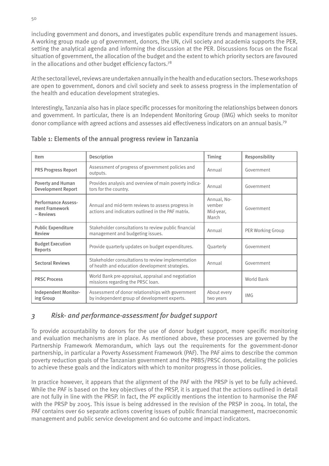including government and donors, and investigates public expenditure trends and management issues. A working group made up of government, donors, the UN, civil society and academia supports the PER, setting the analytical agenda and informing the discussion at the PER. Discussions focus on the fiscal situation of government, the allocation of the budget and the extent to which priority sectors are favoured in the allocations and other budget efficiency factors.<sup>78</sup>

At the sectoral level, reviews are undertaken annually in the health and education sectors. These workshops are open to government, donors and civil society and seek to assess progress in the implementation of the health and education development strategies.

Interestingly, Tanzania also has in place specific processes for monitoring the relationships between donors and government. In particular, there is an Independent Monitoring Group (IMG) which seeks to monitor donor compliance with agreed actions and assesses aid effectiveness indicators on an annual basis.79

| Item                                                      | Description                                                                                             | Timing                                      | Responsibility    |
|-----------------------------------------------------------|---------------------------------------------------------------------------------------------------------|---------------------------------------------|-------------------|
| <b>PRS Progress Report</b>                                | Assessment of progress of government policies and<br>outputs.                                           | Annual                                      | Government        |
| Poverty and Human<br><b>Development Report</b>            | Provides analysis and overview of main poverty indica-<br>tors for the country.                         | Annual                                      | Government        |
| <b>Performance Assess-</b><br>ment Framework<br>- Reviews | Annual and mid-term reviews to assess progress in<br>actions and indicators outlined in the PAF matrix. | Annual, No-<br>vember<br>Mid-year,<br>March | Government        |
| <b>Public Expenditure</b><br><b>Review</b>                | Stakeholder consultations to review public financial<br>management and budgeting issues.                | Annual                                      | PER Working Group |
| <b>Budget Execution</b><br>Reports                        | Provide quarterly updates on budget expenditures.                                                       | Quarterly                                   | Government        |
| <b>Sectoral Reviews</b>                                   | Stakeholder consultations to review implementation<br>of health and education development strategies.   | Annual                                      | Government        |
| <b>PRSC Process</b>                                       | World Bank pre-appraisal, appraisal and negotiation<br>missions regarding the PRSC loan.                |                                             | World Bank        |
| <b>Independent Monitor-</b><br>ing Group                  | Assessment of donor relationships with government<br>by independent group of development experts.       | About every<br>two years                    | <b>IMG</b>        |

Table 1: Elements of the annual progress review in Tanzania

# *3 Risk- and performance-assessment for budget support*

To provide accountability to donors for the use of donor budget support, more specific monitoring and evaluation mechanisms are in place. As mentioned above, these processes are governed by the Partnership Framework Memorandum, which lays out the requirements for the government-donor partnership, in particular a Poverty Assessment Framework (PAF). The PAF aims to describe the common poverty reduction goals of the Tanzanian government and the PRBS/PRSC donors, detailing the policies to achieve these goals and the indicators with which to monitor progress in those policies.

In practice however, it appears that the alignment of the PAF with the PRSP is yet to be fully achieved. While the PAF is based on the key objectives of the PRSP, it is argued that the actions outlined in detail are not fully in line with the PRSP. In fact, the PF explicitly mentions the intention to harmonise the PAF with the PRSP by 2005. This issue is being addressed in the revision of the PRSP in 2004. In total, the PAF contains over 60 separate actions covering issues of public financial management, macroeconomic management and public service development and 60 outcome and impact indicators.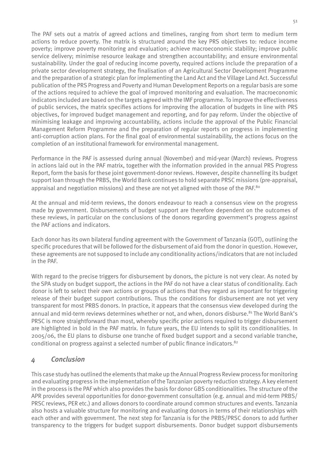The PAF sets out a matrix of agreed actions and timelines, ranging from short term to medium term actions to reduce poverty. The matrix is structured around the key PRS objectives to: reduce income poverty; improve poverty monitoring and evaluation; achieve macroeconomic stability; improve public service delivery; minimise resource leakage and strengthen accountability; and ensure environmental sustainability. Under the goal of reducing income poverty, required actions include the preparation of a private sector development strategy, the finalisation of an Agricultural Sector Development Programme and the preparation of a strategic plan for implementing the Land Act and the Village Land Act. Successful publication of the PRS Progress and Poverty and Human Development Reports on a regular basis are some of the actions required to achieve the goal of improved monitoring and evaluation. The macroeconomic indicators included are based on the targets agreed with the IMF programme. To improve the effectiveness of public services, the matrix specifies actions for improving the allocation of budgets in line with PRS objectives, for improved budget management and reporting, and for pay reform. Under the objective of minimising leakage and improving accountability, actions include the approval of the Public Financial Management Reform Programme and the preparation of regular reports on progress in implementing anti-corruption action plans. For the final goal of environmental sustainability, the actions focus on the completion of an institutional framework for environmental management.

Performance in the PAF is assessed during annual (November) and mid-year (March) reviews. Progress in actions laid out in the PAF matrix, together with the information provided in the annual PRS Progress Report, form the basis for these joint government-donor reviews. However, despite channelling its budget support loan through the PRBS, the World Bank continues to hold separate PRSC missions (pre-appraisal, appraisal and negotiation missions) and these are not yet aligned with those of the PAF.<sup>80</sup>

At the annual and mid-term reviews, the donors endeavour to reach a consensus view on the progress made by government. Disbursements of budget support are therefore dependent on the outcomes of these reviews, in particular on the conclusions of the donors regarding government's progress against the PAF actions and indicators.

Each donor has its own bilateral funding agreement with the Government of Tanzania (GOT), outlining the specific procedures that will be followed for the disbursement of aid from the donor in question. However, these agreements are not supposed to include any conditionality actions/indicators that are not included in the PAF.

With regard to the precise triggers for disbursement by donors, the picture is not very clear. As noted by the SPA study on budget support, the actions in the PAF do not have a clear status of conditionality. Each donor is left to select their own actions or groups of actions that they regard as important for triggering release of their budget support contributions. Thus the conditions for disbursement are not yet very transparent for most PRBS donors. In practice, it appears that the consensus view developed during the annual and mid-term reviews determines whether or not, and when, donors disburse.<sup>81</sup> The World Bank's PRSC is more straightforward than most, whereby specific prior actions required to trigger disbursement are highlighted in bold in the PAF matrix. In future years, the EU intends to split its conditionalities. In 2005/06, the EU plans to disburse one tranche of fixed budget support and a second variable tranche, conditional on progress against a selected number of public finance indicators.82

## *4 Conclusion*

This case study has outlined the elements that make up the Annual Progress Review process for monitoring and evaluating progress in the implementation of the Tanzanian poverty reduction strategy. A key element in the process is the PAF which also provides the basis for donor GBS conditionalities. The structure of the APR provides several opportunities for donor-government consultation (e.g. annual and mid-term PRBS/ PRSC reviews, PER etc.) and allows donors to coordinate around common structures and events. Tanzania also hosts a valuable structure for monitoring and evaluating donors in terms of their relationships with each other and with government. The next step for Tanzania is for the PRBS/PRSC donors to add further transparency to the triggers for budget support disbursements. Donor budget support disbursements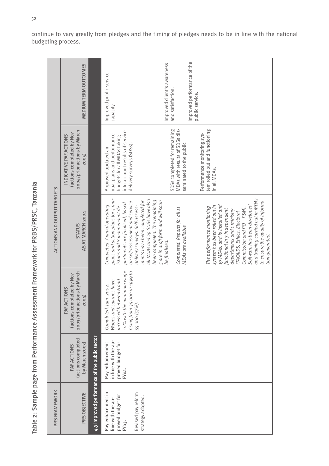| C<br>Ś<br>I<br>I<br>J<br>S<br>¢<br>ł                    |
|---------------------------------------------------------|
| ţ<br>$\overline{C}$<br>١<br>$\mathbf{r}$<br>١<br>Ō<br>١ |
| $\overline{a}$<br>١<br>ì<br>Í<br>Í<br>Í                 |
| Ï                                                       |
| ¢<br>I                                                  |
| S<br>Ó<br>l<br>¢<br>Ċ<br>ı<br>¢<br>I<br>I<br>Ï          |
| 1<br>ć<br>Í<br>į<br>ÿ<br>Í<br>¢<br>Í                    |
| ì<br>Į<br>I                                             |
| ł<br>١<br>İ<br>Ś                                        |
| J<br>ļ<br>¢<br>$\overline{\mathbf{C}}$<br>١<br>J        |
| ť<br>J<br>d<br>ļ<br>S<br>ì<br>¢<br>ರ<br>I               |

|                                                                                    | <b>ACTIONS AND OUTPUT TARGETS</b> | MEDIUM TERM OUTCOMES<br>2004/prior actions by March<br>actions completed by Nov<br>INDICATIVE PAF ACTIONS<br>2005) |                                               | Improved performance of the<br>Improved client's awareness<br>Improved public service<br>and satisfaction.<br>public service.<br>capacity.<br>SDSs completed for remaining<br>MDAs with results of SDSs dis-<br>tem rolled out and functioning<br>into account results of service<br>Performance monitoring sys-<br>nual plans and performance<br>budgets for all MDAs taking<br>seminated to the public<br>delivery surveys (SDSs).<br>Approved updated an-<br>in all MDAs.                                             |                                                                                                                                                                                                                                                  |
|------------------------------------------------------------------------------------|-----------------------------------|--------------------------------------------------------------------------------------------------------------------|-----------------------------------------------|--------------------------------------------------------------------------------------------------------------------------------------------------------------------------------------------------------------------------------------------------------------------------------------------------------------------------------------------------------------------------------------------------------------------------------------------------------------------------------------------------------------------------|--------------------------------------------------------------------------------------------------------------------------------------------------------------------------------------------------------------------------------------------------|
|                                                                                    |                                   | AS AT MARCH 2004<br><b>STATUS</b>                                                                                  |                                               | plans and action plans for 5 min-<br>all MDAs and 29 SDSs have also<br>been completed. The remaining<br>ments have been completed for<br>5 are in draft form and will soon<br>on self-assessment and service<br>partments are finalised, based<br>istries and 8 independent de-<br>19 MDAs, and is installed and<br>delivery surveys. Self-assess-<br>Completed. Annual operating<br>system has been rolled out in<br>The performance monitoring<br>Completed. Reports for all 11<br>MDAs are available<br>be finalised. | and training carried out in MDAs<br>to ensure the quality of informa-<br>Software has been developed<br>Commission and PO - PSM).<br>functional in 3 independent<br>departments and 1 ministry<br>(TACAIDS, Ethics, Electoral<br>tion generated. |
| Table 2: Sample page from Performance Assessment Framework for PRBS/PRSC, Tanzania |                                   | 2003/prior actions by March<br>actions completed by Nov<br><b>SNOI.</b><br>2004)<br>PAF ACT                        |                                               | 10% with the minimum wage<br>rising from 35 000 in 1999 to<br>increased between 6 and<br>Wages and salaries have<br>Completed. June 2003.<br>55 000 (57%).                                                                                                                                                                                                                                                                                                                                                               |                                                                                                                                                                                                                                                  |
|                                                                                    |                                   | (actions completed<br>by March 2003)<br>PAF ACTIONS                                                                |                                               | in line with the ap-<br>Pay enhancement<br>proved budget for<br>FY 04.                                                                                                                                                                                                                                                                                                                                                                                                                                                   |                                                                                                                                                                                                                                                  |
|                                                                                    | PRS FRAMEWORK                     | PRS OBJECTIVE                                                                                                      | 4.3 Improved performance of the public sector | Pay enhacement in<br>Revised pay reform<br>proved budget for<br>strategy adopted.<br>line with the ap-<br>FY03.                                                                                                                                                                                                                                                                                                                                                                                                          |                                                                                                                                                                                                                                                  |

52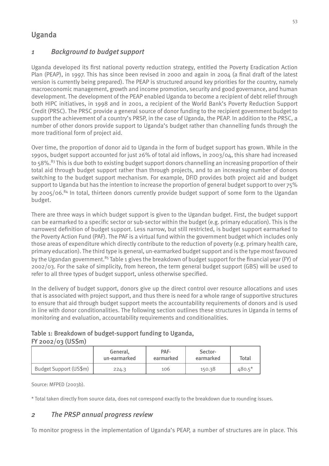# Uganda

# *1 Background to budget support*

Uganda developed its first national poverty reduction strategy, entitled the Poverty Eradication Action Plan (PEAP), in 1997. This has since been revised in 2000 and again in 2004 (a final draft of the latest version is currently being prepared). The PEAP is structured around key priorities for the country, namely macroeconomic management, growth and income promotion, security and good governance, and human development. The development of the PEAP enabled Uganda to become a recipient of debt relief through both HIPC initiatives, in 1998 and in 2001, a recipient of the World Bank's Poverty Reduction Support Credit (PRSC). The PRSC provide a general source of donor funding to the recipient government budget to support the achievement of a country's PRSP, in the case of Uganda, the PEAP. In addition to the PRSC, a number of other donors provide support to Uganda's budget rather than channelling funds through the more traditional form of project aid.

Over time, the proportion of donor aid to Uganda in the form of budget support has grown. While in the 1990s, budget support accounted for just 26% of total aid inflows, in 2003/04, this share had increased to 58%.<sup>83</sup> This is due both to existing budget support donors channelling an increasing proportion of their total aid through budget support rather than through projects, and to an increasing number of donors switching to the budget support mechanism. For example, DFID provides both project aid and budget support to Uganda but has the intention to increase the proportion of general budget support to over 75% by 2005/06.84 In total, thirteen donors currently provide budget support of some form to the Ugandan budget.

There are three ways in which budget support is given to the Ugandan budget. First, the budget support can be earmarked to a specific sector or sub-sector within the budget (e.g. primary education). This is the narrowest definition of budget support. Less narrow, but still restricted, is budget support earmarked to the Poverty Action Fund (PAF). The PAF is a virtual fund within the government budget which includes only those areas of expenditure which directly contribute to the reduction of poverty (e.g. primary health care, primary education). The third type is general, un-earmarked budget support and is the type most favoured by the Ugandan government.<sup>85</sup> Table 1 gives the breakdown of budget support for the financial year (FY) of 2002/03. For the sake of simplicity, from hereon, the term general budget support (GBS) will be used to refer to all three types of budget support, unless otherwise specified.

In the delivery of budget support, donors give up the direct control over resource allocations and uses that is associated with project support, and thus there is need for a whole range of supportive structures to ensure that aid through budget support meets the accountability requirements of donors and is used in line with donor conditionalities. The following section outlines these structures in Uganda in terms of monitoring and evaluation, accountability requirements and conditionalities.

Table 1: Breakdown of budget-support funding to Uganda, FY 2002/03 (US\$m)

|                        | General.<br>un-earmarked | PAF-<br>earmarked | Sector-<br>earmarked | Total    |
|------------------------|--------------------------|-------------------|----------------------|----------|
| Budget Support (US\$m) | 224.3                    | 106               | 150.38               | $480.5*$ |

Source: MFPED (2003b).

\* Total taken directly from source data, does not correspond exactly to the breakdown due to rounding issues.

## *2 The PRSP annual progress review*

To monitor progress in the implementation of Uganda's PEAP, a number of structures are in place. This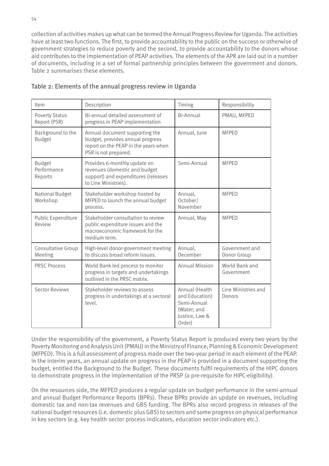collection of activities makes up what can be termed the Annual Progress Review for Uganda. The activities have at least two functions. The first, to provide accountability to the public on the success or otherwise of government strategies to reduce poverty and the second, to provide accountability to the donors whose aid contributes to the implementation of PEAP activities. The elements of the APR are laid out in a number of documents, including in a set of formal partnership principles between the government and donors. Table 2 summarises these elements.

| Item                                    | Description                                                                                                                        | Timing                                                                                     | Responsibility                |
|-----------------------------------------|------------------------------------------------------------------------------------------------------------------------------------|--------------------------------------------------------------------------------------------|-------------------------------|
| <b>Poverty Status</b><br>Report (PSR)   | Bi-annual detailed assessment of<br>progress in PEAP implementation                                                                | <b>Bi-Annual</b>                                                                           | PMAU, MFPED                   |
| Background to the<br><b>Budget</b>      | Annual document supporting the<br>budget, provides annual progress<br>report on the PEAP in the years when<br>PSR is not prepared. | Annual, June                                                                               | <b>MFPED</b>                  |
| <b>Budget</b><br>Performance<br>Reports | Provides 6-monthly update on<br>revenues (domestic and budget<br>support) and expenditures (releases<br>to Line Ministries).       | Semi-Annual                                                                                | <b>MFPFD</b>                  |
| <b>National Budget</b><br>Workshop      | Stakeholder workshop hosted by<br>MFPED to launch the annual budget<br>process.                                                    | Annual,<br>October/<br>November                                                            | <b>MFPED</b>                  |
| Public Expenditure<br>Review            | Stakeholder consultation to review<br>public expenditure issues and the<br>macroeconomic framework for the<br>medium term.         | Annual, May                                                                                | <b>MFPED</b>                  |
| <b>Consultative Group</b><br>Meeting    | High-level donor-government meeting<br>to discuss broad reform issues.                                                             | Annual,<br>December                                                                        | Government and<br>Donor Group |
| <b>PRSC Process</b>                     | World Bank led process to monitor<br>progress in targets and undertakings<br>outlined in the PRSC matrix.                          | <b>Annual Mission</b>                                                                      | World Bank and<br>Government  |
| <b>Sector Reviews</b>                   | Stakeholder reviews to assess<br>progress in undertakings at a sectoral<br>level.                                                  | Annual (Health<br>and Education)<br>Semi-Annual<br>(Water; and<br>Justice, Law &<br>Order) | Line Ministries and<br>Donors |

#### Table 2: Elements of the annual progress review in Uganda

Under the responsibility of the government, a Poverty Status Report is produced every two years by the Poverty Monitoring and Analysis Unit (PMAU) in the Ministry of Finance, Planning & Economic Development (MFPED). This is a full assessment of progress made over the two-year period in each element of the PEAP. In the interim years, an annual update on progress in the PEAP is provided in a document supporting the budget, entitled the Background to the Budget. These documents fulfil requirements of the HIPC donors to demonstrate progress in the implementation of the PRSP (a pre-requisite for HIPC-eligibility).

On the resources side, the MFPED produces a regular update on budget performance in the semi-annual and annual Budget Performance Reports (BPRs). These BPRs provide an update on revenues, including domestic tax and non-tax revenues and GBS funding. The BPRs also record progress in releases of the national budget resources (i.e. domestic plus GBS) to sectors and some progress on physical performance in key sectors (e.g. key health sector process indicators, education sector indicators etc.).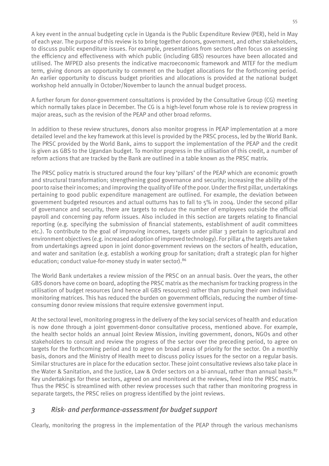A key event in the annual budgeting cycle in Uganda is the Public Expenditure Review (PER), held in May of each year. The purpose of this review is to bring together donors, government, and other stakeholders, to discuss public expenditure issues. For example, presentations from sectors often focus on assessing the efficiency and effectiveness with which public (including GBS) resources have been allocated and utilised. The MFPED also presents the indicative macroeconomic framework and MTEF for the medium term, giving donors an opportunity to comment on the budget allocations for the forthcoming period. An earlier opportunity to discuss budget priorities and allocations is provided at the national budget workshop held annually in October/November to launch the annual budget process.

A further forum for donor-government consultations is provided by the Consultative Group (CG) meeting which normally takes place in December. The CG is a high-level forum whose role is to review progress in major areas, such as the revision of the PEAP and other broad reforms.

In addition to these review structures, donors also monitor progress in PEAP implementation at a more detailed level and the key framework at this level is provided by the PRSC process, led by the World Bank. The PRSC provided by the World Bank, aims to support the implementation of the PEAP and the credit is given as GBS to the Ugandan budget. To monitor progress in the utilisation of this credit, a number of reform actions that are tracked by the Bank are outlined in a table known as the PRSC matrix.

The PRSC policy matrix is structured around the four key 'pillars' of the PEAP which are economic growth and structural transformation; strengthening good governance and security; increasing the ability of the poor to raise their incomes; and improving the quality of life of the poor. Under the first pillar, undertakings pertaining to good public expenditure management are outlined. For example, the deviation between government budgeted resources and actual outturns has to fall to 5% in 2004. Under the second pillar of governance and security, there are targets to reduce the number of employees outside the official payroll and concerning pay reform issues. Also included in this section are targets relating to financial reporting (e.g. specifying the submission of financial statements, establishment of audit committees etc.). To contribute to the goal of improving incomes, targets under pillar 3 pertain to agricultural and environment objectives (e.g. increased adoption of improved technology). For pillar  $4$  the targets are taken from undertakings agreed upon in joint donor-government reviews on the sectors of health, education, and water and sanitation (e.g. establish a working group for sanitation; draft a strategic plan for higher education; conduct value-for-money study in water sector).<sup>86</sup>

The World Bank undertakes a review mission of the PRSC on an annual basis. Over the years, the other GBS donors have come on board, adopting the PRSC matrix as the mechanism for tracking progress in the utilisation of budget resources (and hence all GBS resources) rather than pursuing their own individual monitoring matrices. This has reduced the burden on government officials, reducing the number of timeconsuming donor review missions that require extensive government input.

At the sectoral level, monitoring progress in the delivery of the key social services of health and education is now done through a joint government-donor consultative process, mentioned above. For example, the health sector holds an annual Joint Review Mission, inviting government, donors, NGOs and other stakeholders to consult and review the progress of the sector over the preceding period, to agree on targets for the forthcoming period and to agree on broad areas of priority for the sector. On a monthly basis, donors and the Ministry of Health meet to discuss policy issues for the sector on a regular basis. Similar structures are in place for the education sector. These joint consultative reviews also take place in the Water & Sanitation, and the Justice, Law & Order sectors on a bi-annual, rather than annual basis.<sup>87</sup> Key undertakings for these sectors, agreed on and monitored at the reviews, feed into the PRSC matrix. Thus the PRSC is streamlined with other review processes such that rather than monitoring progress in separate targets, the PRSC relies on progress identified by the joint reviews.

## *3 Risk- and performance-assessment for budget support*

Clearly, monitoring the progress in the implementation of the PEAP through the various mechanisms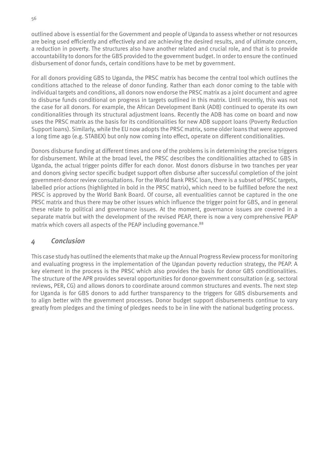outlined above is essential for the Government and people of Uganda to assess whether or not resources are being used efficiently and effectively and are achieving the desired results, and of ultimate concern, a reduction in poverty. The structures also have another related and crucial role, and that is to provide accountability to donors for the GBS provided to the government budget. In order to ensure the continued disbursement of donor funds, certain conditions have to be met by government.

For all donors providing GBS to Uganda, the PRSC matrix has become the central tool which outlines the conditions attached to the release of donor funding. Rather than each donor coming to the table with individual targets and conditions, all donors now endorse the PRSC matrix as a joint document and agree to disburse funds conditional on progress in targets outlined in this matrix. Until recently, this was not the case for all donors. For example, the African Development Bank (ADB) continued to operate its own conditionalities through its structural adjustment loans. Recently the ADB has come on board and now uses the PRSC matrix as the basis for its conditionalities for new ADB support loans (Poverty Reduction Support loans). Similarly, while the EU now adopts the PRSC matrix, some older loans that were approved a long time ago (e.g. STABEX) but only now coming into effect, operate on different conditionalities.

Donors disburse funding at different times and one of the problems is in determining the precise triggers for disbursement. While at the broad level, the PRSC describes the conditionalities attached to GBS in Uganda, the actual trigger points differ for each donor. Most donors disburse in two tranches per year and donors giving sector specific budget support often disburse after successful completion of the joint government-donor review consultations. For the World Bank PRSC loan, there is a subset of PRSC targets, labelled prior actions (highlighted in bold in the PRSC matrix), which need to be fulfilled before the next PRSC is approved by the World Bank Board. Of course, all eventualities cannot be captured in the one PRSC matrix and thus there may be other issues which influence the trigger point for GBS, and in general these relate to political and governance issues. At the moment, governance issues are covered in a separate matrix but with the development of the revised PEAP, there is now a very comprehensive PEAP matrix which covers all aspects of the PEAP including governance.<sup>88</sup>

#### *4 Conclusion*

This case study has outlined the elements that make up the Annual Progress Review process for monitoring and evaluating progress in the implementation of the Ugandan poverty reduction strategy, the PEAP. A key element in the process is the PRSC which also provides the basis for donor GBS conditionalities. The structure of the APR provides several opportunities for donor-government consultation (e.g. sectoral reviews, PER, CG) and allows donors to coordinate around common structures and events. The next step for Uganda is for GBS donors to add further transparency to the triggers for GBS disbursements and to align better with the government processes. Donor budget support disbursements continue to vary greatly from pledges and the timing of pledges needs to be in line with the national budgeting process.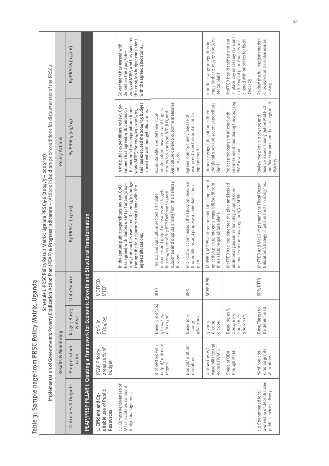|                                                                                 |                                                          |                                                    |                       | Implementation of Government's Poverty Eradication Action Plan (PEAP) & Progress Indicators – (Actions in bold are prior conditions for disbursement of the PRSC.)<br>Schedule I: PRSC Policy Result Matrix: Uganda PRSC4-6 (2004/5 - 2006/07) |                                                                                                                                                                                                                                     |                                                                                                                                                         |
|---------------------------------------------------------------------------------|----------------------------------------------------------|----------------------------------------------------|-----------------------|------------------------------------------------------------------------------------------------------------------------------------------------------------------------------------------------------------------------------------------------|-------------------------------------------------------------------------------------------------------------------------------------------------------------------------------------------------------------------------------------|---------------------------------------------------------------------------------------------------------------------------------------------------------|
|                                                                                 | Results & Monitoring                                     |                                                    |                       |                                                                                                                                                                                                                                                | <b>Policy Actions</b>                                                                                                                                                                                                               |                                                                                                                                                         |
| Outcomes & Outputs                                                              | Progress Indi-<br>cator                                  | Target; Base;<br>& Year                            | Data Source           | By PRSC4 (03/04)                                                                                                                                                                                                                               | By PRSC5 (04/05)                                                                                                                                                                                                                    | By PRSC6 (05/06)                                                                                                                                        |
|                                                                                 |                                                          |                                                    |                       | PEAP/PRSP PILLAR I: Creating a Framework for Economic Growth and Structural Transformation                                                                                                                                                     |                                                                                                                                                                                                                                     |                                                                                                                                                         |
| uitable use of Public<br>1. Efficient and Eq-<br>Resources                      | areas as % of<br>PEAP Priority<br>budget                 | 50% in<br>FY04/05                                  | MOFPED;<br>MTEF       |                                                                                                                                                                                                                                                |                                                                                                                                                                                                                                     |                                                                                                                                                         |
| 1.1 Comprehensiveness of<br>MTEF facilitates coherent<br>budget management.     |                                                          |                                                    |                       | 2005/06 and has executed the 2003/04 budget<br>has agreed with donors on MTEF for 2003/04-<br>through the four quarters consistent with the<br>In the annual public expenditure review, GoU<br>agreed allocations.                             | and has executed the 2004/05 budget<br>In the public expenditure review, Gov-<br>the medium-term expenditure frame-<br>ernment has agreed with donors on<br>work (MTEF) for 2004/05-2006/07,<br>consistent with budget allocations. | 2007/08MTEF, and has executed<br>the 2005/06 budget consistent<br>Government has agreed with<br>with the agreed allocations.<br>donors on the 2005/06-  |
|                                                                                 | output/outcome<br># of sectors with<br>targets           | Base: 3 in 03/04<br>6 in 05/06<br>5 in 04/05       | <b>BFPs</b>           | outcomes and outputs arising from the Defense<br>outcomes and output measures and targets<br>in 2004/05-2006/07 BFP. Defense to state<br>The JLO and Agriculture sectors articulate<br>Review.                                                 | Agriculture develop outcome measures<br>porate output measures and targets<br>in 2005/06-2007/08 BFP. JLO, and<br>Accountability and Defense incor-<br>and targets.                                                                 |                                                                                                                                                         |
|                                                                                 | Budget/outturn<br>deviation                              | $5\% - 2004.$<br>Base: 10%<br>$-2003;$             | BPR                   | MOFPED will commission the study on resource<br>flow problems and propose a remedial action<br>plan.                                                                                                                                           | resources to sectors and districts<br>Agreed Plan for timely release of<br>implemented.                                                                                                                                             |                                                                                                                                                         |
|                                                                                 | wage bill integrat-<br>ed in BFP/MTEF<br># of sectors w/ | 92006<br>62005<br>3 2004                           | $\approx$<br>MTEF, BP | MoFPED, MOPS and sector ministries implement<br>an action plan to integrate wage bill/staffing in<br>three sector expenditure plans.                                                                                                           | additional 2007/08 sector expenditure<br>Introduce wage integration in three<br>plans.                                                                                                                                              | three further 2006/07-2008/09<br>Introduce wage integration in<br>sector plans.                                                                         |
|                                                                                 | through MTEF<br>Share of ODA                             | Base- 03: 55%<br>2004:60%<br>2005:65%<br>2006: 75% |                       | MoFPED has implemented the plan and issued<br>additional guidelines for integration of donor<br>resources in the $2004/05$ -2006/07 MTEF.                                                                                                      | priorities identified during the 2003/04<br>Project proposals are aligned with<br>PEAP revision                                                                                                                                     | in place any necessary revisions<br>MoFPED has identified and put<br>aligned with priorities for fiscal<br>to the initial plan. Projects are<br>2004/05 |
| ownership of decentralized<br>1.2 Strengthened local<br>public service delivery | ditional grants<br>% of non-con-<br>allocations          | Base/Target to<br>be determined                    | $\approx$<br>BPR, BTT | MoFPED and MoLG implement the Fiscal Decen-<br>tralization Strategy in pilot districts in 2003/04.                                                                                                                                             | and MoLG implement the strategy in all<br>resolve issues arising before MoFPED<br>Review the pilot in 2004/05 and<br>districts.                                                                                                     | Review the full implementation<br>in 2005/06 and resolve issues<br>arising.                                                                             |

Table 3: Sample page from PRSC Policy Matrix, Uganda Table 3: Sample page from PRSC Policy Matrix, Uganda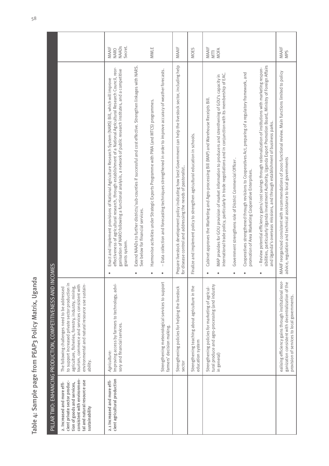Table 4: Sample page from PEAP3 Policy Matrix, Uganda Table 4: Sample page from PEAP3 Policy Matrix, Uganda

|                                                                                                                                                                             | PILLAR TWO: ENHANCING PRODUCTION, COMPETITIVENESS AND INCOMES                                                                                                                                                                                                              |                                                                                                                                                                                                                                                                                                                                                               |                                          |
|-----------------------------------------------------------------------------------------------------------------------------------------------------------------------------|----------------------------------------------------------------------------------------------------------------------------------------------------------------------------------------------------------------------------------------------------------------------------|---------------------------------------------------------------------------------------------------------------------------------------------------------------------------------------------------------------------------------------------------------------------------------------------------------------------------------------------------------------|------------------------------------------|
| consistent with environmen-<br>tal and natural resource use<br>cient private sector produc-<br>tion of goods and services,<br>2. Increased and more effi-<br>sustainability | to support increased private sector production in<br>environmental and natural resource use sustain-<br>tourism, commerce and services consistent with<br>agriculture, fisheries, forestry, industry, mining,<br>The following challenges need to be addressed<br>ability. |                                                                                                                                                                                                                                                                                                                                                               |                                          |
| cient agricultural production<br>2.1 Increased and more effi-                                                                                                               | Improving access by farmers to technology, advi-<br>sory and financial services.<br>Agriculture:                                                                                                                                                                           | effectiveness of agricultural research, through establishment of a National Agricultural Research Council, reor<br>ganisation of NARO following a functional analysis, a network of public research institutes, and a competitive<br>Enact and implement provisions of National Agriculture Research System (NARS) Bill, which will improve<br>grants system. | <b>NAADs</b><br>Secret.<br>MAAIF<br>NARO |
|                                                                                                                                                                             |                                                                                                                                                                                                                                                                            | Extend NAADs to further districts/sub-counties if successful and cost effective. Strengthen linkages with NARS.<br>See below for financial services.                                                                                                                                                                                                          |                                          |
|                                                                                                                                                                             |                                                                                                                                                                                                                                                                            | Harmonise activities under Strategic Exports Programme with PMA (and MTCS) programmes.                                                                                                                                                                                                                                                                        | <b>MWLE</b>                              |
|                                                                                                                                                                             | Strengthening meteorological services to support<br>farmers' decision making                                                                                                                                                                                               | – Data collection and forecasting techniques strengthened in order to improve accuracy of weather forecasts.                                                                                                                                                                                                                                                  |                                          |
|                                                                                                                                                                             | Strengthening policies for helping the livestock<br>sector                                                                                                                                                                                                                 | Prepare livestock development policy indicating how best Government can help the livestock sector, including help<br>for disease control and addressing the needs of pastoralist                                                                                                                                                                              | MAAIF                                    |
|                                                                                                                                                                             | Strengthening teaching about agriculture in the<br>education system                                                                                                                                                                                                        | Finalize and implement policy to strengthen agricultural education in schools.                                                                                                                                                                                                                                                                                | MOES                                     |
|                                                                                                                                                                             | tural produce and agro-processing (and industry<br>Strengthening policies for marketing of agricul-                                                                                                                                                                        | Cabinet approves the Marketing and Agro-processing Bill (MAP) and Warehouse Receipts Bill.                                                                                                                                                                                                                                                                    | MAAIF<br>MTTI                            |
|                                                                                                                                                                             | in general)                                                                                                                                                                                                                                                                | international trade policy, particularly in trade negotiations and in conjunction with its membership of EAC.<br>MAP provides for GOU provision of market information to producers and strenthening of GOU's capacity in                                                                                                                                      | MOFA                                     |
|                                                                                                                                                                             |                                                                                                                                                                                                                                                                            | Government strengthens role of District Commercial Officer.                                                                                                                                                                                                                                                                                                   |                                          |
|                                                                                                                                                                             |                                                                                                                                                                                                                                                                            | Cooperatives strengthened through revisions to Cooperatives Act, preparing of a regulatory framework, and<br>promotion of Area Marketing Cooperative Enterprises.                                                                                                                                                                                             |                                          |
|                                                                                                                                                                             |                                                                                                                                                                                                                                                                            | sibilities, particularly Uganda Investment Authority, Uganda Export Promotion Board, Ministry of Foreign Affairs<br>– Review potential efficiency gains/cost savings through rationalization of institutions with marketing respon-<br>and Uganda's overseas missions, and through establishment of business parks.                                           |                                          |
|                                                                                                                                                                             | ealising efficiency gains through institutional reor-<br>ganization consistent with decentralization of the<br>provision of services to local governments                                                                                                                  | MAAIF reorganized consistent with recommendations of 2000 functional review. Main functions limited to policy<br>advice, regulation and technical assistance to local governments                                                                                                                                                                             | MAAIF<br>MPS                             |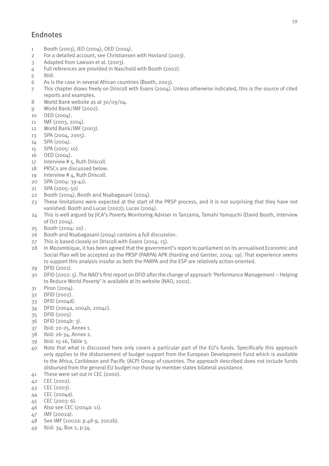# Endnotes

- 1 Booth (2003), IEO (2004), OED (2004).
- 2 For a detailed account, see Christiansen with Hovland (2003).
- 3 Adapted from Lawson et al. (2003).
- 4 Full references are provided in Naschold with Booth (2002).
- 5 Ibid.
- 6 As is the case in several African countries (Booth, 2003).
- 7 This chapter draws freely on Driscoll with Evans (2004). Unless otherwise indicated, this is the source of cited reports and examples.
- 8 World Bank website as at 30/09/04.
- 9 World Bank/IMF (2002).
- $10$  OFD  $(200/1)$ .
- 11 IMF (2003, 2004).
- 12 World Bank/IMF (2003).
- 13 SPA (2004, 2005).
- 14 SPA (2004).
- 15 SPA (2005: 10).
- 16 OED (2004).
- 17 Interview # 5, Ruth Driscoll.
- 18 PRSCs are discussed below.
- 19 Interview # 4, Ruth Driscoll.
- 20 SPA (2004: 39-41).
- 21 SPA (2005: 50)
- 22 Booth (2004), Booth and Nsabagasani (2004).
- 23 These limitations were expected at the start of the PRSP process, and it is not surprising that they have not vanished: Booth and Lucas (2002); Lucas (2004).
- 24 This is well argued by JICA's Poverty Monitoring Adviser in Tanzania, Tamahi Yamauchi (David Booth, interview of Oct 2004).
- 25 Booth (2004: 20) .
- 26 Booth and Nsabagasani (2004) contains a full discussion.
- 27 This is based closely on Driscoll with Evans (2004: 15).
- 28 In Mozambique, it has been agreed that the government's report to parliament on its annualised Economic and Social Plan will be accepted as the PRSP (PARPA) APR (Harding and Gerster, 2004: 19). That experience seems to support this analysis insofar as both the PARPA and the ESP are relatively action-oriented.
- 29 DFID (2001).
- 30 DFID (2002: 5). The NAO's first report on DFID after the change of approach 'Performance Management Helping to Reduce World Poverty' is available at its website (NAO, 2002).
- 31 Piron (2004).
- 32 DFID (2002).
- 33 DFID (2004d).
- 34 DFID (2004a, 2004b, 2004c).
- 35 DFID (2005)
- 36 DFID (2004b: 3).
- 37 Ibid: 20-25, Annex 1.
- 38 Ibid: 26-34, Annex 2.
- 39 Ibid: 15-16, Table 3.
- 40 Note that what is discussed here only covers a particular part of the EU's funds. Specifically this approach only applies to the disbursement of budget support from the European Development Fund which is available to the Africa, Caribbean and Pacific (ACP) Group of countries. The approach described does not include funds disbursed from the general EU budget nor those by member states bilateral assistance.
- 41 These were set out in CEC (2000).
- 42 CEC (2002).
- 43 CEC (2003).
- 44 CEC (2004a).
- 45 CEC (2003: 6).
- 46 Also see CEC (2004a: 11).
- 47 IMF (2002a).
- 48 See IMF (2002a: p.48-9, 2002b).
- 49 Ibid: 34, Box 2, p.34.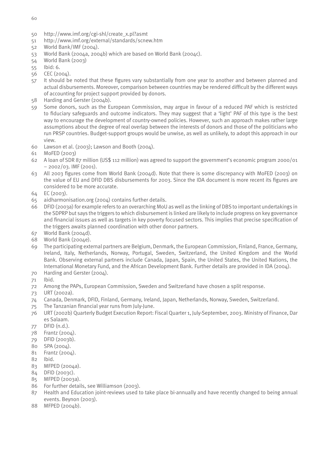- 60
- 50 http://www.imf.org/cgi-shl/create\_x.pl?asmt
- 51 http://www.imf.org/external/standards/scnew.htm
- 52 World Bank/IMF (2004).
- 53 World Bank (2004a, 2004b) which are based on World Bank (2004c).
- 54 World Bank (2003)
- 55 Ibid: 6.
- 56 CEC (2004).
- 57 It should be noted that these figures vary substantially from one year to another and between planned and actual disbursements. Moreover, comparison between countries may be rendered difficult by the different ways of accounting for project support provided by donors.
- 58 Harding and Gerster (2004b).
- 59 Some donors, such as the European Commission, may argue in favour of a reduced PAF which is restricted to fiduciary safeguards and outcome indicators. They may suggest that a 'light' PAF of this type is the best way to encourage the development of country-owned policies. However, such an approach makes rather large assumptions about the degree of real overlap between the interests of donors and those of the politicians who run PRSP countries. Budget-support groups would be unwise, as well as unlikely, to adopt this approach in our view.
- 60 Lawson et al. (2003); Lawson and Booth (2004).
- 61 MoFED (2003)
- 62 A loan of SDR 87 million (US\$ 112 million) was agreed to support the government's economic program 2000/01 – 2002/03. IMF (2001).
- 63 All 2003 figures come from World Bank (2004d). Note that there is some discrepancy with MoFED (2003) on the value of EU and DFID DBS disbursements for 2003. Since the IDA document is more recent its figures are considered to be more accurate.
- 64 EC (2003).
- 65 aidharmonisation.org (2004) contains further details.
- 66 DFID (2003a) for example refers to an overarching MoU as well as the linking of DBS to important undertakings in the SDPRP but says the triggers to which disbursement is linked are likely to include progress on key governance and financial issues as well as targets in key poverty focused sectors. This implies that precise specification of the triggers awaits planned coordination with other donor partners.
- 67 World Bank (2004d).
- 68 World Bank (2004e).
- 69 The participating external partners are Belgium, Denmark, the European Commission, Finland, France, Germany, Ireland, Italy, Netherlands, Norway, Portugal, Sweden, Switzerland, the United Kingdom and the World Bank. Observing external partners include Canada, Japan, Spain, the United States, the United Nations, the International Monetary Fund, and the African Development Bank. Further details are provided in IDA (2004).
- 70 Harding and Gerster (2004).
- 71 Ibid.
- 72 Among the PAPs, European Commission, Sweden and Switzerland have chosen a split response.
- 73 URT (2002a).
- 74 Canada, Denmark, DFID, Finland, Germany, Ireland, Japan, Netherlands, Norway, Sweden, Switzerland.
- 75 The Tanzanian financial year runs from July-June.
- 76 URT (2002b) Quarterly Budget Execution Report: Fiscal Quarter 1, July-September, 2003. Ministry of Finance, Dar es Salaam.
- 77 DFID (n.d.).
- 78 Frantz (2004).
- 79 DFID (2003b).
- 80 SPA (2004).
- 81 Frantz (2004).
- 82 Ibid.
- 83 MFPED (2004a).
- 84 DFID (2003c).
- 85 MFPED (2003a).
- 86 For further details, see Williamson (2003).
- 87 Health and Education joint-reviews used to take place bi-annually and have recently changed to being annual events. Beynon (2003).
- 88 MFPED (2004b).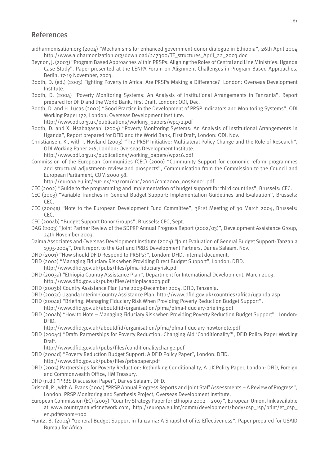#### References

- aidharmonisation.org (2004) "Mechanisms for enhanced government-donor dialogue in Ethiopia", 26th April 2004 http://www.aidharmonization.org/download/247300/TF\_structures\_April\_22\_2003.doc
- Beynon, J. (2003) "Program Based Approaches within PRSPs: Aligning the Roles of Central and Line Ministries: Uganda Case Study". Paper presented at the LENPA Forum on Alignment Challenges in Program Based Approaches, Berlin, 17-19 November, 2003.
- Booth, D. (ed.) (2003) Fighting Poverty in Africa: Are PRSPs Making a Difference? London: Overseas Development Institute.
- Booth, D. (2004) "Poverty Monitoring Systems: An Analysis of Institutional Arrangements in Tanzania", Report prepared for DFID and the World Bank, First Draft, London: ODI, Dec.
- Booth, D. and H. Lucas (2002) "Good Practice in the Development of PRSP Indicators and Monitoring Systems", ODI Working Paper 172, London: Overseas Development Institute.
	- http://www.odi.org.uk/publications/working\_papers/wp172.pdf
- Booth, D. and X. Nsabagasani (2004) "Poverty Monitoring Systems: An Analysis of Institutional Arrangements in Uganda", Report prepared for DFID and the World Bank, First Draft, London: ODI, Nov.
- Christiansen, K., with I. Hovland (2003) "The PRSP Initiative: Multilateral Policy Change and the Role of Research", ODI Working Paper 216, London: Overseas Development Institute.
	- http://www.odi.org.uk/publications/working\_papers/wp216.pdf
- Commission of the European Communities (CEC) (2000) "Community Support for economic reform programmes and structural adjustment: review and prospects", Communication from the Commission to the Council and European Parliament, COM 2000 58.
	- http://europa.eu.int/eur-lex/en/com/cnc/2000/com2000\_0058en01.pdf
- CEC (2002) "Guide to the programming and implementation of budget support for third countries", Brussels: CEC.
- CEC (2003) "Variable Tranches in General Budget Support: Implementation Guidelines and Evaluation", Brussels: CEC.
- CEC (2004a) "Note to the European Development Fund Committee", 381st Meeting of 30 March 2004, Brussels: CEC.
- CEC (2004b) "Budget Support Donor Groups", Brussels: CEC, Sept.
- DAG (2003) "Joint Partner Review of the SDPRP Annual Progress Report (2002/03)", Development Assistance Group, 24th November 2003.
- Daima Associates and Overseas Development Institute (2004) "Joint Evaluation of General Budget Support: Tanzania 1995-2004", Draft report to the GoT and PRBS Development Partners, Dar es Salaam, Nov.
- DFID (2001) "How should DFID Respond to PRSPs?", London: DFID, internal document.
- DFID (2002) "Managing Fiduciary Risk when Providing Direct Budget Support", London: DFID.
- http://www.dfid.gov.uk/pubs/files/pfma-fiduciaryrisk.pdf
- DFID (2003a) "Ethiopia Country Assistance Plan", Department for International Development, March 2003. http://www.dfid.gov.uk/pubs/files/ethiopiacap03.pdf
- DFID (2003b) Country Assistance Plan June 2003-December 2004. DFID, Tanzania.
- DFID (2003c) Uganda Interim-Country Assistance Plan. http://www.dfid.gov.uk/countries/africa/uganda.asp
- DFID (2004a) "Briefing: Managing Fiduciary Risk When Providing Poverty Reduction Budget Support". http://www.dfid.gov.uk/aboutdfid/organisation/pfma/pfma-fiduciary-briefing.pdf
- DFID (2004b) "How to Note Managing Fiduciary Risk when Providing Poverty Reduction Budget Support". London: DFID.
	- http://www.dfid.gov.uk/aboutdfid/organisation/pfma/pfma-fiduciary-howtonote.pdf
- DFID (2004c) "Draft: Partnerships for Poverty Reduction: Changing Aid 'Conditionality'", DFID Policy Paper Working Draft.
	- http://www.dfid.gov.uk/pubs/files/conditionalitychange.pdf
- DFID (2004d) "Poverty Reduction Budget Support: A DFID Policy Paper", London: DFID.
- http://www.dfid.gov.uk/pubs/files/prbspaper.pdf
- DFID (2005) Partnerships for Poverty Reduction: Rethinking Conditionality, A UK Policy Paper, London: DFID, Foreign and Commonwealth Office, HM Treasury.
- DFID (n.d.) "PRBS Discussion Paper", Dar es Salaam, DFID.
- Driscoll, R., with A. Evans (2004) "PRSP Annual Progress Reports and Joint Staff Assessments A Review of Progress", London: PRSP Monitoring and Synthesis Project, Overseas Development Institute.
- European Commission (EC) (2003) "Country Strategy Paper for Ethiopia 2002 2007", European Union, link available at www.countryanalyticnetwork.com, http://europa.eu.int/comm/development/body/csp\_rsp/print/et\_csp\_ en.pdf#zoom=100
- Frantz, B. (2004) "General Budget Support in Tanzania: A Snapshot of its Effectiveness". Paper prepared for USAID Bureau for Africa.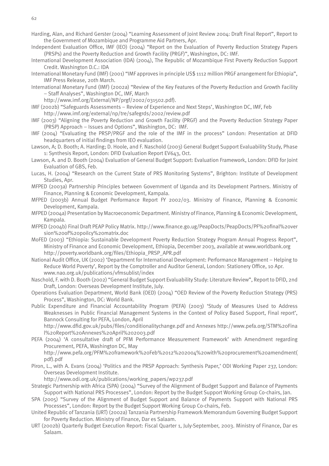- Harding, Alan, and Richard Gerster (2004) "Learning Assessment of Joint Review 2004: Draft Final Report", Report to the Government of Mozambique and Programme Aid Partners, Apr.
- Independent Evaluation Office, IMF (IEO) (2004) "Report on the Evaluation of Poverty Reduction Strategy Papers (PRSPs) and the Poverty Reduction and Growth Facility (PRGF)", Washington, DC: IMF.
- International Development Association (IDA) (2004), The Republic of Mozambique First Poverty Reduction Support Credit. Washington D.C.: IDA
- International Monetary Fund (IMF) (2001) "IMF approves in principle US\$ 1112 million PRGF arrangement for Ethiopia", IMF Press Release, 20th March.
- International Monetary Fund (IMF) (2002a) "Review of the Key Features of the Poverty Reduction and Growth Facility – Staff Analyses", Washington DC, IMF, March
	- http://www.imf.org/External/NP/prgf/2002/031502.pdf).
- IMF (2002b) "Safeguards Assessments Review of Experience and Next Steps', Washington DC, IMF, Feb http://www.imf.org/external/np/tre/safegrds/2002/review.pdf
- IMF (2003) "Aligning the Poverty Reduction and Growth Facility (PRGF) and the Poverty Reduction Strategy Paper (PRSP) Approach – Issues and Options", Washington, DC: IMF.
- IMF (2004) "Evaluating the PRSP/PRGF and the role of the IMF in the process" London: Presentation at DFID headquarters of initial findings from IEO evaluation.
- Lawson, A; D. Booth; A. Harding; D. Hoole, and F. Naschold (2003) General Budget Support Evaluability Study, Phase 1: Synthesis Report, London: DFID Evaluation Report EV643, Oct.
- Lawson, A. and D. Booth (2004) Evaluation of General Budget Support: Evaluation Framework, London: DFID for Joint Evaluation of GBS, Feb.
- Lucas, H. (2004) "Research on the Current State of PRS Monitoring Systems", Brighton: Institute of Development Studies, Apr.
- MFPED (2003a) Partnership Principles between Government of Uganda and its Development Partners. Ministry of Finance, Planning & Economic Development, Kampala.
- MFPED (2003b) Annual Budget Performance Report FY 2002/03. Ministry of Finance, Planning & Economic Development, Kampala.
- MFPED (2004a) Presentation by Macroeconomic Department. Ministry of Finance, Planning & Economic Development, Kampala.
- MFPED (2004b) Final Draft PEAP Policy Matrix. http://www.finance.go.ug/PeapDocts/PeapDocts/PF%20final%20ver sion%20of%20poilcy%20matrix.doc
- MoFED (2003) "Ethiopia: Sustainable Development Poverty Reduction Strategy Program Annual Progress Report", Ministry of Finance and Economic Development, Ethiopia, December 2003, available at www.worldbank.org http://poverty.worldbank.org/files/Ethiopia\_PRSP\_APR.pdf
- National Audit Office, UK (2002) 'Department for International Development: Performance Management Helping to Reduce World Poverty', Report by the Comptroller and Auditor General, London: Stationery Office, 10 Apr. www.nao.org.uk/publications/vfmsublist/index
- Naschold, F. with D. Booth (2002) "General Budget Support Evaluability Study: Literature Review", Report to DFID, 2nd Draft, London: Overseas Development Institute, July.
- Operations Evaluation Department, World Bank (OED) (2004) "OED Review of the Poverty Reduction Strategy (PRS) Process", Washington, DC: World Bank.
- Public Expenditure and Financial Accountability Program (PEFA) (2003) 'Study of Measures Used to Address Weaknesses in Public Financial Management Systems in the Context of Policy Based Support, Final report', Bannock Consulting for PEFA, London, April

 http://www.dfid.gov.uk/pubs/files/conditionalitychange.pdf and Annexes http://www.pefa.org/STM%20Fina l%20Report%20Annexes%20April%202003.pdf

PEFA (2004) 'A consultative draft of PFM Performance Measurement Framework' with Amendment regarding Procurement, PEFA, Washington DC, May

 http://www.pefa.org/PFM%20framework%20Feb%2012%202004%20with%20procurement%20amendment( pdf).pdf

Piron, L., with A. Evans (2004) 'Politics and the PRSP Approach: Synthesis Paper,' ODI Working Paper 237, London: Overseas Development Institute.

http://www.odi.org.uk/publications/working\_papers/wp237.pdf

- Strategic Partnership with Africa (SPA) (2004) "Survey of the Alignment of Budget Support and Balance of Payments Support with National PRS Processes", London: Report by the Budget Support Working Group Co-chairs, Jan.
- SPA (2005) "Survey of the Alignment of Budget Support and Balance of Payments Support with National PRS Processes", London: Report by the Budget Support Working Group Co-chairs, Feb.
- United Republic of Tanzania (URT) (2002a) Tanzania Partnership Framework Memorandum Governing Budget Support for Poverty Reduction. Ministry of Finance, Dar es Salaam.
- URT (2002b) Quarterly Budget Execution Report: Fiscal Quarter 1, July-September, 2003. Ministry of Finance, Dar es Salaam.